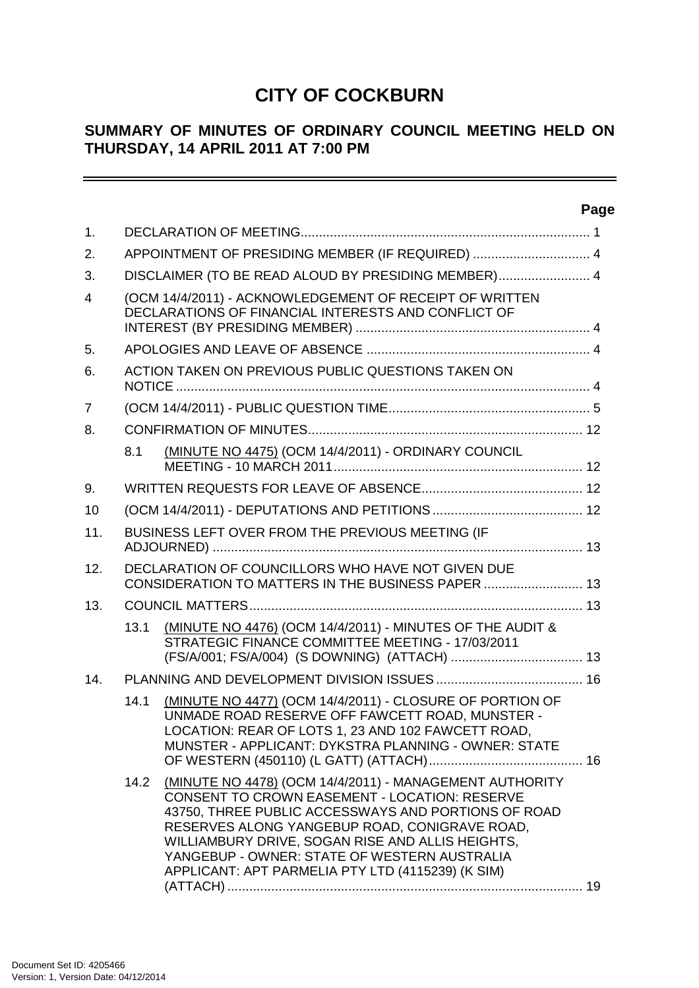# **CITY OF COCKBURN**

# **SUMMARY OF MINUTES OF ORDINARY COUNCIL MEETING HELD ON THURSDAY, 14 APRIL 2011 AT 7:00 PM**

 $\overline{\phantom{a}}$ 

|     |                                                                                                                |                                                                                                                                                                                                                                                                                                                                                                                  | Page |  |  |  |
|-----|----------------------------------------------------------------------------------------------------------------|----------------------------------------------------------------------------------------------------------------------------------------------------------------------------------------------------------------------------------------------------------------------------------------------------------------------------------------------------------------------------------|------|--|--|--|
| 1.  |                                                                                                                |                                                                                                                                                                                                                                                                                                                                                                                  |      |  |  |  |
| 2.  | APPOINTMENT OF PRESIDING MEMBER (IF REQUIRED)  4                                                               |                                                                                                                                                                                                                                                                                                                                                                                  |      |  |  |  |
| 3.  | DISCLAIMER (TO BE READ ALOUD BY PRESIDING MEMBER) 4                                                            |                                                                                                                                                                                                                                                                                                                                                                                  |      |  |  |  |
| 4   | (OCM 14/4/2011) - ACKNOWLEDGEMENT OF RECEIPT OF WRITTEN<br>DECLARATIONS OF FINANCIAL INTERESTS AND CONFLICT OF |                                                                                                                                                                                                                                                                                                                                                                                  |      |  |  |  |
| 5.  |                                                                                                                |                                                                                                                                                                                                                                                                                                                                                                                  |      |  |  |  |
| 6.  | ACTION TAKEN ON PREVIOUS PUBLIC QUESTIONS TAKEN ON                                                             |                                                                                                                                                                                                                                                                                                                                                                                  |      |  |  |  |
| 7   |                                                                                                                |                                                                                                                                                                                                                                                                                                                                                                                  |      |  |  |  |
| 8.  |                                                                                                                |                                                                                                                                                                                                                                                                                                                                                                                  |      |  |  |  |
|     | 8.1                                                                                                            | (MINUTE NO 4475) (OCM 14/4/2011) - ORDINARY COUNCIL                                                                                                                                                                                                                                                                                                                              |      |  |  |  |
| 9.  |                                                                                                                |                                                                                                                                                                                                                                                                                                                                                                                  |      |  |  |  |
| 10  |                                                                                                                |                                                                                                                                                                                                                                                                                                                                                                                  |      |  |  |  |
| 11. | BUSINESS LEFT OVER FROM THE PREVIOUS MEETING (IF                                                               |                                                                                                                                                                                                                                                                                                                                                                                  |      |  |  |  |
| 12. |                                                                                                                | DECLARATION OF COUNCILLORS WHO HAVE NOT GIVEN DUE<br>CONSIDERATION TO MATTERS IN THE BUSINESS PAPER  13                                                                                                                                                                                                                                                                          |      |  |  |  |
| 13. |                                                                                                                |                                                                                                                                                                                                                                                                                                                                                                                  |      |  |  |  |
|     | 13.1                                                                                                           | (MINUTE NO 4476) (OCM 14/4/2011) - MINUTES OF THE AUDIT &<br>STRATEGIC FINANCE COMMITTEE MEETING - 17/03/2011                                                                                                                                                                                                                                                                    |      |  |  |  |
| 14. |                                                                                                                |                                                                                                                                                                                                                                                                                                                                                                                  |      |  |  |  |
|     | 14.1                                                                                                           | (MINUTE NO 4477) (OCM 14/4/2011) - CLOSURE OF PORTION OF<br>UNMADE ROAD RESERVE OFF FAWCETT ROAD, MUNSTER -<br>LOCATION: REAR OF LOTS 1, 23 AND 102 FAWCETT ROAD,<br>MUNSTER - APPLICANT: DYKSTRA PLANNING - OWNER: STATE                                                                                                                                                        |      |  |  |  |
|     | 14.2                                                                                                           | (MINUTE NO 4478) (OCM 14/4/2011) - MANAGEMENT AUTHORITY<br><b>CONSENT TO CROWN EASEMENT - LOCATION: RESERVE</b><br>43750, THREE PUBLIC ACCESSWAYS AND PORTIONS OF ROAD<br>RESERVES ALONG YANGEBUP ROAD, CONIGRAVE ROAD,<br>WILLIAMBURY DRIVE, SOGAN RISE AND ALLIS HEIGHTS,<br>YANGEBUP - OWNER: STATE OF WESTERN AUSTRALIA<br>APPLICANT: APT PARMELIA PTY LTD (4115239) (K SIM) |      |  |  |  |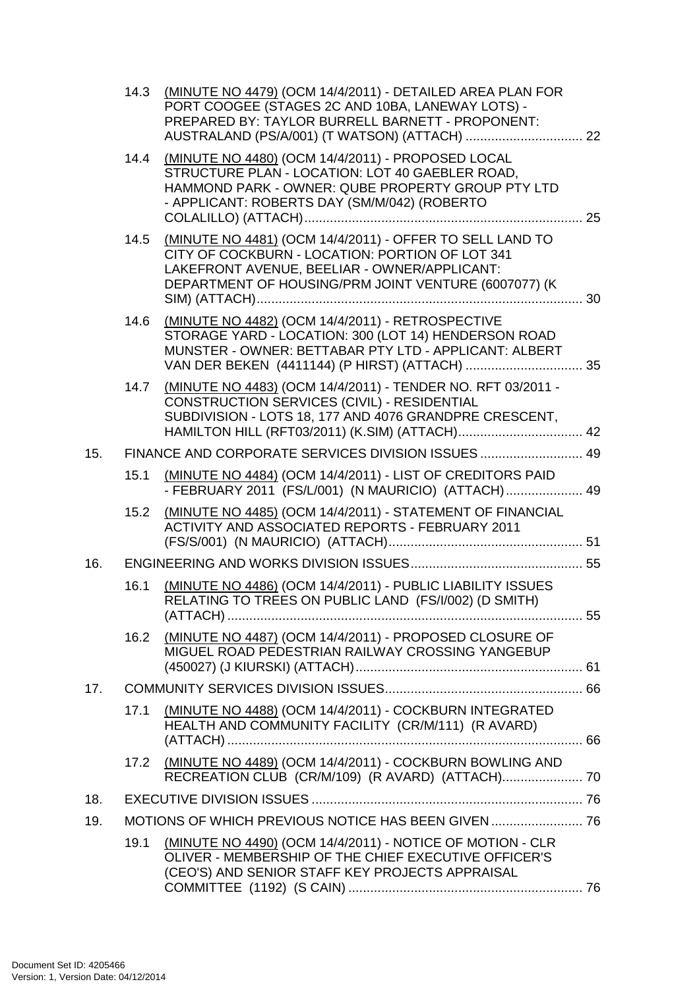|     | 14.3 | (MINUTE NO 4479) (OCM 14/4/2011) - DETAILED AREA PLAN FOR<br>PORT COOGEE (STAGES 2C AND 10BA, LANEWAY LOTS) -<br>PREPARED BY: TAYLOR BURRELL BARNETT - PROPONENT:                                                   |  |
|-----|------|---------------------------------------------------------------------------------------------------------------------------------------------------------------------------------------------------------------------|--|
|     | 14.4 | (MINUTE NO 4480) (OCM 14/4/2011) - PROPOSED LOCAL<br>STRUCTURE PLAN - LOCATION: LOT 40 GAEBLER ROAD,<br>HAMMOND PARK - OWNER: QUBE PROPERTY GROUP PTY LTD<br>- APPLICANT: ROBERTS DAY (SM/M/042) (ROBERTO           |  |
|     | 14.5 | (MINUTE NO 4481) (OCM 14/4/2011) - OFFER TO SELL LAND TO<br>CITY OF COCKBURN - LOCATION: PORTION OF LOT 341<br>LAKEFRONT AVENUE, BEELIAR - OWNER/APPLICANT:<br>DEPARTMENT OF HOUSING/PRM JOINT VENTURE (6007077) (K |  |
|     | 14.6 | (MINUTE NO 4482) (OCM 14/4/2011) - RETROSPECTIVE<br>STORAGE YARD - LOCATION: 300 (LOT 14) HENDERSON ROAD<br>MUNSTER - OWNER: BETTABAR PTY LTD - APPLICANT: ALBERT                                                   |  |
|     | 14.7 | (MINUTE NO 4483) (OCM 14/4/2011) - TENDER NO. RFT 03/2011 -<br>CONSTRUCTION SERVICES (CIVIL) - RESIDENTIAL<br>SUBDIVISION - LOTS 18, 177 AND 4076 GRANDPRE CRESCENT,                                                |  |
| 15. |      | FINANCE AND CORPORATE SERVICES DIVISION ISSUES  49                                                                                                                                                                  |  |
|     | 15.1 | (MINUTE NO 4484) (OCM 14/4/2011) - LIST OF CREDITORS PAID<br>- FEBRUARY 2011 (FS/L/001) (N MAURICIO) (ATTACH) 49                                                                                                    |  |
|     | 15.2 | (MINUTE NO 4485) (OCM 14/4/2011) - STATEMENT OF FINANCIAL<br>ACTIVITY AND ASSOCIATED REPORTS - FEBRUARY 2011                                                                                                        |  |
| 16. |      |                                                                                                                                                                                                                     |  |
|     | 16.1 | (MINUTE NO 4486) (OCM 14/4/2011) - PUBLIC LIABILITY ISSUES<br>RELATING TO TREES ON PUBLIC LAND (FS/I/002) (D SMITH)                                                                                                 |  |
|     | 16.2 | (MINUTE NO 4487) (OCM 14/4/2011) - PROPOSED CLOSURE OF<br>MIGUEL ROAD PEDESTRIAN RAILWAY CROSSING YANGEBUP                                                                                                          |  |
| 17. |      |                                                                                                                                                                                                                     |  |
|     | 17.1 | (MINUTE NO 4488) (OCM 14/4/2011) - COCKBURN INTEGRATED<br>HEALTH AND COMMUNITY FACILITY (CR/M/111) (R AVARD)                                                                                                        |  |
|     | 17.2 | (MINUTE NO 4489) (OCM 14/4/2011) - COCKBURN BOWLING AND<br>RECREATION CLUB (CR/M/109) (R AVARD) (ATTACH) 70                                                                                                         |  |
| 18. |      |                                                                                                                                                                                                                     |  |
| 19. |      | MOTIONS OF WHICH PREVIOUS NOTICE HAS BEEN GIVEN  76                                                                                                                                                                 |  |
|     | 19.1 | (MINUTE NO 4490) (OCM 14/4/2011) - NOTICE OF MOTION - CLR<br>OLIVER - MEMBERSHIP OF THE CHIEF EXECUTIVE OFFICER'S<br>(CEO'S) AND SENIOR STAFF KEY PROJECTS APPRAISAL                                                |  |
|     |      |                                                                                                                                                                                                                     |  |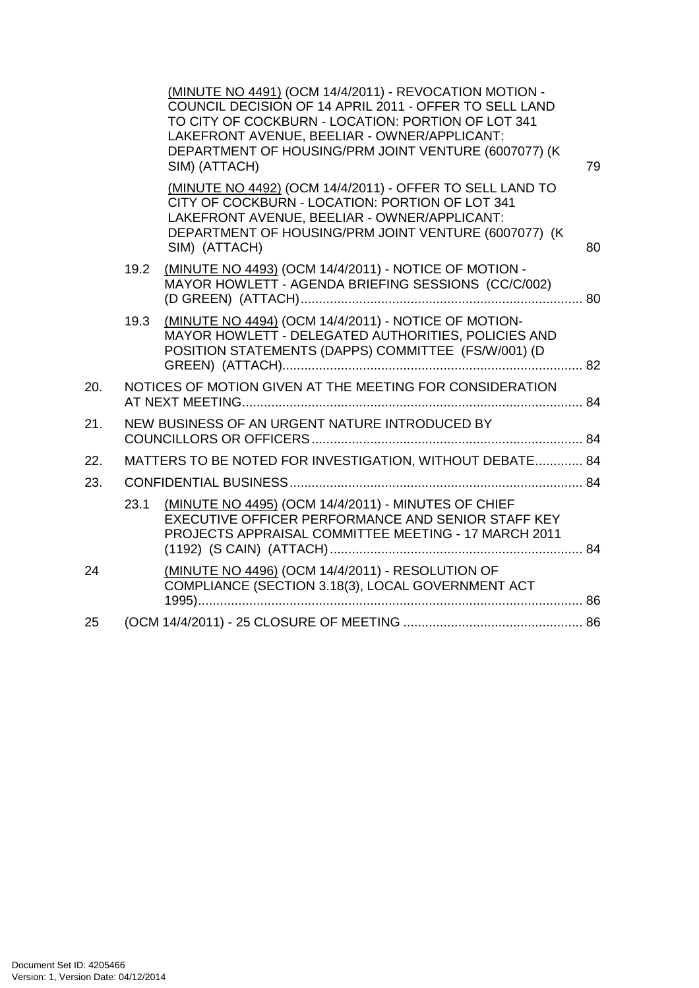|     |      | (MINUTE NO 4491) (OCM 14/4/2011) - REVOCATION MOTION -<br>COUNCIL DECISION OF 14 APRIL 2011 - OFFER TO SELL LAND<br>TO CITY OF COCKBURN - LOCATION: PORTION OF LOT 341<br>LAKEFRONT AVENUE, BEELIAR - OWNER/APPLICANT:<br>DEPARTMENT OF HOUSING/PRM JOINT VENTURE (6007077) (K<br>SIM) (ATTACH) | 79 |
|-----|------|-------------------------------------------------------------------------------------------------------------------------------------------------------------------------------------------------------------------------------------------------------------------------------------------------|----|
|     |      | (MINUTE NO 4492) (OCM 14/4/2011) - OFFER TO SELL LAND TO<br>CITY OF COCKBURN - LOCATION: PORTION OF LOT 341<br>LAKEFRONT AVENUE, BEELIAR - OWNER/APPLICANT:<br>DEPARTMENT OF HOUSING/PRM JOINT VENTURE (6007077) (K<br>SIM) (ATTACH)                                                            | 80 |
|     | 19.2 | (MINUTE NO 4493) (OCM 14/4/2011) - NOTICE OF MOTION -<br>MAYOR HOWLETT - AGENDA BRIEFING SESSIONS (CC/C/002)                                                                                                                                                                                    |    |
|     | 19.3 | (MINUTE NO 4494) (OCM 14/4/2011) - NOTICE OF MOTION-<br>MAYOR HOWLETT - DELEGATED AUTHORITIES, POLICIES AND<br>POSITION STATEMENTS (DAPPS) COMMITTEE (FS/W/001) (D                                                                                                                              |    |
| 20. |      | NOTICES OF MOTION GIVEN AT THE MEETING FOR CONSIDERATION                                                                                                                                                                                                                                        |    |
| 21. |      | NEW BUSINESS OF AN URGENT NATURE INTRODUCED BY                                                                                                                                                                                                                                                  |    |
| 22. |      | MATTERS TO BE NOTED FOR INVESTIGATION, WITHOUT DEBATE 84                                                                                                                                                                                                                                        |    |
| 23. |      |                                                                                                                                                                                                                                                                                                 |    |
|     | 23.1 | (MINUTE NO 4495) (OCM 14/4/2011) - MINUTES OF CHIEF<br>EXECUTIVE OFFICER PERFORMANCE AND SENIOR STAFF KEY<br>PROJECTS APPRAISAL COMMITTEE MEETING - 17 MARCH 2011                                                                                                                               |    |
| 24  |      | (MINUTE NO 4496) (OCM 14/4/2011) - RESOLUTION OF<br>COMPLIANCE (SECTION 3.18(3), LOCAL GOVERNMENT ACT<br>$1995)$                                                                                                                                                                                |    |
| 25  |      |                                                                                                                                                                                                                                                                                                 |    |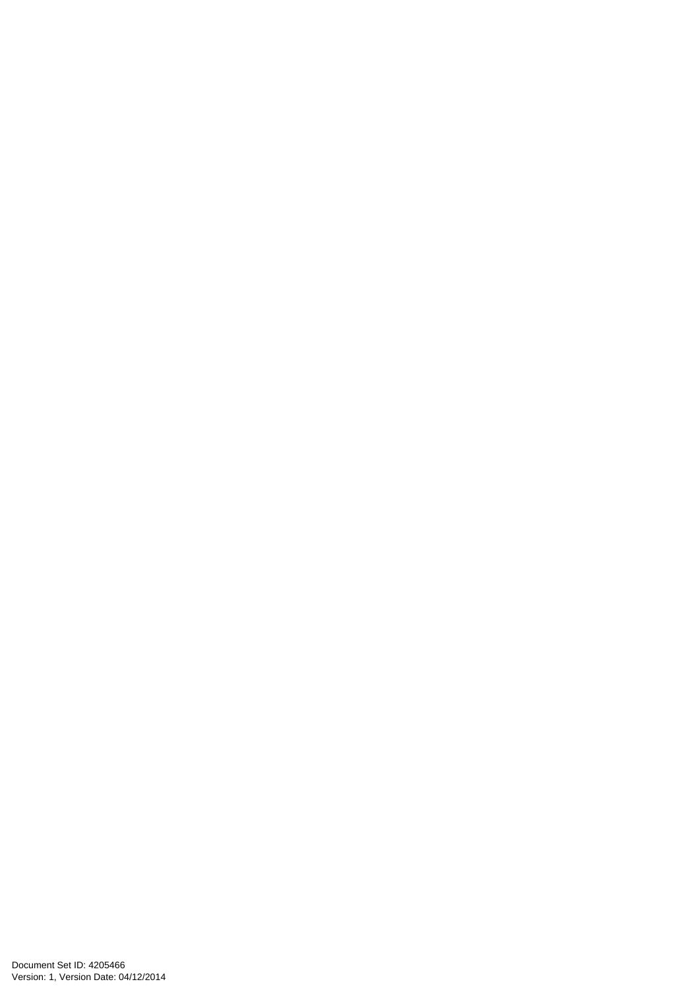Document Set ID: 4205466<br>Version: 1, Version Date: 04/12/2014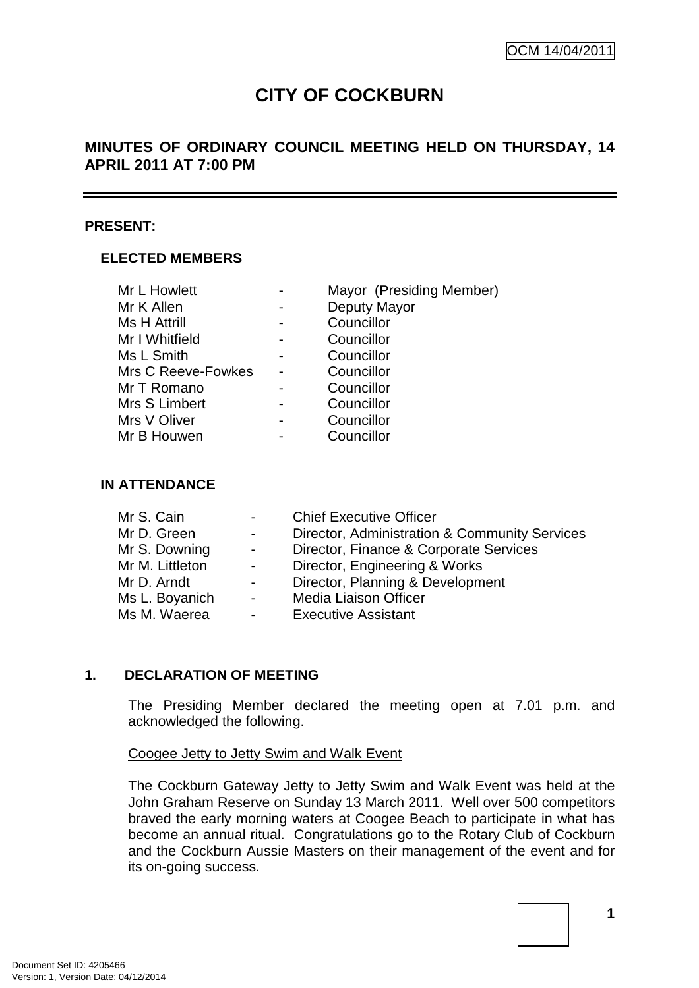# **CITY OF COCKBURN**

## **MINUTES OF ORDINARY COUNCIL MEETING HELD ON THURSDAY, 14 APRIL 2011 AT 7:00 PM**

#### **PRESENT:**

#### **ELECTED MEMBERS**

| Mr L Howlett        | Mayor (Presiding Member) |  |  |
|---------------------|--------------------------|--|--|
| Mr K Allen          | Deputy Mayor             |  |  |
| <b>Ms H Attrill</b> | Councillor               |  |  |
| Mr I Whitfield      | Councillor               |  |  |
| Ms L Smith          | Councillor               |  |  |
| Mrs C Reeve-Fowkes  | Councillor               |  |  |
| Mr T Romano         | Councillor               |  |  |
| Mrs S Limbert       | Councillor               |  |  |
| Mrs V Oliver        | Councillor               |  |  |
| Mr B Houwen         | Councillor               |  |  |

#### **IN ATTENDANCE**

| Mr S. Cain      | $\sim 100$       | <b>Chief Executive Officer</b>                |
|-----------------|------------------|-----------------------------------------------|
| Mr D. Green     | $\sim$ 100 $\mu$ | Director, Administration & Community Services |
| Mr S. Downing   | $\sim 100$       | Director, Finance & Corporate Services        |
| Mr M. Littleton | $\sim 100$       | Director, Engineering & Works                 |
| Mr D. Arndt     | $\sim 100$       | Director, Planning & Development              |
| Ms L. Boyanich  | $\sim 100$       | Media Liaison Officer                         |
| Ms M. Waerea    | $\sim 100$       | <b>Executive Assistant</b>                    |
|                 |                  |                                               |

## **1. DECLARATION OF MEETING**

The Presiding Member declared the meeting open at 7.01 p.m. and acknowledged the following.

#### Coogee Jetty to Jetty Swim and Walk Event

The Cockburn Gateway Jetty to Jetty Swim and Walk Event was held at the John Graham Reserve on Sunday 13 March 2011. Well over 500 competitors braved the early morning waters at Coogee Beach to participate in what has become an annual ritual. Congratulations go to the Rotary Club of Cockburn and the Cockburn Aussie Masters on their management of the event and for its on-going success.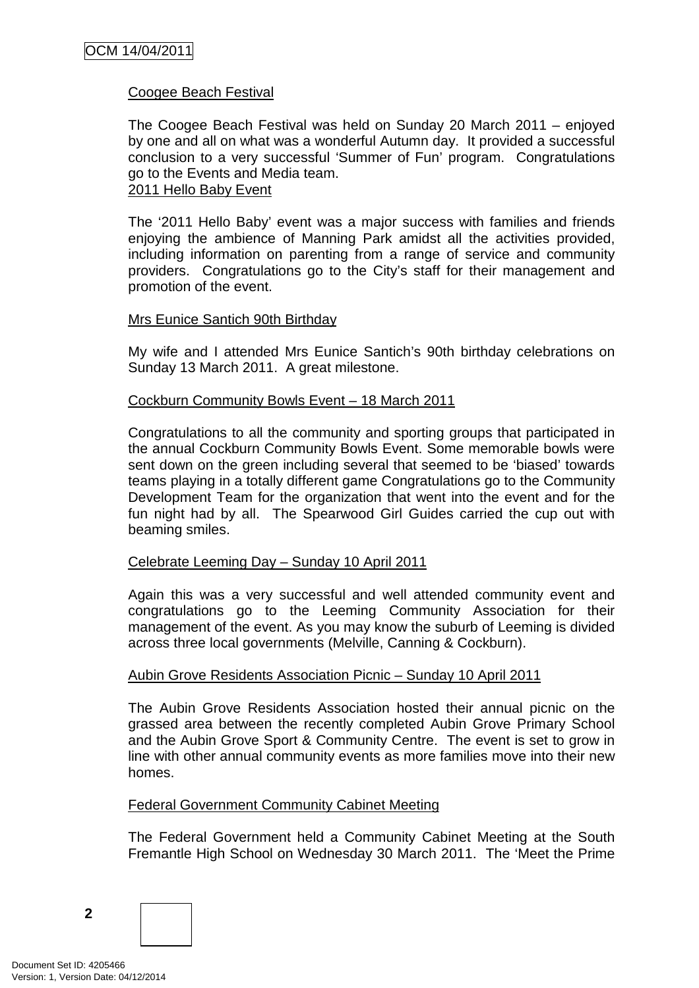#### Coogee Beach Festival

The Coogee Beach Festival was held on Sunday 20 March 2011 – enjoyed by one and all on what was a wonderful Autumn day. It provided a successful conclusion to a very successful 'Summer of Fun' program. Congratulations go to the Events and Media team. 2011 Hello Baby Event

The '2011 Hello Baby' event was a major success with families and friends enjoying the ambience of Manning Park amidst all the activities provided, including information on parenting from a range of service and community providers. Congratulations go to the City's staff for their management and promotion of the event.

#### Mrs Eunice Santich 90th Birthday

My wife and I attended Mrs Eunice Santich's 90th birthday celebrations on Sunday 13 March 2011. A great milestone.

#### Cockburn Community Bowls Event – 18 March 2011

Congratulations to all the community and sporting groups that participated in the annual Cockburn Community Bowls Event. Some memorable bowls were sent down on the green including several that seemed to be 'biased' towards teams playing in a totally different game Congratulations go to the Community Development Team for the organization that went into the event and for the fun night had by all. The Spearwood Girl Guides carried the cup out with beaming smiles.

#### Celebrate Leeming Day – Sunday 10 April 2011

Again this was a very successful and well attended community event and congratulations go to the Leeming Community Association for their management of the event. As you may know the suburb of Leeming is divided across three local governments (Melville, Canning & Cockburn).

#### Aubin Grove Residents Association Picnic – Sunday 10 April 2011

The Aubin Grove Residents Association hosted their annual picnic on the grassed area between the recently completed Aubin Grove Primary School and the Aubin Grove Sport & Community Centre. The event is set to grow in line with other annual community events as more families move into their new homes.

#### Federal Government Community Cabinet Meeting

The Federal Government held a Community Cabinet Meeting at the South Fremantle High School on Wednesday 30 March 2011. The 'Meet the Prime

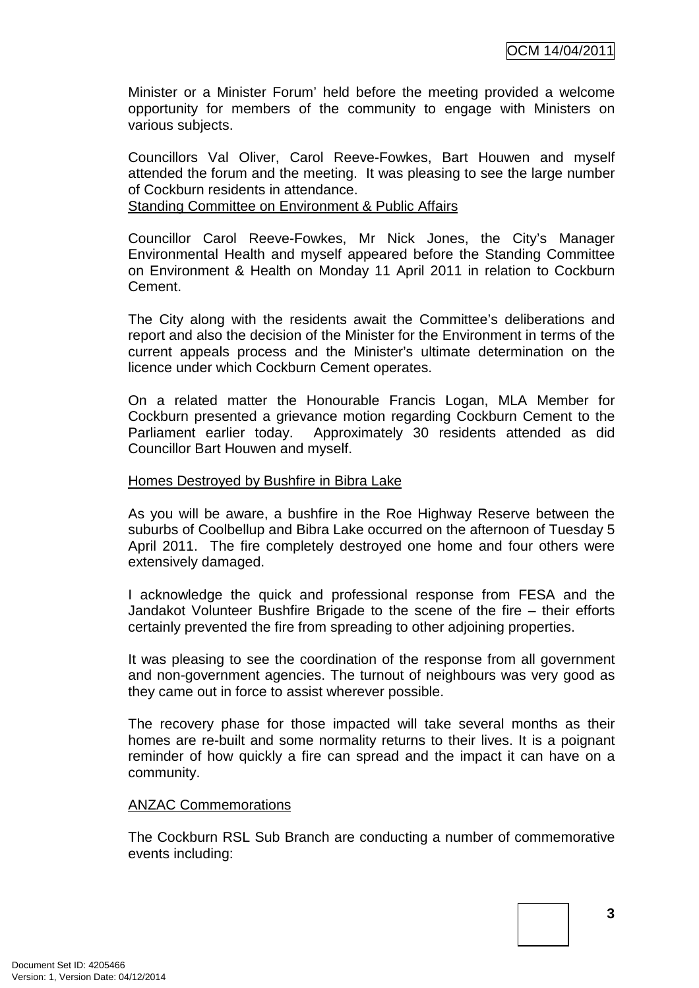Minister or a Minister Forum' held before the meeting provided a welcome opportunity for members of the community to engage with Ministers on various subjects.

Councillors Val Oliver, Carol Reeve-Fowkes, Bart Houwen and myself attended the forum and the meeting. It was pleasing to see the large number of Cockburn residents in attendance.

Standing Committee on Environment & Public Affairs

Councillor Carol Reeve-Fowkes, Mr Nick Jones, the City's Manager Environmental Health and myself appeared before the Standing Committee on Environment & Health on Monday 11 April 2011 in relation to Cockburn Cement.

The City along with the residents await the Committee's deliberations and report and also the decision of the Minister for the Environment in terms of the current appeals process and the Minister's ultimate determination on the licence under which Cockburn Cement operates.

On a related matter the Honourable Francis Logan, MLA Member for Cockburn presented a grievance motion regarding Cockburn Cement to the Parliament earlier today. Approximately 30 residents attended as did Councillor Bart Houwen and myself.

#### Homes Destroyed by Bushfire in Bibra Lake

As you will be aware, a bushfire in the Roe Highway Reserve between the suburbs of Coolbellup and Bibra Lake occurred on the afternoon of Tuesday 5 April 2011. The fire completely destroyed one home and four others were extensively damaged.

I acknowledge the quick and professional response from FESA and the Jandakot Volunteer Bushfire Brigade to the scene of the fire – their efforts certainly prevented the fire from spreading to other adjoining properties.

It was pleasing to see the coordination of the response from all government and non-government agencies. The turnout of neighbours was very good as they came out in force to assist wherever possible.

The recovery phase for those impacted will take several months as their homes are re-built and some normality returns to their lives. It is a poignant reminder of how quickly a fire can spread and the impact it can have on a community.

#### ANZAC Commemorations

The Cockburn RSL Sub Branch are conducting a number of commemorative events including: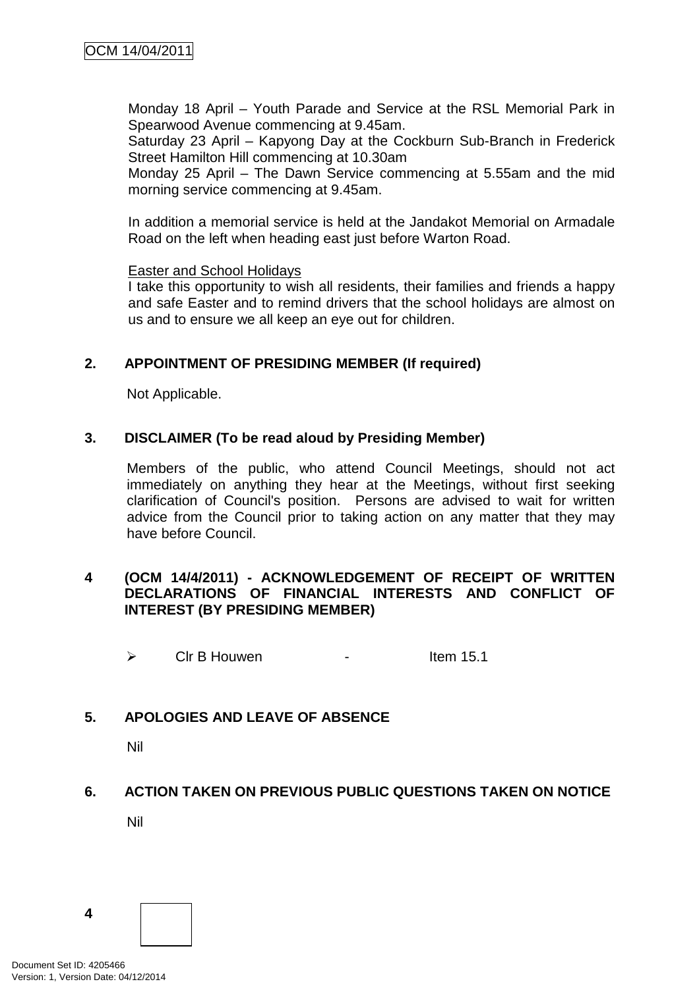Monday 18 April – Youth Parade and Service at the RSL Memorial Park in Spearwood Avenue commencing at 9.45am.

Saturday 23 April – Kapyong Day at the Cockburn Sub-Branch in Frederick Street Hamilton Hill commencing at 10.30am

Monday 25 April – The Dawn Service commencing at 5.55am and the mid morning service commencing at 9.45am.

In addition a memorial service is held at the Jandakot Memorial on Armadale Road on the left when heading east just before Warton Road.

#### Easter and School Holidays

I take this opportunity to wish all residents, their families and friends a happy and safe Easter and to remind drivers that the school holidays are almost on us and to ensure we all keep an eye out for children.

#### **2. APPOINTMENT OF PRESIDING MEMBER (If required)**

Not Applicable.

#### **3. DISCLAIMER (To be read aloud by Presiding Member)**

Members of the public, who attend Council Meetings, should not act immediately on anything they hear at the Meetings, without first seeking clarification of Council's position. Persons are advised to wait for written advice from the Council prior to taking action on any matter that they may have before Council.

#### **4 (OCM 14/4/2011) - ACKNOWLEDGEMENT OF RECEIPT OF WRITTEN DECLARATIONS OF FINANCIAL INTERESTS AND CONFLICT OF INTEREST (BY PRESIDING MEMBER)**

> Cir B Houwen - Item 15.1

## **5. APOLOGIES AND LEAVE OF ABSENCE**

Nil

## **6. ACTION TAKEN ON PREVIOUS PUBLIC QUESTIONS TAKEN ON NOTICE**

Nil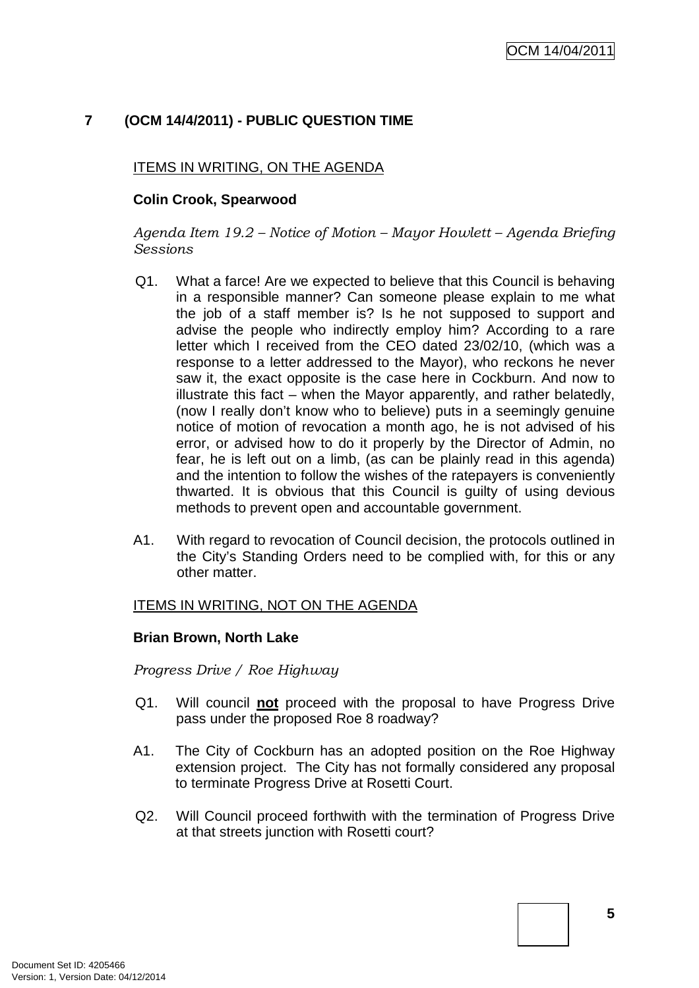# **7 (OCM 14/4/2011) - PUBLIC QUESTION TIME**

ITEMS IN WRITING, ON THE AGENDA

## **Colin Crook, Spearwood**

*Agenda Item 19.2 – Notice of Motion – Mayor Howlett – Agenda Briefing Sessions* 

- Q1. What a farce! Are we expected to believe that this Council is behaving in a responsible manner? Can someone please explain to me what the job of a staff member is? Is he not supposed to support and advise the people who indirectly employ him? According to a rare letter which I received from the CEO dated 23/02/10, (which was a response to a letter addressed to the Mayor), who reckons he never saw it, the exact opposite is the case here in Cockburn. And now to illustrate this fact – when the Mayor apparently, and rather belatedly, (now I really don't know who to believe) puts in a seemingly genuine notice of motion of revocation a month ago, he is not advised of his error, or advised how to do it properly by the Director of Admin, no fear, he is left out on a limb, (as can be plainly read in this agenda) and the intention to follow the wishes of the ratepayers is conveniently thwarted. It is obvious that this Council is guilty of using devious methods to prevent open and accountable government.
- A1. With regard to revocation of Council decision, the protocols outlined in the City's Standing Orders need to be complied with, for this or any other matter.

## ITEMS IN WRITING, NOT ON THE AGENDA

#### **Brian Brown, North Lake**

*Progress Drive / Roe Highway* 

- Q1. Will council **not** proceed with the proposal to have Progress Drive pass under the proposed Roe 8 roadway?
- A1. The City of Cockburn has an adopted position on the Roe Highway extension project. The City has not formally considered any proposal to terminate Progress Drive at Rosetti Court.
- Q2. Will Council proceed forthwith with the termination of Progress Drive at that streets junction with Rosetti court?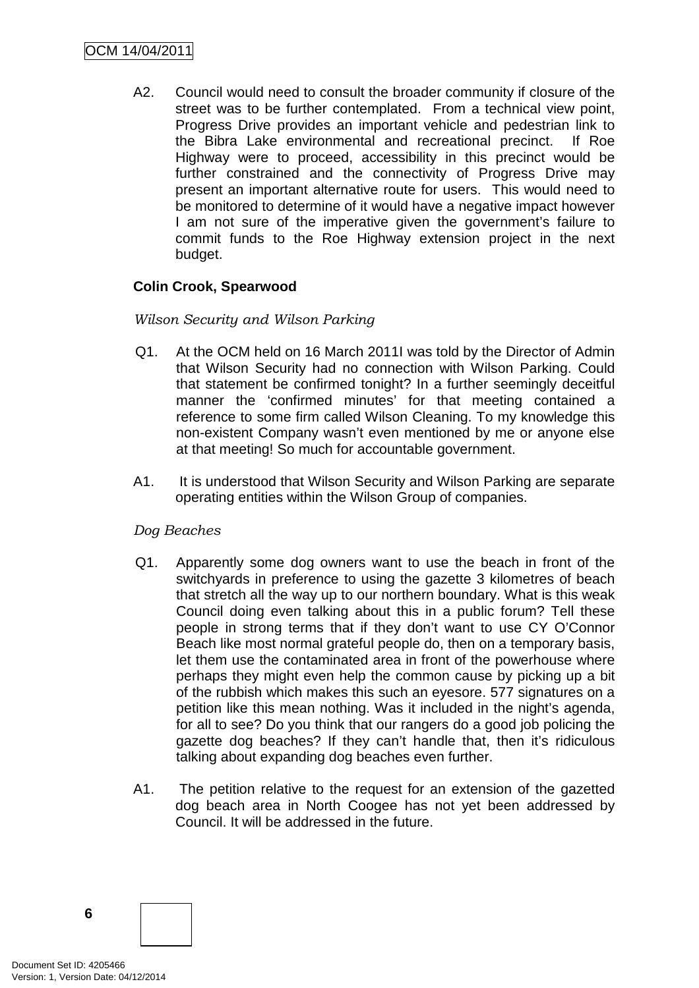A2. Council would need to consult the broader community if closure of the street was to be further contemplated. From a technical view point, Progress Drive provides an important vehicle and pedestrian link to the Bibra Lake environmental and recreational precinct. If Roe Highway were to proceed, accessibility in this precinct would be further constrained and the connectivity of Progress Drive may present an important alternative route for users. This would need to be monitored to determine of it would have a negative impact however I am not sure of the imperative given the government's failure to commit funds to the Roe Highway extension project in the next budget.

## **Colin Crook, Spearwood**

#### *Wilson Security and Wilson Parking*

- Q1. At the OCM held on 16 March 2011I was told by the Director of Admin that Wilson Security had no connection with Wilson Parking. Could that statement be confirmed tonight? In a further seemingly deceitful manner the 'confirmed minutes' for that meeting contained a reference to some firm called Wilson Cleaning. To my knowledge this non-existent Company wasn't even mentioned by me or anyone else at that meeting! So much for accountable government.
- A1. It is understood that Wilson Security and Wilson Parking are separate operating entities within the Wilson Group of companies.

## *Dog Beaches*

- Q1. Apparently some dog owners want to use the beach in front of the switchyards in preference to using the gazette 3 kilometres of beach that stretch all the way up to our northern boundary. What is this weak Council doing even talking about this in a public forum? Tell these people in strong terms that if they don't want to use CY O'Connor Beach like most normal grateful people do, then on a temporary basis, let them use the contaminated area in front of the powerhouse where perhaps they might even help the common cause by picking up a bit of the rubbish which makes this such an eyesore. 577 signatures on a petition like this mean nothing. Was it included in the night's agenda, for all to see? Do you think that our rangers do a good job policing the gazette dog beaches? If they can't handle that, then it's ridiculous talking about expanding dog beaches even further.
- A1. The petition relative to the request for an extension of the gazetted dog beach area in North Coogee has not yet been addressed by Council. It will be addressed in the future.

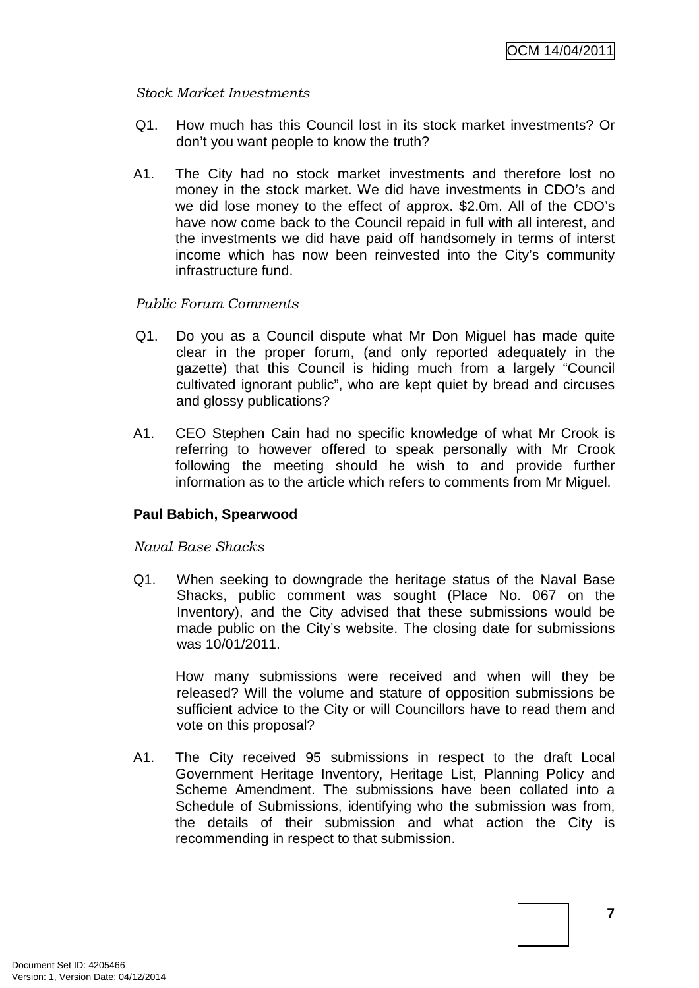#### *Stock Market Investments*

- Q1. How much has this Council lost in its stock market investments? Or don't you want people to know the truth?
- A1. The City had no stock market investments and therefore lost no money in the stock market. We did have investments in CDO's and we did lose money to the effect of approx. \$2.0m. All of the CDO's have now come back to the Council repaid in full with all interest, and the investments we did have paid off handsomely in terms of interst income which has now been reinvested into the City's community infrastructure fund.

#### *Public Forum Comments*

- Q1. Do you as a Council dispute what Mr Don Miguel has made quite clear in the proper forum, (and only reported adequately in the gazette) that this Council is hiding much from a largely "Council cultivated ignorant public", who are kept quiet by bread and circuses and glossy publications?
- A1. CEO Stephen Cain had no specific knowledge of what Mr Crook is referring to however offered to speak personally with Mr Crook following the meeting should he wish to and provide further information as to the article which refers to comments from Mr Miguel.

#### **Paul Babich, Spearwood**

#### *Naval Base Shacks*

Q1. When seeking to downgrade the heritage status of the Naval Base Shacks, public comment was sought (Place No. 067 on the Inventory), and the City advised that these submissions would be made public on the City's website. The closing date for submissions was 10/01/2011.

How many submissions were received and when will they be released? Will the volume and stature of opposition submissions be sufficient advice to the City or will Councillors have to read them and vote on this proposal?

A1. The City received 95 submissions in respect to the draft Local Government Heritage Inventory, Heritage List, Planning Policy and Scheme Amendment. The submissions have been collated into a Schedule of Submissions, identifying who the submission was from, the details of their submission and what action the City is recommending in respect to that submission.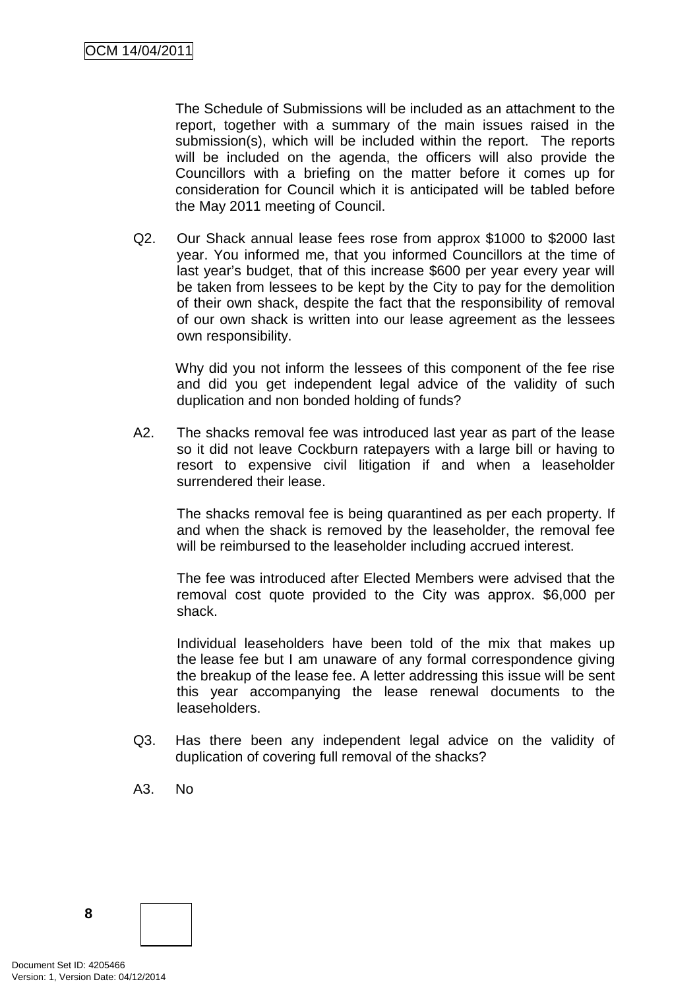The Schedule of Submissions will be included as an attachment to the report, together with a summary of the main issues raised in the submission(s), which will be included within the report. The reports will be included on the agenda, the officers will also provide the Councillors with a briefing on the matter before it comes up for consideration for Council which it is anticipated will be tabled before the May 2011 meeting of Council.

Q2. Our Shack annual lease fees rose from approx \$1000 to \$2000 last year. You informed me, that you informed Councillors at the time of last year's budget, that of this increase \$600 per year every year will be taken from lessees to be kept by the City to pay for the demolition of their own shack, despite the fact that the responsibility of removal of our own shack is written into our lease agreement as the lessees own responsibility.

Why did you not inform the lessees of this component of the fee rise and did you get independent legal advice of the validity of such duplication and non bonded holding of funds?

A2. The shacks removal fee was introduced last year as part of the lease so it did not leave Cockburn ratepayers with a large bill or having to resort to expensive civil litigation if and when a leaseholder surrendered their lease.

 The shacks removal fee is being quarantined as per each property. If and when the shack is removed by the leaseholder, the removal fee will be reimbursed to the leaseholder including accrued interest.

 The fee was introduced after Elected Members were advised that the removal cost quote provided to the City was approx. \$6,000 per shack.

 Individual leaseholders have been told of the mix that makes up the lease fee but I am unaware of any formal correspondence giving the breakup of the lease fee. A letter addressing this issue will be sent this year accompanying the lease renewal documents to the leaseholders.

- Q3. Has there been any independent legal advice on the validity of duplication of covering full removal of the shacks?
- A3. No

Document Set ID: 4205466<br>Version: 1, Version Date: 04/12/2014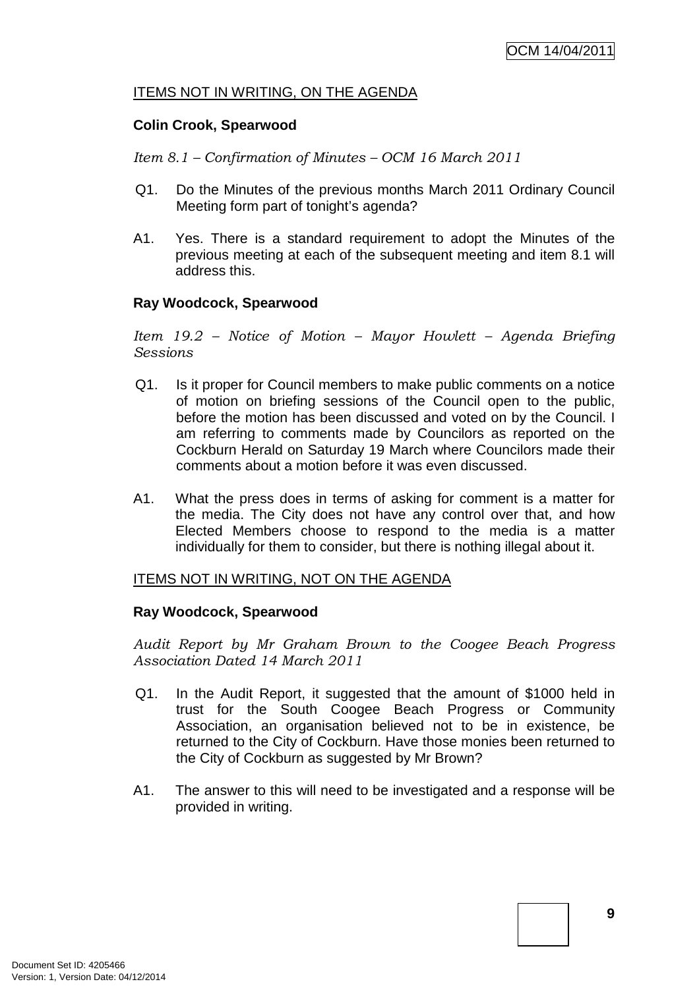## ITEMS NOT IN WRITING, ON THE AGENDA

#### **Colin Crook, Spearwood**

*Item 8.1 – Confirmation of Minutes – OCM 16 March 2011* 

- Q1. Do the Minutes of the previous months March 2011 Ordinary Council Meeting form part of tonight's agenda?
- A1. Yes. There is a standard requirement to adopt the Minutes of the previous meeting at each of the subsequent meeting and item 8.1 will address this.

#### **Ray Woodcock, Spearwood**

*Item 19.2 – Notice of Motion – Mayor Howlett – Agenda Briefing Sessions* 

- Q1. Is it proper for Council members to make public comments on a notice of motion on briefing sessions of the Council open to the public, before the motion has been discussed and voted on by the Council. I am referring to comments made by Councilors as reported on the Cockburn Herald on Saturday 19 March where Councilors made their comments about a motion before it was even discussed.
- A1. What the press does in terms of asking for comment is a matter for the media. The City does not have any control over that, and how Elected Members choose to respond to the media is a matter individually for them to consider, but there is nothing illegal about it.

ITEMS NOT IN WRITING, NOT ON THE AGENDA

#### **Ray Woodcock, Spearwood**

*Audit Report by Mr Graham Brown to the Coogee Beach Progress Association Dated 14 March 2011* 

- Q1. In the Audit Report, it suggested that the amount of \$1000 held in trust for the South Coogee Beach Progress or Community Association, an organisation believed not to be in existence, be returned to the City of Cockburn. Have those monies been returned to the City of Cockburn as suggested by Mr Brown?
- A1. The answer to this will need to be investigated and a response will be provided in writing.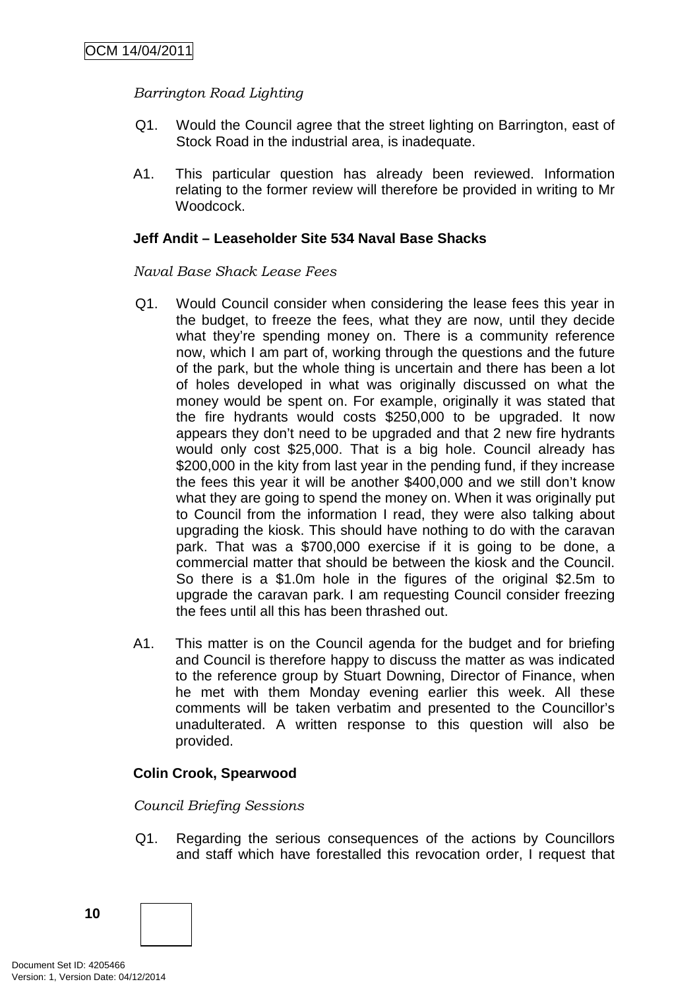#### *Barrington Road Lighting*

- Q1. Would the Council agree that the street lighting on Barrington, east of Stock Road in the industrial area, is inadequate.
- A1. This particular question has already been reviewed. Information relating to the former review will therefore be provided in writing to Mr Woodcock.

#### **Jeff Andit – Leaseholder Site 534 Naval Base Shacks**

#### *Naval Base Shack Lease Fees*

- Q1. Would Council consider when considering the lease fees this year in the budget, to freeze the fees, what they are now, until they decide what they're spending money on. There is a community reference now, which I am part of, working through the questions and the future of the park, but the whole thing is uncertain and there has been a lot of holes developed in what was originally discussed on what the money would be spent on. For example, originally it was stated that the fire hydrants would costs \$250,000 to be upgraded. It now appears they don't need to be upgraded and that 2 new fire hydrants would only cost \$25,000. That is a big hole. Council already has \$200,000 in the kity from last year in the pending fund, if they increase the fees this year it will be another \$400,000 and we still don't know what they are going to spend the money on. When it was originally put to Council from the information I read, they were also talking about upgrading the kiosk. This should have nothing to do with the caravan park. That was a \$700,000 exercise if it is going to be done, a commercial matter that should be between the kiosk and the Council. So there is a \$1.0m hole in the figures of the original \$2.5m to upgrade the caravan park. I am requesting Council consider freezing the fees until all this has been thrashed out.
- A1. This matter is on the Council agenda for the budget and for briefing and Council is therefore happy to discuss the matter as was indicated to the reference group by Stuart Downing, Director of Finance, when he met with them Monday evening earlier this week. All these comments will be taken verbatim and presented to the Councillor's unadulterated. A written response to this question will also be provided.

## **Colin Crook, Spearwood**

#### *Council Briefing Sessions*

Q1. Regarding the serious consequences of the actions by Councillors and staff which have forestalled this revocation order, I request that

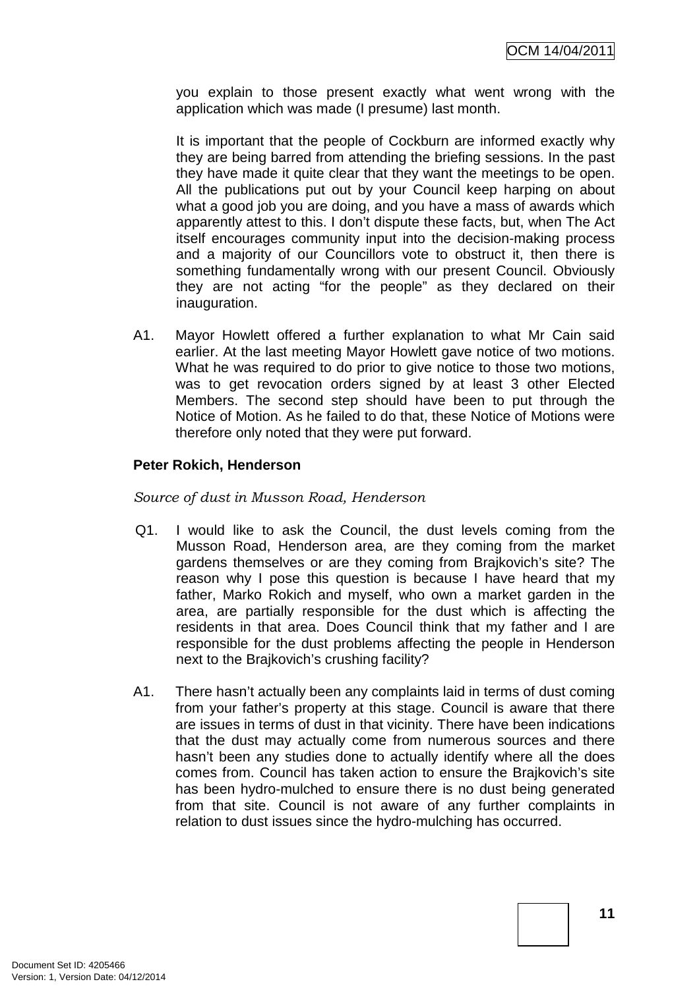you explain to those present exactly what went wrong with the application which was made (I presume) last month.

 It is important that the people of Cockburn are informed exactly why they are being barred from attending the briefing sessions. In the past they have made it quite clear that they want the meetings to be open. All the publications put out by your Council keep harping on about what a good job you are doing, and you have a mass of awards which apparently attest to this. I don't dispute these facts, but, when The Act itself encourages community input into the decision-making process and a majority of our Councillors vote to obstruct it, then there is something fundamentally wrong with our present Council. Obviously they are not acting "for the people" as they declared on their inauguration.

A1. Mayor Howlett offered a further explanation to what Mr Cain said earlier. At the last meeting Mayor Howlett gave notice of two motions. What he was required to do prior to give notice to those two motions, was to get revocation orders signed by at least 3 other Elected Members. The second step should have been to put through the Notice of Motion. As he failed to do that, these Notice of Motions were therefore only noted that they were put forward.

#### **Peter Rokich, Henderson**

*Source of dust in Musson Road, Henderson*

- Q1. I would like to ask the Council, the dust levels coming from the Musson Road, Henderson area, are they coming from the market gardens themselves or are they coming from Brajkovich's site? The reason why I pose this question is because I have heard that my father, Marko Rokich and myself, who own a market garden in the area, are partially responsible for the dust which is affecting the residents in that area. Does Council think that my father and I are responsible for the dust problems affecting the people in Henderson next to the Brajkovich's crushing facility?
- A1. There hasn't actually been any complaints laid in terms of dust coming from your father's property at this stage. Council is aware that there are issues in terms of dust in that vicinity. There have been indications that the dust may actually come from numerous sources and there hasn't been any studies done to actually identify where all the does comes from. Council has taken action to ensure the Brajkovich's site has been hydro-mulched to ensure there is no dust being generated from that site. Council is not aware of any further complaints in relation to dust issues since the hydro-mulching has occurred.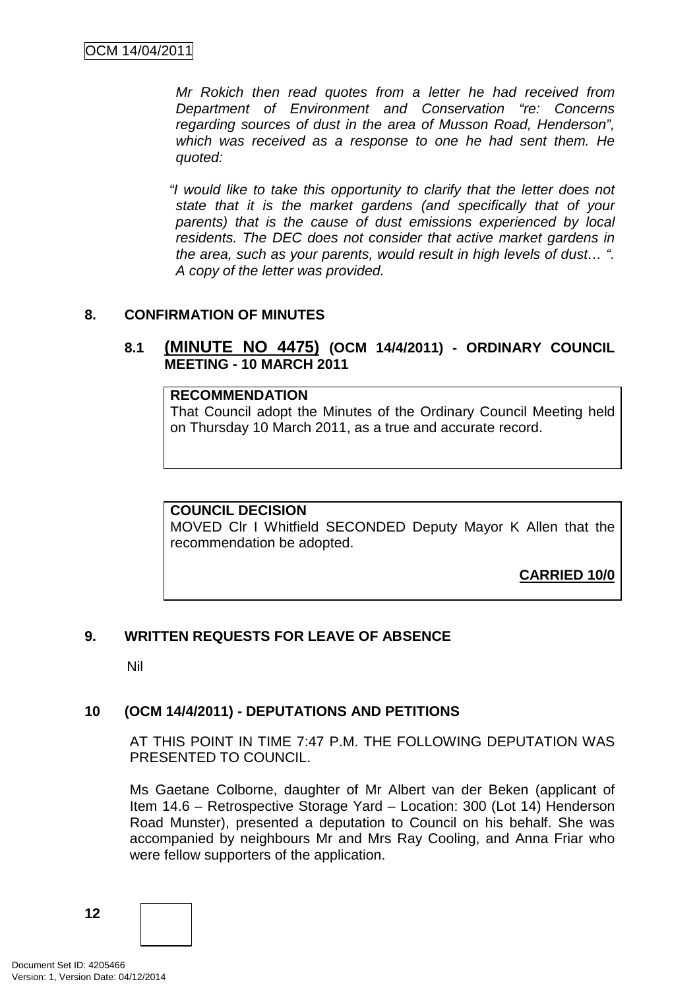Mr Rokich then read quotes from a letter he had received from Department of Environment and Conservation "re: Concerns regarding sources of dust in the area of Musson Road, Henderson", which was received as a response to one he had sent them. He quoted:

 "I would like to take this opportunity to clarify that the letter does not state that it is the market gardens (and specifically that of your parents) that is the cause of dust emissions experienced by local residents. The DEC does not consider that active market gardens in the area, such as your parents, would result in high levels of dust… ". A copy of the letter was provided.

#### **8. CONFIRMATION OF MINUTES**

#### **8.1 (MINUTE NO 4475) (OCM 14/4/2011) - ORDINARY COUNCIL MEETING - 10 MARCH 2011**

#### **RECOMMENDATION**

That Council adopt the Minutes of the Ordinary Council Meeting held on Thursday 10 March 2011, as a true and accurate record.

#### **COUNCIL DECISION**

MOVED Clr I Whitfield SECONDED Deputy Mayor K Allen that the recommendation be adopted.

**CARRIED 10/0**

## **9. WRITTEN REQUESTS FOR LEAVE OF ABSENCE**

Nil

## **10 (OCM 14/4/2011) - DEPUTATIONS AND PETITIONS**

AT THIS POINT IN TIME 7:47 P.M. THE FOLLOWING DEPUTATION WAS PRESENTED TO COUNCIL.

Ms Gaetane Colborne, daughter of Mr Albert van der Beken (applicant of Item 14.6 – Retrospective Storage Yard – Location: 300 (Lot 14) Henderson Road Munster), presented a deputation to Council on his behalf. She was accompanied by neighbours Mr and Mrs Ray Cooling, and Anna Friar who were fellow supporters of the application.

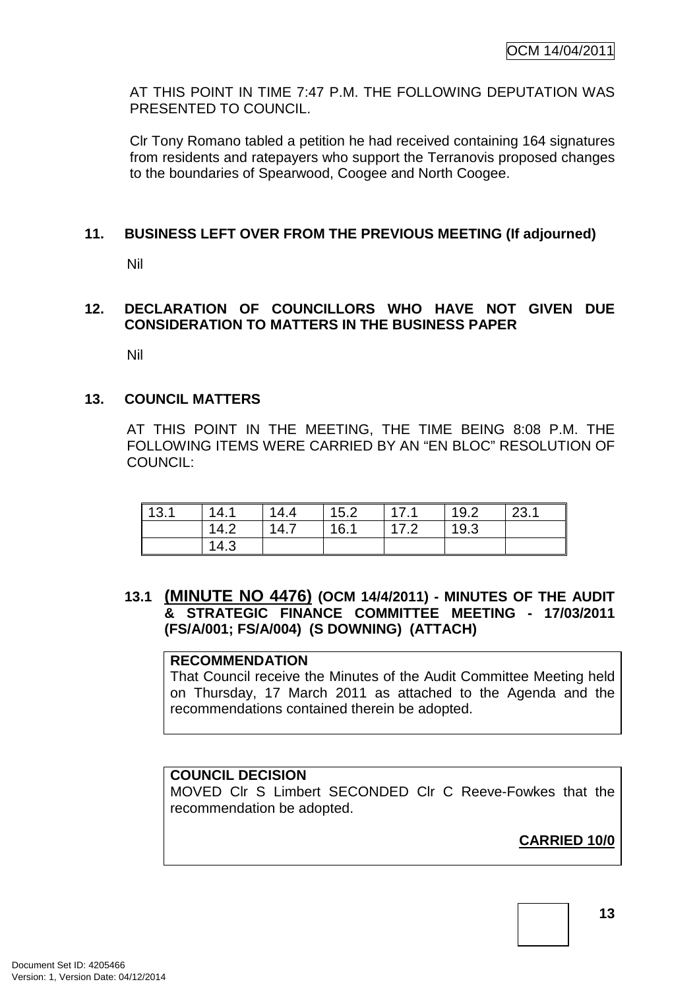AT THIS POINT IN TIME 7:47 P.M. THE FOLLOWING DEPUTATION WAS PRESENTED TO COUNCIL.

Clr Tony Romano tabled a petition he had received containing 164 signatures from residents and ratepayers who support the Terranovis proposed changes to the boundaries of Spearwood, Coogee and North Coogee.

#### **11. BUSINESS LEFT OVER FROM THE PREVIOUS MEETING (If adjourned)**

Nil

#### **12. DECLARATION OF COUNCILLORS WHO HAVE NOT GIVEN DUE CONSIDERATION TO MATTERS IN THE BUSINESS PAPER**

Nil

#### **13. COUNCIL MATTERS**

AT THIS POINT IN THE MEETING, THE TIME BEING 8:08 P.M. THE FOLLOWING ITEMS WERE CARRIED BY AN "EN BLOC" RESOLUTION OF COUNCIL:

| $\vert$ 13.1 | 14.1 | 14.4 | 15.2 | 17.1 | 19.2 | 23.1 |
|--------------|------|------|------|------|------|------|
|              | 14.2 | 14.7 | 16.1 | 17.2 | 19.3 |      |
|              | 14.3 |      |      |      |      |      |

#### **13.1 (MINUTE NO 4476) (OCM 14/4/2011) - MINUTES OF THE AUDIT & STRATEGIC FINANCE COMMITTEE MEETING - 17/03/2011 (FS/A/001; FS/A/004) (S DOWNING) (ATTACH)**

#### **RECOMMENDATION**

That Council receive the Minutes of the Audit Committee Meeting held on Thursday, 17 March 2011 as attached to the Agenda and the recommendations contained therein be adopted.

#### **COUNCIL DECISION**

MOVED Clr S Limbert SECONDED Clr C Reeve-Fowkes that the recommendation be adopted.

**CARRIED 10/0**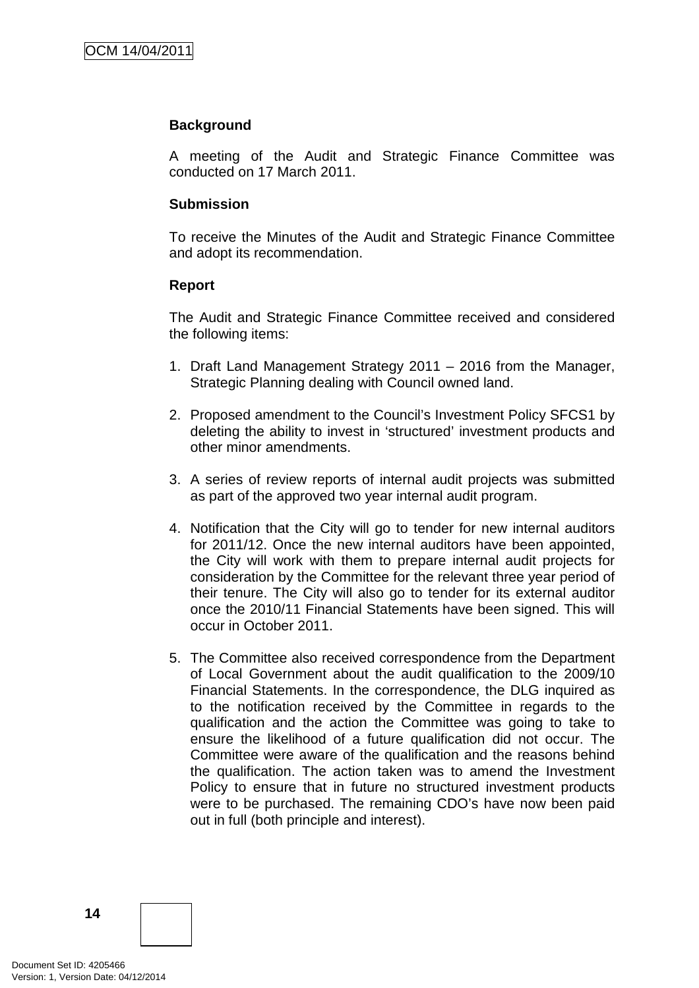#### **Background**

A meeting of the Audit and Strategic Finance Committee was conducted on 17 March 2011.

#### **Submission**

To receive the Minutes of the Audit and Strategic Finance Committee and adopt its recommendation.

#### **Report**

The Audit and Strategic Finance Committee received and considered the following items:

- 1. Draft Land Management Strategy 2011 2016 from the Manager, Strategic Planning dealing with Council owned land.
- 2. Proposed amendment to the Council's Investment Policy SFCS1 by deleting the ability to invest in 'structured' investment products and other minor amendments.
- 3. A series of review reports of internal audit projects was submitted as part of the approved two year internal audit program.
- 4. Notification that the City will go to tender for new internal auditors for 2011/12. Once the new internal auditors have been appointed, the City will work with them to prepare internal audit projects for consideration by the Committee for the relevant three year period of their tenure. The City will also go to tender for its external auditor once the 2010/11 Financial Statements have been signed. This will occur in October 2011.
- 5. The Committee also received correspondence from the Department of Local Government about the audit qualification to the 2009/10 Financial Statements. In the correspondence, the DLG inquired as to the notification received by the Committee in regards to the qualification and the action the Committee was going to take to ensure the likelihood of a future qualification did not occur. The Committee were aware of the qualification and the reasons behind the qualification. The action taken was to amend the Investment Policy to ensure that in future no structured investment products were to be purchased. The remaining CDO's have now been paid out in full (both principle and interest).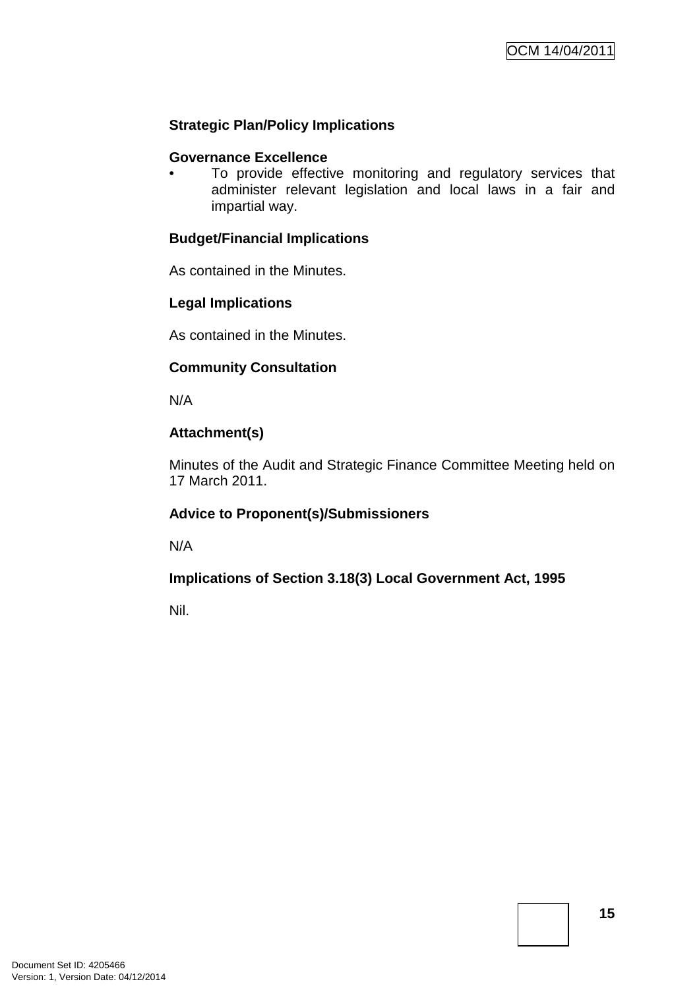## **Strategic Plan/Policy Implications**

#### **Governance Excellence**

• To provide effective monitoring and regulatory services that administer relevant legislation and local laws in a fair and impartial way.

#### **Budget/Financial Implications**

As contained in the Minutes.

#### **Legal Implications**

As contained in the Minutes.

#### **Community Consultation**

N/A

#### **Attachment(s)**

Minutes of the Audit and Strategic Finance Committee Meeting held on 17 March 2011.

#### **Advice to Proponent(s)/Submissioners**

N/A

#### **Implications of Section 3.18(3) Local Government Act, 1995**

Nil.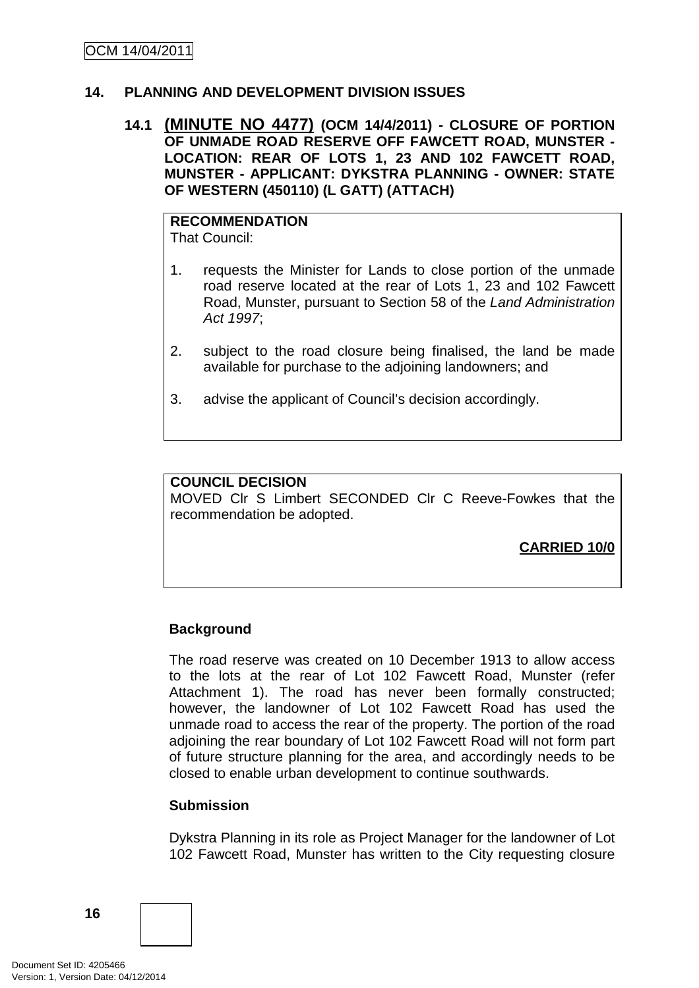#### **14. PLANNING AND DEVELOPMENT DIVISION ISSUES**

#### **14.1 (MINUTE NO 4477) (OCM 14/4/2011) - CLOSURE OF PORTION OF UNMADE ROAD RESERVE OFF FAWCETT ROAD, MUNSTER - LOCATION: REAR OF LOTS 1, 23 AND 102 FAWCETT ROAD, MUNSTER - APPLICANT: DYKSTRA PLANNING - OWNER: STATE OF WESTERN (450110) (L GATT) (ATTACH)**

#### **RECOMMENDATION**

That Council:

- 1. requests the Minister for Lands to close portion of the unmade road reserve located at the rear of Lots 1, 23 and 102 Fawcett Road, Munster, pursuant to Section 58 of the Land Administration Act 1997;
- 2. subject to the road closure being finalised, the land be made available for purchase to the adjoining landowners; and
- 3. advise the applicant of Council's decision accordingly.

## **COUNCIL DECISION**

MOVED Clr S Limbert SECONDED Clr C Reeve-Fowkes that the recommendation be adopted.

**CARRIED 10/0**

## **Background**

The road reserve was created on 10 December 1913 to allow access to the lots at the rear of Lot 102 Fawcett Road, Munster (refer Attachment 1). The road has never been formally constructed; however, the landowner of Lot 102 Fawcett Road has used the unmade road to access the rear of the property. The portion of the road adjoining the rear boundary of Lot 102 Fawcett Road will not form part of future structure planning for the area, and accordingly needs to be closed to enable urban development to continue southwards.

#### **Submission**

Dykstra Planning in its role as Project Manager for the landowner of Lot 102 Fawcett Road, Munster has written to the City requesting closure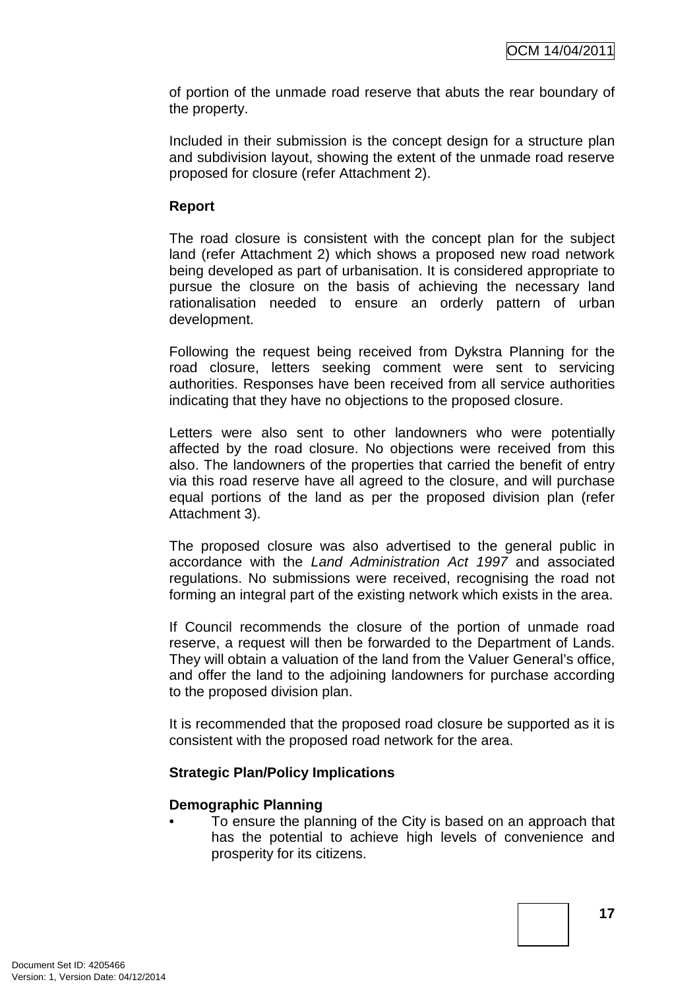of portion of the unmade road reserve that abuts the rear boundary of the property.

Included in their submission is the concept design for a structure plan and subdivision layout, showing the extent of the unmade road reserve proposed for closure (refer Attachment 2).

#### **Report**

The road closure is consistent with the concept plan for the subject land (refer Attachment 2) which shows a proposed new road network being developed as part of urbanisation. It is considered appropriate to pursue the closure on the basis of achieving the necessary land rationalisation needed to ensure an orderly pattern of urban development.

Following the request being received from Dykstra Planning for the road closure, letters seeking comment were sent to servicing authorities. Responses have been received from all service authorities indicating that they have no objections to the proposed closure.

Letters were also sent to other landowners who were potentially affected by the road closure. No objections were received from this also. The landowners of the properties that carried the benefit of entry via this road reserve have all agreed to the closure, and will purchase equal portions of the land as per the proposed division plan (refer Attachment 3).

The proposed closure was also advertised to the general public in accordance with the Land Administration Act 1997 and associated regulations. No submissions were received, recognising the road not forming an integral part of the existing network which exists in the area.

If Council recommends the closure of the portion of unmade road reserve, a request will then be forwarded to the Department of Lands. They will obtain a valuation of the land from the Valuer General's office, and offer the land to the adjoining landowners for purchase according to the proposed division plan.

It is recommended that the proposed road closure be supported as it is consistent with the proposed road network for the area.

#### **Strategic Plan/Policy Implications**

#### **Demographic Planning**

• To ensure the planning of the City is based on an approach that has the potential to achieve high levels of convenience and prosperity for its citizens.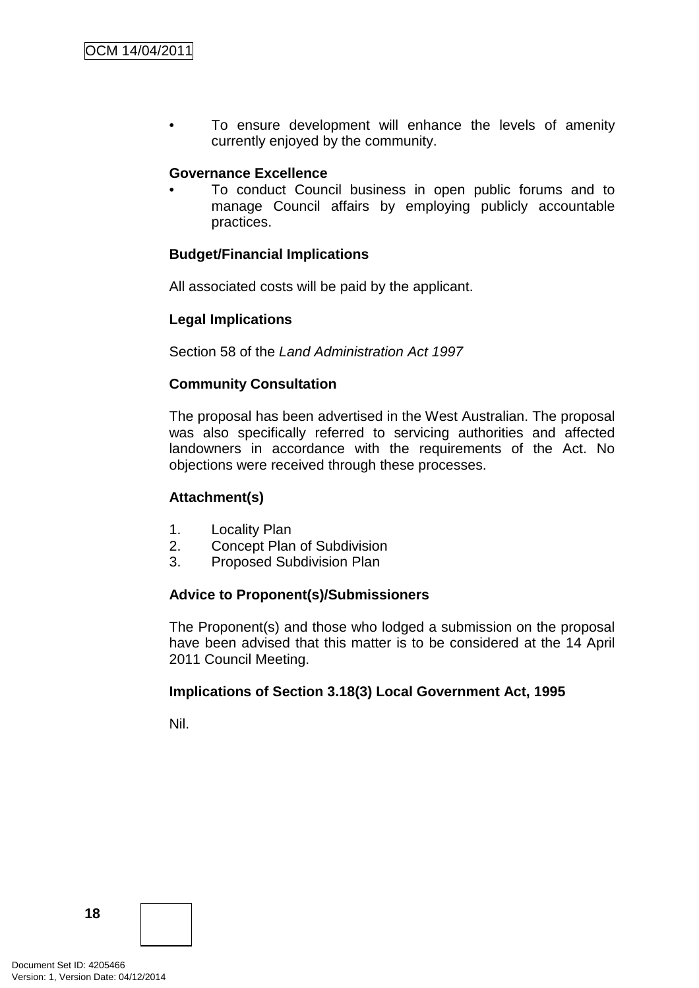To ensure development will enhance the levels of amenity currently enjoyed by the community.

#### **Governance Excellence**

• To conduct Council business in open public forums and to manage Council affairs by employing publicly accountable practices.

#### **Budget/Financial Implications**

All associated costs will be paid by the applicant.

#### **Legal Implications**

Section 58 of the Land Administration Act 1997

#### **Community Consultation**

The proposal has been advertised in the West Australian. The proposal was also specifically referred to servicing authorities and affected landowners in accordance with the requirements of the Act. No objections were received through these processes.

#### **Attachment(s)**

- 1. Locality Plan
- 2. Concept Plan of Subdivision
- 3. Proposed Subdivision Plan

#### **Advice to Proponent(s)/Submissioners**

The Proponent(s) and those who lodged a submission on the proposal have been advised that this matter is to be considered at the 14 April 2011 Council Meeting.

#### **Implications of Section 3.18(3) Local Government Act, 1995**

Nil.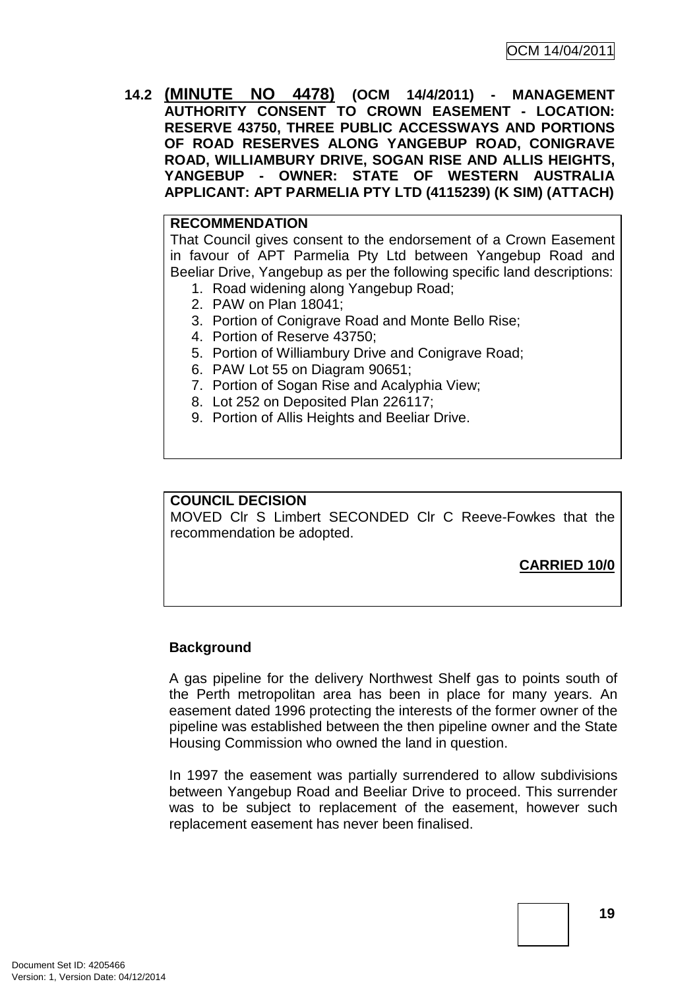**14.2 (MINUTE NO 4478) (OCM 14/4/2011) - MANAGEMENT AUTHORITY CONSENT TO CROWN EASEMENT - LOCATION: RESERVE 43750, THREE PUBLIC ACCESSWAYS AND PORTIONS OF ROAD RESERVES ALONG YANGEBUP ROAD, CONIGRAVE ROAD, WILLIAMBURY DRIVE, SOGAN RISE AND ALLIS HEIGHTS, YANGEBUP - OWNER: STATE OF WESTERN AUSTRALIA APPLICANT: APT PARMELIA PTY LTD (4115239) (K SIM) (ATTACH)** 

#### **RECOMMENDATION**

That Council gives consent to the endorsement of a Crown Easement in favour of APT Parmelia Pty Ltd between Yangebup Road and Beeliar Drive, Yangebup as per the following specific land descriptions:

- 1. Road widening along Yangebup Road;
- 2. PAW on Plan 18041;
- 3. Portion of Conigrave Road and Monte Bello Rise;
- 4. Portion of Reserve 43750;
- 5. Portion of Williambury Drive and Conigrave Road;
- 6. PAW Lot 55 on Diagram 90651;
- 7. Portion of Sogan Rise and Acalyphia View;
- 8. Lot 252 on Deposited Plan 226117;
- 9. Portion of Allis Heights and Beeliar Drive.

#### **COUNCIL DECISION**

MOVED Clr S Limbert SECONDED Clr C Reeve-Fowkes that the recommendation be adopted.

**CARRIED 10/0**

#### **Background**

A gas pipeline for the delivery Northwest Shelf gas to points south of the Perth metropolitan area has been in place for many years. An easement dated 1996 protecting the interests of the former owner of the pipeline was established between the then pipeline owner and the State Housing Commission who owned the land in question.

In 1997 the easement was partially surrendered to allow subdivisions between Yangebup Road and Beeliar Drive to proceed. This surrender was to be subject to replacement of the easement, however such replacement easement has never been finalised.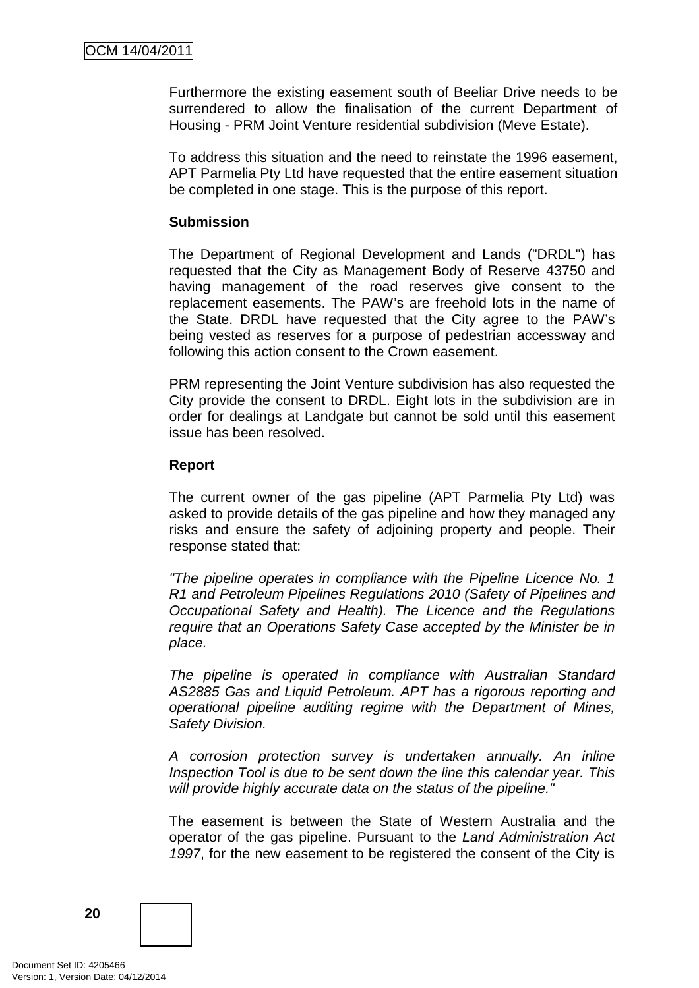Furthermore the existing easement south of Beeliar Drive needs to be surrendered to allow the finalisation of the current Department of Housing - PRM Joint Venture residential subdivision (Meve Estate).

To address this situation and the need to reinstate the 1996 easement, APT Parmelia Pty Ltd have requested that the entire easement situation be completed in one stage. This is the purpose of this report.

#### **Submission**

The Department of Regional Development and Lands ("DRDL") has requested that the City as Management Body of Reserve 43750 and having management of the road reserves give consent to the replacement easements. The PAW's are freehold lots in the name of the State. DRDL have requested that the City agree to the PAW's being vested as reserves for a purpose of pedestrian accessway and following this action consent to the Crown easement.

PRM representing the Joint Venture subdivision has also requested the City provide the consent to DRDL. Eight lots in the subdivision are in order for dealings at Landgate but cannot be sold until this easement issue has been resolved.

#### **Report**

The current owner of the gas pipeline (APT Parmelia Pty Ltd) was asked to provide details of the gas pipeline and how they managed any risks and ensure the safety of adjoining property and people. Their response stated that:

"The pipeline operates in compliance with the Pipeline Licence No. 1 R1 and Petroleum Pipelines Regulations 2010 (Safety of Pipelines and Occupational Safety and Health). The Licence and the Regulations require that an Operations Safety Case accepted by the Minister be in place.

The pipeline is operated in compliance with Australian Standard AS2885 Gas and Liquid Petroleum. APT has a rigorous reporting and operational pipeline auditing regime with the Department of Mines, Safety Division.

A corrosion protection survey is undertaken annually. An inline Inspection Tool is due to be sent down the line this calendar year. This will provide highly accurate data on the status of the pipeline."

The easement is between the State of Western Australia and the operator of the gas pipeline. Pursuant to the Land Administration Act 1997, for the new easement to be registered the consent of the City is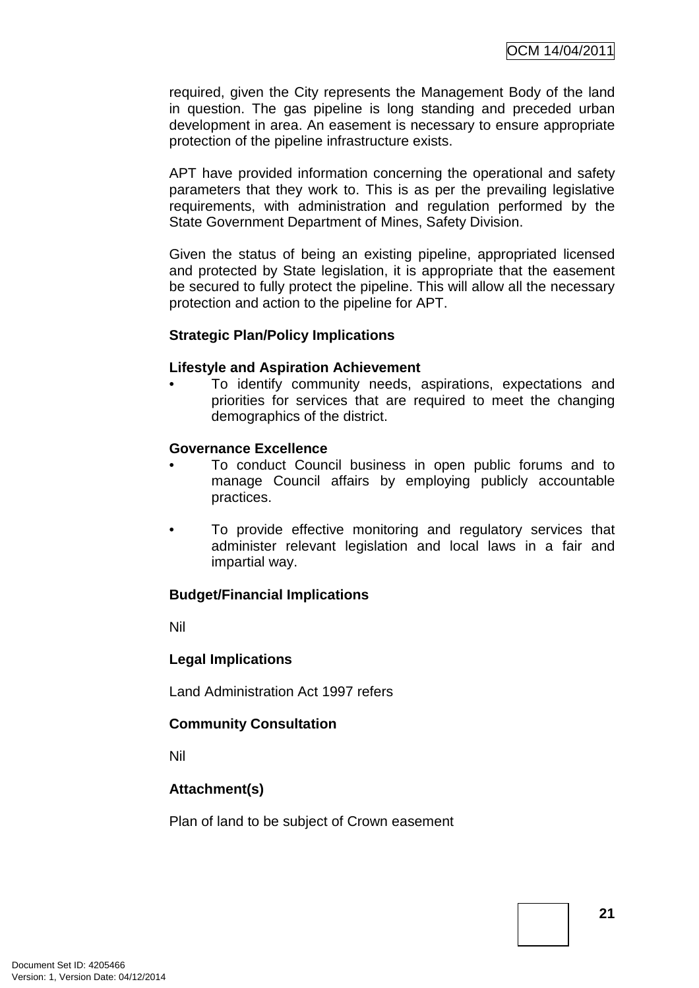required, given the City represents the Management Body of the land in question. The gas pipeline is long standing and preceded urban development in area. An easement is necessary to ensure appropriate protection of the pipeline infrastructure exists.

APT have provided information concerning the operational and safety parameters that they work to. This is as per the prevailing legislative requirements, with administration and regulation performed by the State Government Department of Mines, Safety Division.

Given the status of being an existing pipeline, appropriated licensed and protected by State legislation, it is appropriate that the easement be secured to fully protect the pipeline. This will allow all the necessary protection and action to the pipeline for APT.

#### **Strategic Plan/Policy Implications**

#### **Lifestyle and Aspiration Achievement**

• To identify community needs, aspirations, expectations and priorities for services that are required to meet the changing demographics of the district.

#### **Governance Excellence**

- To conduct Council business in open public forums and to manage Council affairs by employing publicly accountable practices.
- To provide effective monitoring and regulatory services that administer relevant legislation and local laws in a fair and impartial way.

#### **Budget/Financial Implications**

Nil

#### **Legal Implications**

Land Administration Act 1997 refers

#### **Community Consultation**

Nil

#### **Attachment(s)**

Plan of land to be subject of Crown easement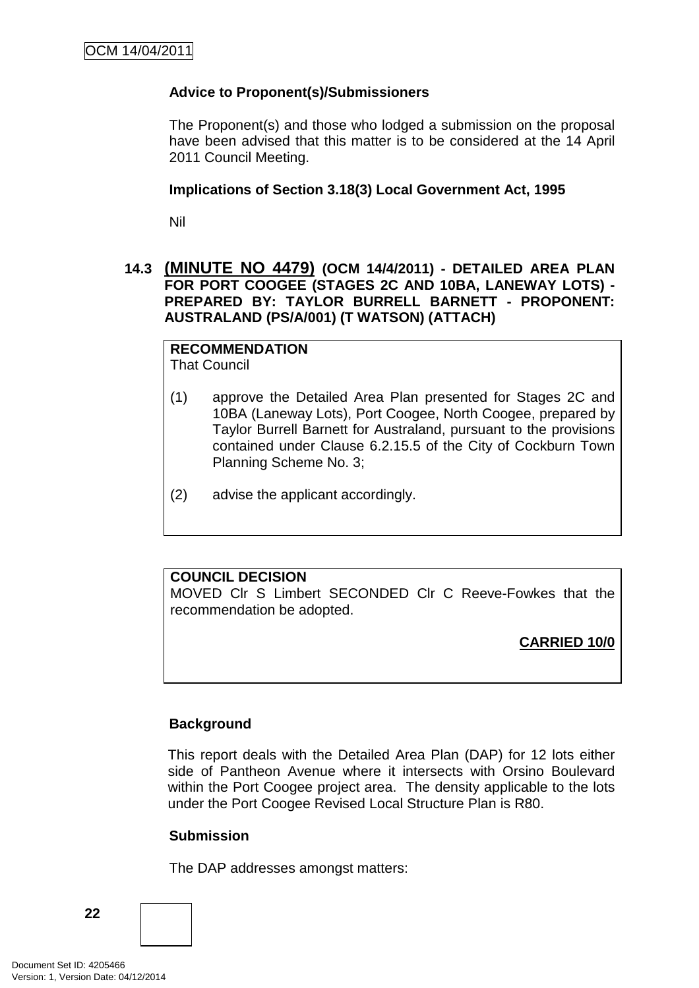## **Advice to Proponent(s)/Submissioners**

The Proponent(s) and those who lodged a submission on the proposal have been advised that this matter is to be considered at the 14 April 2011 Council Meeting.

#### **Implications of Section 3.18(3) Local Government Act, 1995**

Nil

#### **14.3 (MINUTE NO 4479) (OCM 14/4/2011) - DETAILED AREA PLAN FOR PORT COOGEE (STAGES 2C AND 10BA, LANEWAY LOTS) - PREPARED BY: TAYLOR BURRELL BARNETT - PROPONENT: AUSTRALAND (PS/A/001) (T WATSON) (ATTACH)**

#### **RECOMMENDATION** That Council

- (1) approve the Detailed Area Plan presented for Stages 2C and 10BA (Laneway Lots), Port Coogee, North Coogee, prepared by Taylor Burrell Barnett for Australand, pursuant to the provisions contained under Clause 6.2.15.5 of the City of Cockburn Town Planning Scheme No. 3;
- (2) advise the applicant accordingly.

## **COUNCIL DECISION**

MOVED Clr S Limbert SECONDED Clr C Reeve-Fowkes that the recommendation be adopted.

**CARRIED 10/0**

## **Background**

This report deals with the Detailed Area Plan (DAP) for 12 lots either side of Pantheon Avenue where it intersects with Orsino Boulevard within the Port Coogee project area. The density applicable to the lots under the Port Coogee Revised Local Structure Plan is R80.

## **Submission**

The DAP addresses amongst matters:

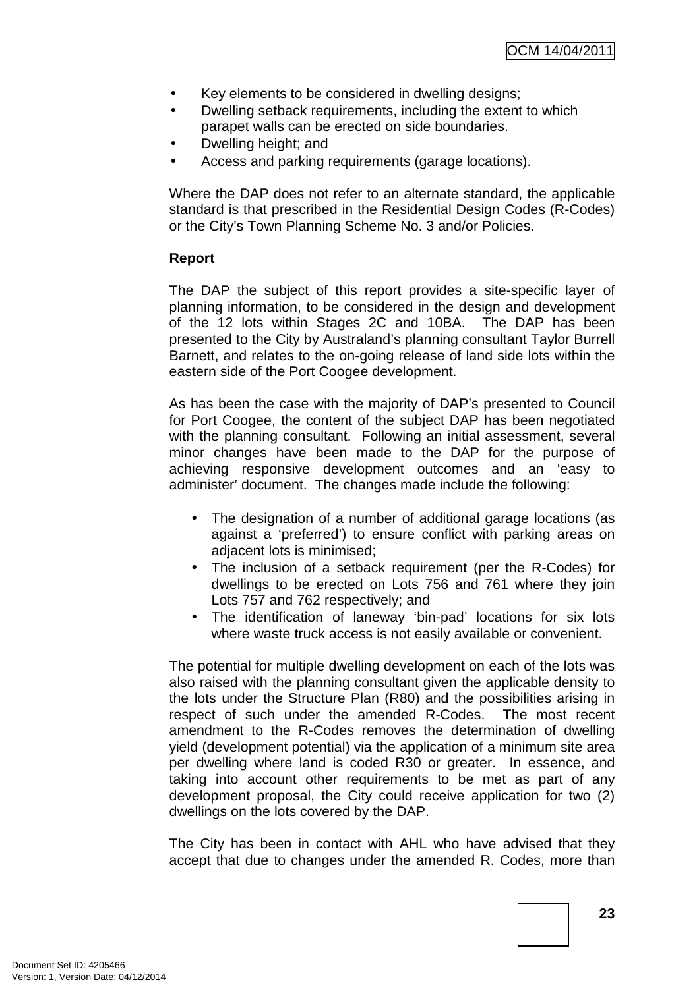- Key elements to be considered in dwelling designs;
- Dwelling setback requirements, including the extent to which parapet walls can be erected on side boundaries.
- Dwelling height; and
- Access and parking requirements (garage locations).

Where the DAP does not refer to an alternate standard, the applicable standard is that prescribed in the Residential Design Codes (R-Codes) or the City's Town Planning Scheme No. 3 and/or Policies.

#### **Report**

The DAP the subject of this report provides a site-specific layer of planning information, to be considered in the design and development of the 12 lots within Stages 2C and 10BA. The DAP has been presented to the City by Australand's planning consultant Taylor Burrell Barnett, and relates to the on-going release of land side lots within the eastern side of the Port Coogee development.

As has been the case with the majority of DAP's presented to Council for Port Coogee, the content of the subject DAP has been negotiated with the planning consultant. Following an initial assessment, several minor changes have been made to the DAP for the purpose of achieving responsive development outcomes and an 'easy to administer' document. The changes made include the following:

- The designation of a number of additional garage locations (as against a 'preferred') to ensure conflict with parking areas on adiacent lots is minimised:
- The inclusion of a setback requirement (per the R-Codes) for dwellings to be erected on Lots 756 and 761 where they join Lots 757 and 762 respectively; and
- The identification of laneway 'bin-pad' locations for six lots where waste truck access is not easily available or convenient.

The potential for multiple dwelling development on each of the lots was also raised with the planning consultant given the applicable density to the lots under the Structure Plan (R80) and the possibilities arising in respect of such under the amended R-Codes. The most recent amendment to the R-Codes removes the determination of dwelling yield (development potential) via the application of a minimum site area per dwelling where land is coded R30 or greater. In essence, and taking into account other requirements to be met as part of any development proposal, the City could receive application for two (2) dwellings on the lots covered by the DAP.

The City has been in contact with AHL who have advised that they accept that due to changes under the amended R. Codes, more than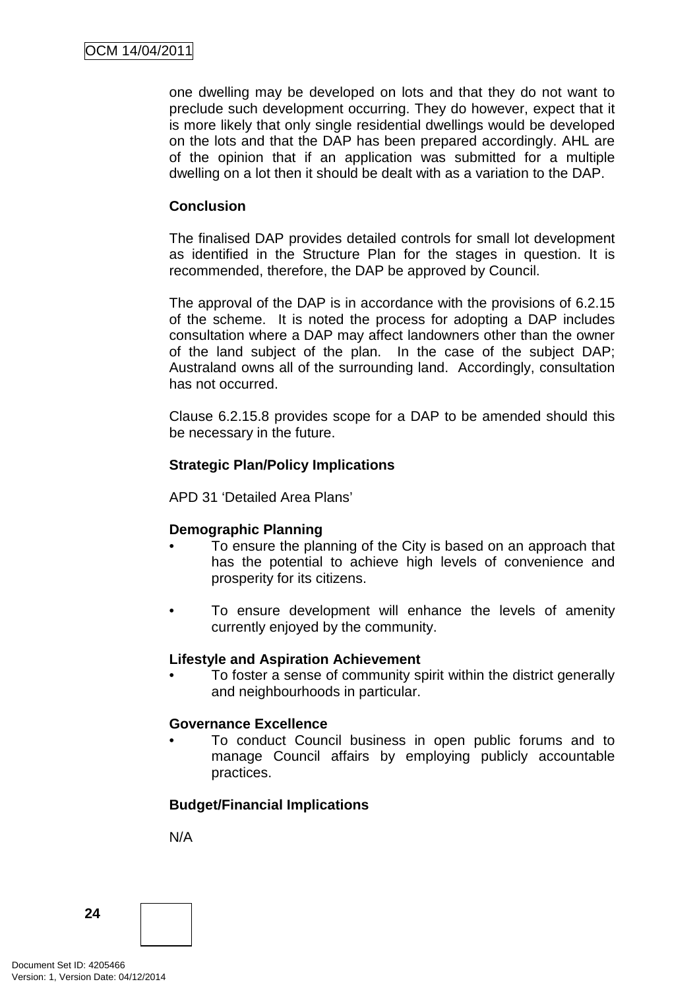one dwelling may be developed on lots and that they do not want to preclude such development occurring. They do however, expect that it is more likely that only single residential dwellings would be developed on the lots and that the DAP has been prepared accordingly. AHL are of the opinion that if an application was submitted for a multiple dwelling on a lot then it should be dealt with as a variation to the DAP.

#### **Conclusion**

The finalised DAP provides detailed controls for small lot development as identified in the Structure Plan for the stages in question. It is recommended, therefore, the DAP be approved by Council.

The approval of the DAP is in accordance with the provisions of 6.2.15 of the scheme. It is noted the process for adopting a DAP includes consultation where a DAP may affect landowners other than the owner of the land subject of the plan. In the case of the subject DAP; Australand owns all of the surrounding land. Accordingly, consultation has not occurred.

Clause 6.2.15.8 provides scope for a DAP to be amended should this be necessary in the future.

#### **Strategic Plan/Policy Implications**

APD 31 'Detailed Area Plans'

## **Demographic Planning**

- To ensure the planning of the City is based on an approach that has the potential to achieve high levels of convenience and prosperity for its citizens.
- To ensure development will enhance the levels of amenity currently enjoyed by the community.

#### **Lifestyle and Aspiration Achievement**

To foster a sense of community spirit within the district generally and neighbourhoods in particular.

#### **Governance Excellence**

• To conduct Council business in open public forums and to manage Council affairs by employing publicly accountable practices.

#### **Budget/Financial Implications**

N/A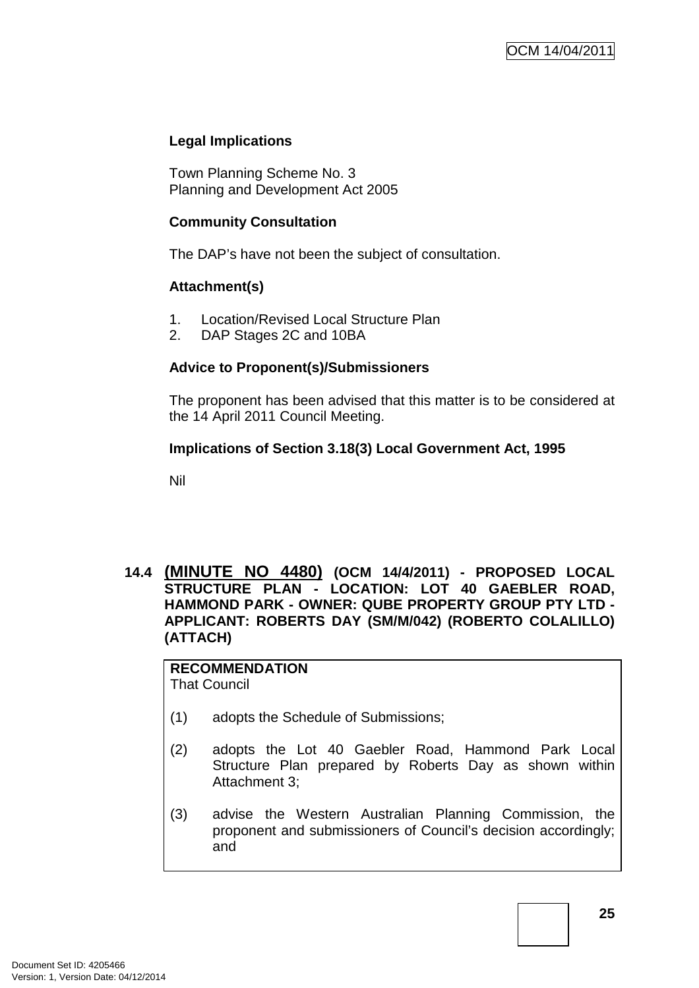## **Legal Implications**

Town Planning Scheme No. 3 Planning and Development Act 2005

## **Community Consultation**

The DAP's have not been the subject of consultation.

## **Attachment(s)**

- 1. Location/Revised Local Structure Plan
- 2. DAP Stages 2C and 10BA

## **Advice to Proponent(s)/Submissioners**

The proponent has been advised that this matter is to be considered at the 14 April 2011 Council Meeting.

## **Implications of Section 3.18(3) Local Government Act, 1995**

Nil

**14.4 (MINUTE NO 4480) (OCM 14/4/2011) - PROPOSED LOCAL STRUCTURE PLAN - LOCATION: LOT 40 GAEBLER ROAD, HAMMOND PARK - OWNER: QUBE PROPERTY GROUP PTY LTD - APPLICANT: ROBERTS DAY (SM/M/042) (ROBERTO COLALILLO) (ATTACH)** 

## **RECOMMENDATION**

That Council

- (1) adopts the Schedule of Submissions;
- (2) adopts the Lot 40 Gaebler Road, Hammond Park Local Structure Plan prepared by Roberts Day as shown within Attachment 3;
- (3) advise the Western Australian Planning Commission, the proponent and submissioners of Council's decision accordingly; and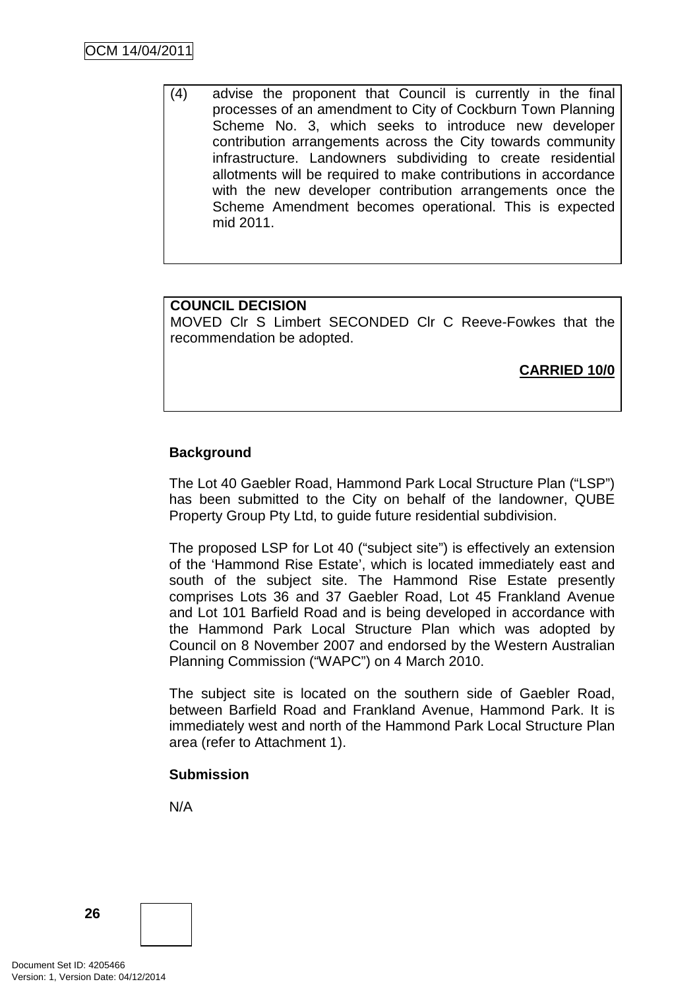(4) advise the proponent that Council is currently in the final processes of an amendment to City of Cockburn Town Planning Scheme No. 3, which seeks to introduce new developer contribution arrangements across the City towards community infrastructure. Landowners subdividing to create residential allotments will be required to make contributions in accordance with the new developer contribution arrangements once the Scheme Amendment becomes operational. This is expected mid 2011.

## **COUNCIL DECISION**

MOVED Clr S Limbert SECONDED Clr C Reeve-Fowkes that the recommendation be adopted.

**CARRIED 10/0**

## **Background**

The Lot 40 Gaebler Road, Hammond Park Local Structure Plan ("LSP") has been submitted to the City on behalf of the landowner, QUBE Property Group Pty Ltd, to guide future residential subdivision.

The proposed LSP for Lot 40 ("subject site") is effectively an extension of the 'Hammond Rise Estate', which is located immediately east and south of the subject site. The Hammond Rise Estate presently comprises Lots 36 and 37 Gaebler Road, Lot 45 Frankland Avenue and Lot 101 Barfield Road and is being developed in accordance with the Hammond Park Local Structure Plan which was adopted by Council on 8 November 2007 and endorsed by the Western Australian Planning Commission ("WAPC") on 4 March 2010.

The subject site is located on the southern side of Gaebler Road, between Barfield Road and Frankland Avenue, Hammond Park. It is immediately west and north of the Hammond Park Local Structure Plan area (refer to Attachment 1).

#### **Submission**

N/A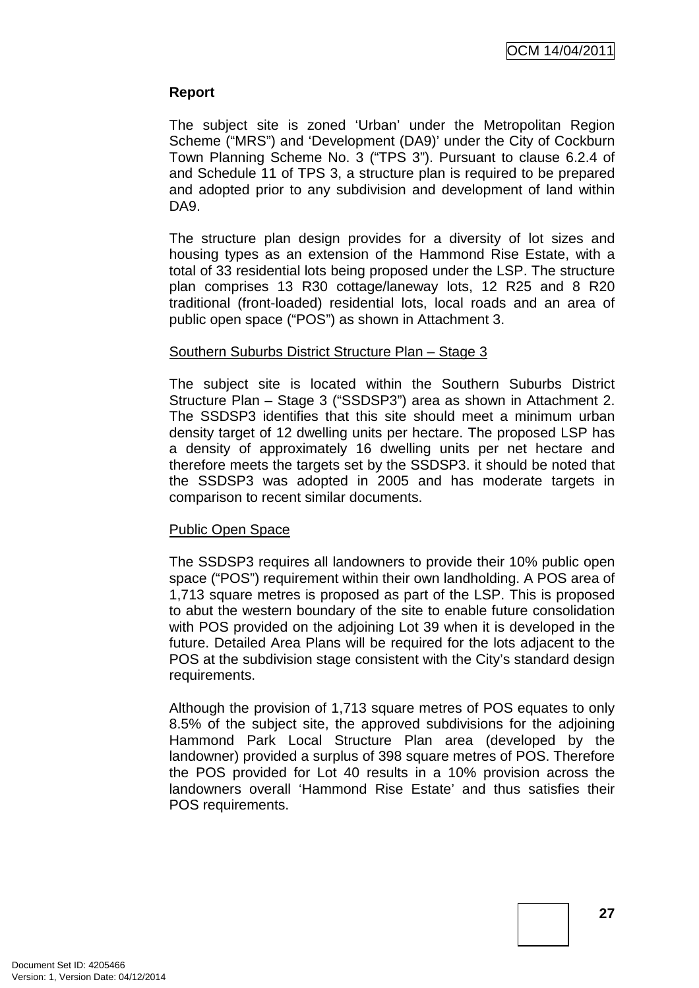## **Report**

The subject site is zoned 'Urban' under the Metropolitan Region Scheme ("MRS") and 'Development (DA9)' under the City of Cockburn Town Planning Scheme No. 3 ("TPS 3"). Pursuant to clause 6.2.4 of and Schedule 11 of TPS 3, a structure plan is required to be prepared and adopted prior to any subdivision and development of land within DA9.

The structure plan design provides for a diversity of lot sizes and housing types as an extension of the Hammond Rise Estate, with a total of 33 residential lots being proposed under the LSP. The structure plan comprises 13 R30 cottage/laneway lots, 12 R25 and 8 R20 traditional (front-loaded) residential lots, local roads and an area of public open space ("POS") as shown in Attachment 3.

#### Southern Suburbs District Structure Plan – Stage 3

The subject site is located within the Southern Suburbs District Structure Plan – Stage 3 ("SSDSP3") area as shown in Attachment 2. The SSDSP3 identifies that this site should meet a minimum urban density target of 12 dwelling units per hectare. The proposed LSP has a density of approximately 16 dwelling units per net hectare and therefore meets the targets set by the SSDSP3. it should be noted that the SSDSP3 was adopted in 2005 and has moderate targets in comparison to recent similar documents.

#### Public Open Space

The SSDSP3 requires all landowners to provide their 10% public open space ("POS") requirement within their own landholding. A POS area of 1,713 square metres is proposed as part of the LSP. This is proposed to abut the western boundary of the site to enable future consolidation with POS provided on the adjoining Lot 39 when it is developed in the future. Detailed Area Plans will be required for the lots adjacent to the POS at the subdivision stage consistent with the City's standard design requirements.

Although the provision of 1,713 square metres of POS equates to only 8.5% of the subject site, the approved subdivisions for the adjoining Hammond Park Local Structure Plan area (developed by the landowner) provided a surplus of 398 square metres of POS. Therefore the POS provided for Lot 40 results in a 10% provision across the landowners overall 'Hammond Rise Estate' and thus satisfies their POS requirements.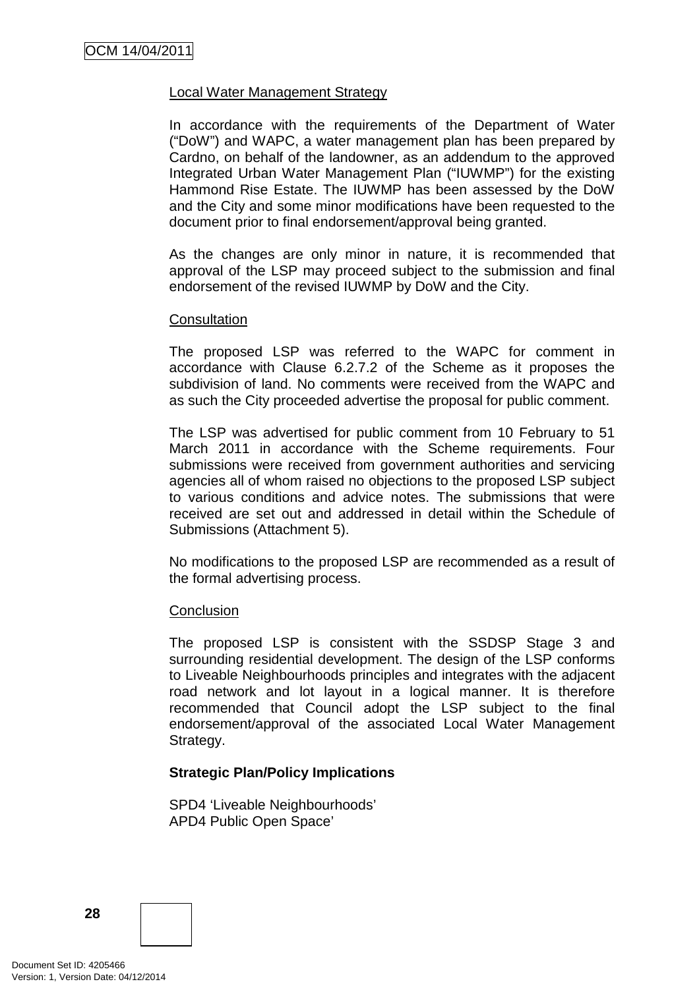#### Local Water Management Strategy

In accordance with the requirements of the Department of Water ("DoW") and WAPC, a water management plan has been prepared by Cardno, on behalf of the landowner, as an addendum to the approved Integrated Urban Water Management Plan ("IUWMP") for the existing Hammond Rise Estate. The IUWMP has been assessed by the DoW and the City and some minor modifications have been requested to the document prior to final endorsement/approval being granted.

As the changes are only minor in nature, it is recommended that approval of the LSP may proceed subject to the submission and final endorsement of the revised IUWMP by DoW and the City.

#### **Consultation**

The proposed LSP was referred to the WAPC for comment in accordance with Clause 6.2.7.2 of the Scheme as it proposes the subdivision of land. No comments were received from the WAPC and as such the City proceeded advertise the proposal for public comment.

The LSP was advertised for public comment from 10 February to 51 March 2011 in accordance with the Scheme requirements. Four submissions were received from government authorities and servicing agencies all of whom raised no objections to the proposed LSP subject to various conditions and advice notes. The submissions that were received are set out and addressed in detail within the Schedule of Submissions (Attachment 5).

No modifications to the proposed LSP are recommended as a result of the formal advertising process.

#### **Conclusion**

The proposed LSP is consistent with the SSDSP Stage 3 and surrounding residential development. The design of the LSP conforms to Liveable Neighbourhoods principles and integrates with the adjacent road network and lot layout in a logical manner. It is therefore recommended that Council adopt the LSP subject to the final endorsement/approval of the associated Local Water Management Strategy.

#### **Strategic Plan/Policy Implications**

SPD4 'Liveable Neighbourhoods' APD4 Public Open Space'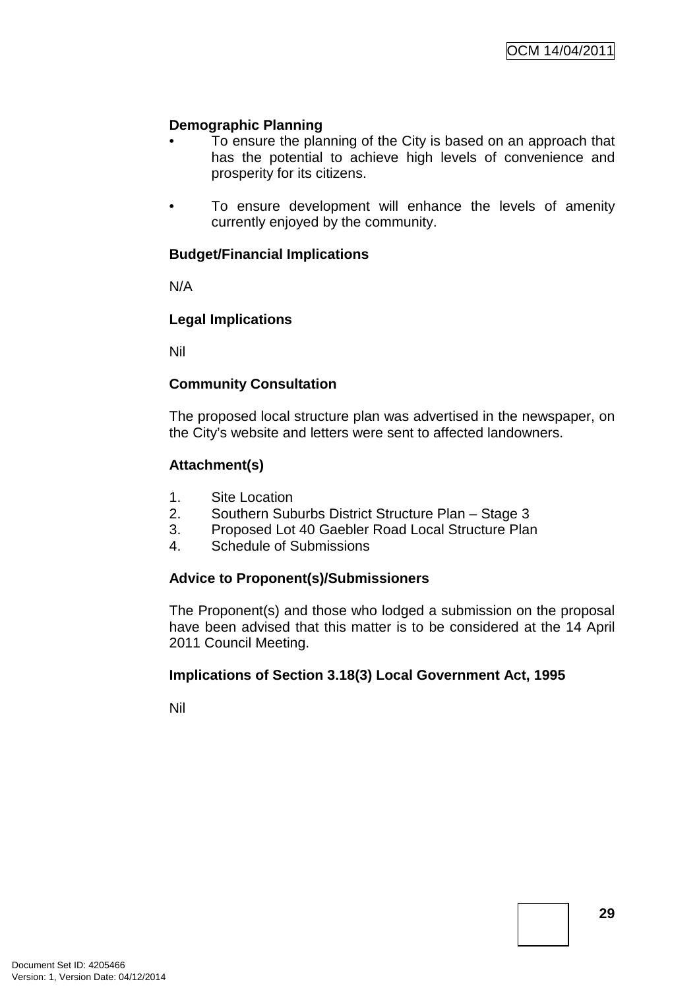#### **Demographic Planning**

- To ensure the planning of the City is based on an approach that has the potential to achieve high levels of convenience and prosperity for its citizens.
- To ensure development will enhance the levels of amenity currently enjoyed by the community.

#### **Budget/Financial Implications**

N/A

#### **Legal Implications**

Nil

#### **Community Consultation**

The proposed local structure plan was advertised in the newspaper, on the City's website and letters were sent to affected landowners.

#### **Attachment(s)**

- 1. Site Location
- 2. Southern Suburbs District Structure Plan Stage 3
- 3. Proposed Lot 40 Gaebler Road Local Structure Plan
- 4. Schedule of Submissions

#### **Advice to Proponent(s)/Submissioners**

The Proponent(s) and those who lodged a submission on the proposal have been advised that this matter is to be considered at the 14 April 2011 Council Meeting.

#### **Implications of Section 3.18(3) Local Government Act, 1995**

Nil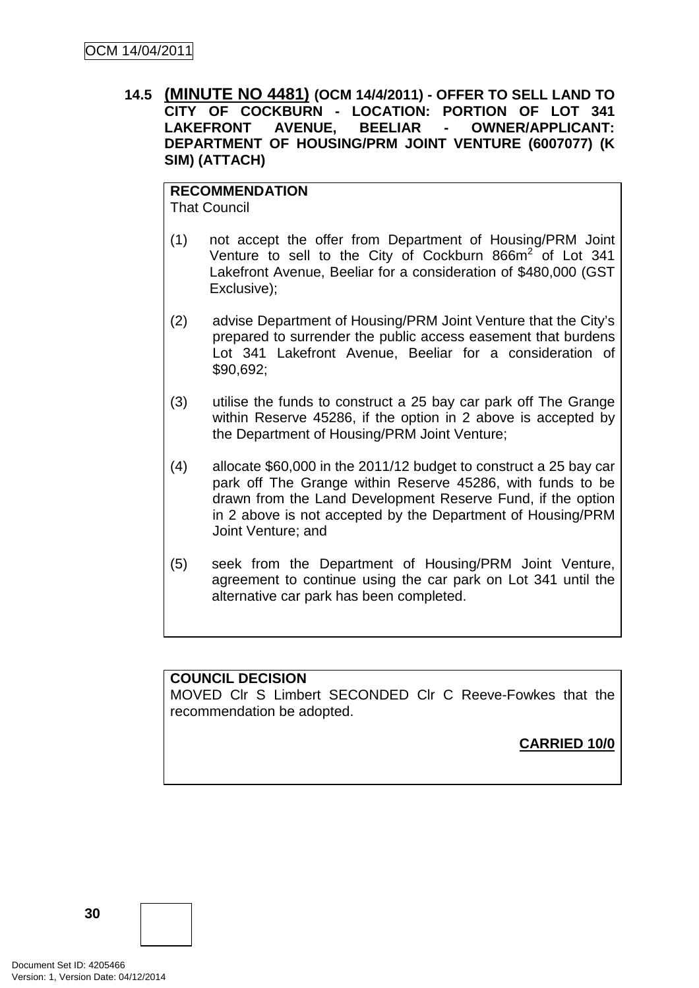**14.5 (MINUTE NO 4481) (OCM 14/4/2011) - OFFER TO SELL LAND TO CITY OF COCKBURN - LOCATION: PORTION OF LOT 341 LAKEFRONT AVENUE, BEELIAR - OWNER/APPLICANT: DEPARTMENT OF HOUSING/PRM JOINT VENTURE (6007077) (K SIM) (ATTACH)** 

**RECOMMENDATION** That Council

- (1) not accept the offer from Department of Housing/PRM Joint Venture to sell to the City of Cockburn  $866m^2$  of Lot 341 Lakefront Avenue, Beeliar for a consideration of \$480,000 (GST Exclusive);
- (2) advise Department of Housing/PRM Joint Venture that the City's prepared to surrender the public access easement that burdens Lot 341 Lakefront Avenue, Beeliar for a consideration of \$90,692;
- (3) utilise the funds to construct a 25 bay car park off The Grange within Reserve 45286, if the option in 2 above is accepted by the Department of Housing/PRM Joint Venture;
- (4) allocate \$60,000 in the 2011/12 budget to construct a 25 bay car park off The Grange within Reserve 45286, with funds to be drawn from the Land Development Reserve Fund, if the option in 2 above is not accepted by the Department of Housing/PRM Joint Venture; and
- (5) seek from the Department of Housing/PRM Joint Venture, agreement to continue using the car park on Lot 341 until the alternative car park has been completed.

#### **COUNCIL DECISION**

MOVED Clr S Limbert SECONDED Clr C Reeve-Fowkes that the recommendation be adopted.

**CARRIED 10/0**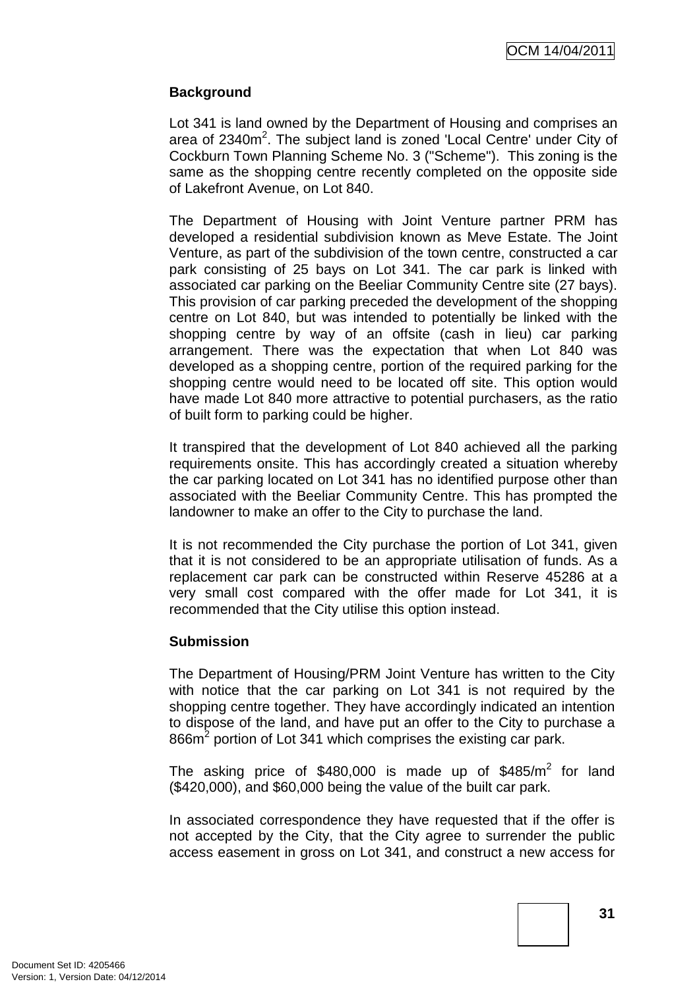## **Background**

Lot 341 is land owned by the Department of Housing and comprises an area of 2340m<sup>2</sup>. The subject land is zoned 'Local Centre' under City of Cockburn Town Planning Scheme No. 3 ("Scheme"). This zoning is the same as the shopping centre recently completed on the opposite side of Lakefront Avenue, on Lot 840.

The Department of Housing with Joint Venture partner PRM has developed a residential subdivision known as Meve Estate. The Joint Venture, as part of the subdivision of the town centre, constructed a car park consisting of 25 bays on Lot 341. The car park is linked with associated car parking on the Beeliar Community Centre site (27 bays). This provision of car parking preceded the development of the shopping centre on Lot 840, but was intended to potentially be linked with the shopping centre by way of an offsite (cash in lieu) car parking arrangement. There was the expectation that when Lot 840 was developed as a shopping centre, portion of the required parking for the shopping centre would need to be located off site. This option would have made Lot 840 more attractive to potential purchasers, as the ratio of built form to parking could be higher.

It transpired that the development of Lot 840 achieved all the parking requirements onsite. This has accordingly created a situation whereby the car parking located on Lot 341 has no identified purpose other than associated with the Beeliar Community Centre. This has prompted the landowner to make an offer to the City to purchase the land.

It is not recommended the City purchase the portion of Lot 341, given that it is not considered to be an appropriate utilisation of funds. As a replacement car park can be constructed within Reserve 45286 at a very small cost compared with the offer made for Lot 341, it is recommended that the City utilise this option instead.

#### **Submission**

The Department of Housing/PRM Joint Venture has written to the City with notice that the car parking on Lot 341 is not required by the shopping centre together. They have accordingly indicated an intention to dispose of the land, and have put an offer to the City to purchase a 866m<sup>2</sup> portion of Lot 341 which comprises the existing car park.

The asking price of \$480,000 is made up of \$485/m<sup>2</sup> for land (\$420,000), and \$60,000 being the value of the built car park.

In associated correspondence they have requested that if the offer is not accepted by the City, that the City agree to surrender the public access easement in gross on Lot 341, and construct a new access for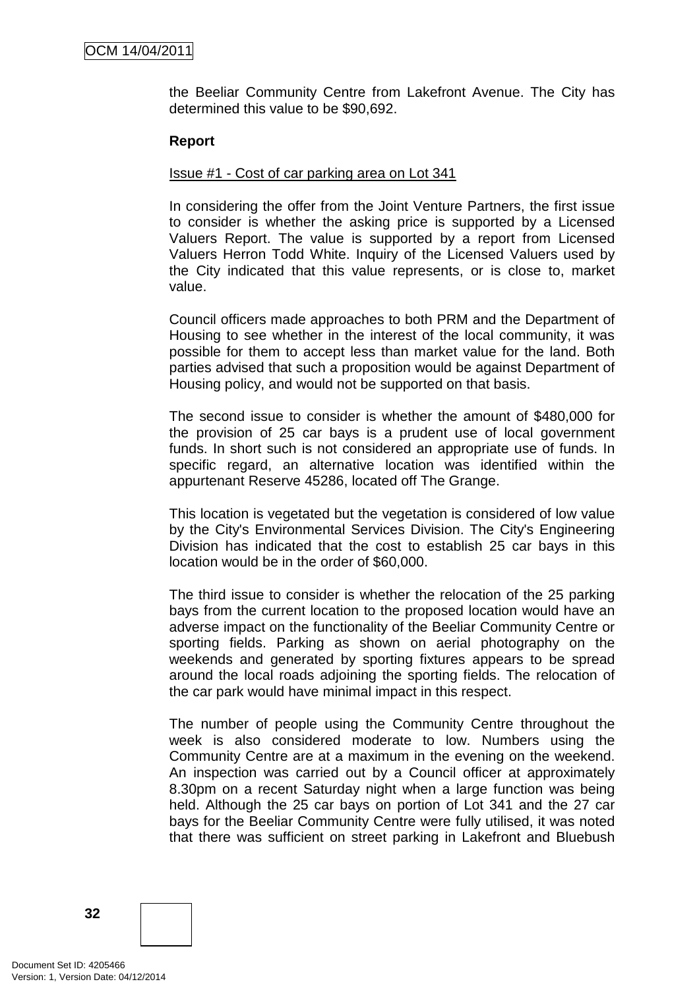the Beeliar Community Centre from Lakefront Avenue. The City has determined this value to be \$90,692.

#### **Report**

#### Issue #1 - Cost of car parking area on Lot 341

In considering the offer from the Joint Venture Partners, the first issue to consider is whether the asking price is supported by a Licensed Valuers Report. The value is supported by a report from Licensed Valuers Herron Todd White. Inquiry of the Licensed Valuers used by the City indicated that this value represents, or is close to, market value.

Council officers made approaches to both PRM and the Department of Housing to see whether in the interest of the local community, it was possible for them to accept less than market value for the land. Both parties advised that such a proposition would be against Department of Housing policy, and would not be supported on that basis.

The second issue to consider is whether the amount of \$480,000 for the provision of 25 car bays is a prudent use of local government funds. In short such is not considered an appropriate use of funds. In specific regard, an alternative location was identified within the appurtenant Reserve 45286, located off The Grange.

This location is vegetated but the vegetation is considered of low value by the City's Environmental Services Division. The City's Engineering Division has indicated that the cost to establish 25 car bays in this location would be in the order of \$60,000.

The third issue to consider is whether the relocation of the 25 parking bays from the current location to the proposed location would have an adverse impact on the functionality of the Beeliar Community Centre or sporting fields. Parking as shown on aerial photography on the weekends and generated by sporting fixtures appears to be spread around the local roads adjoining the sporting fields. The relocation of the car park would have minimal impact in this respect.

The number of people using the Community Centre throughout the week is also considered moderate to low. Numbers using the Community Centre are at a maximum in the evening on the weekend. An inspection was carried out by a Council officer at approximately 8.30pm on a recent Saturday night when a large function was being held. Although the 25 car bays on portion of Lot 341 and the 27 car bays for the Beeliar Community Centre were fully utilised, it was noted that there was sufficient on street parking in Lakefront and Bluebush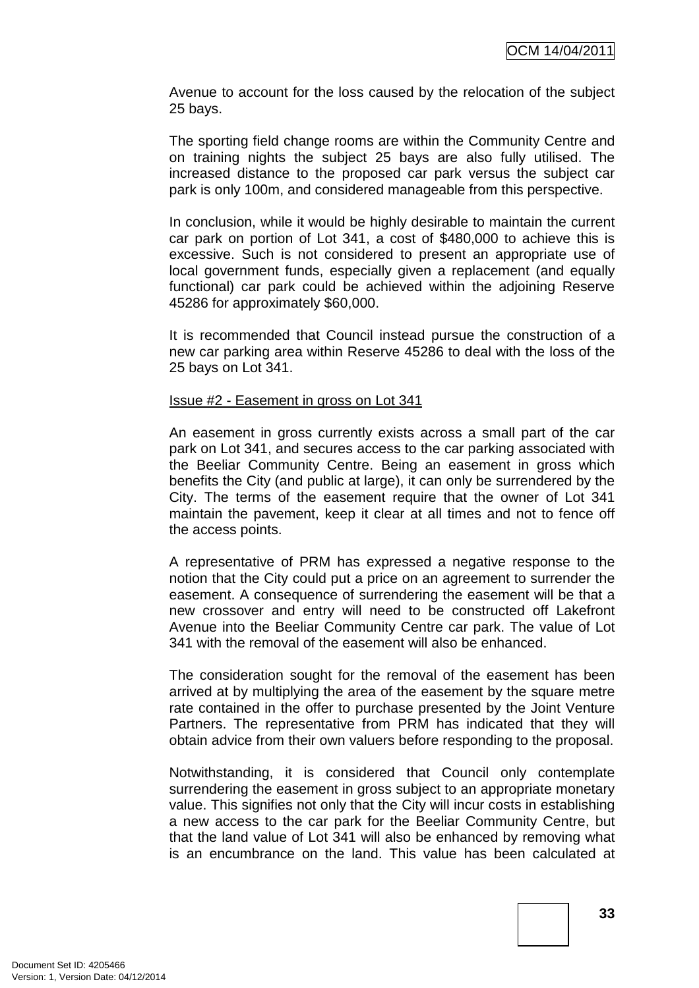Avenue to account for the loss caused by the relocation of the subject 25 bays.

The sporting field change rooms are within the Community Centre and on training nights the subject 25 bays are also fully utilised. The increased distance to the proposed car park versus the subject car park is only 100m, and considered manageable from this perspective.

In conclusion, while it would be highly desirable to maintain the current car park on portion of Lot 341, a cost of \$480,000 to achieve this is excessive. Such is not considered to present an appropriate use of local government funds, especially given a replacement (and equally functional) car park could be achieved within the adjoining Reserve 45286 for approximately \$60,000.

It is recommended that Council instead pursue the construction of a new car parking area within Reserve 45286 to deal with the loss of the 25 bays on Lot 341.

#### Issue #2 - Easement in gross on Lot 341

An easement in gross currently exists across a small part of the car park on Lot 341, and secures access to the car parking associated with the Beeliar Community Centre. Being an easement in gross which benefits the City (and public at large), it can only be surrendered by the City. The terms of the easement require that the owner of Lot 341 maintain the pavement, keep it clear at all times and not to fence off the access points.

A representative of PRM has expressed a negative response to the notion that the City could put a price on an agreement to surrender the easement. A consequence of surrendering the easement will be that a new crossover and entry will need to be constructed off Lakefront Avenue into the Beeliar Community Centre car park. The value of Lot 341 with the removal of the easement will also be enhanced.

The consideration sought for the removal of the easement has been arrived at by multiplying the area of the easement by the square metre rate contained in the offer to purchase presented by the Joint Venture Partners. The representative from PRM has indicated that they will obtain advice from their own valuers before responding to the proposal.

Notwithstanding, it is considered that Council only contemplate surrendering the easement in gross subject to an appropriate monetary value. This signifies not only that the City will incur costs in establishing a new access to the car park for the Beeliar Community Centre, but that the land value of Lot 341 will also be enhanced by removing what is an encumbrance on the land. This value has been calculated at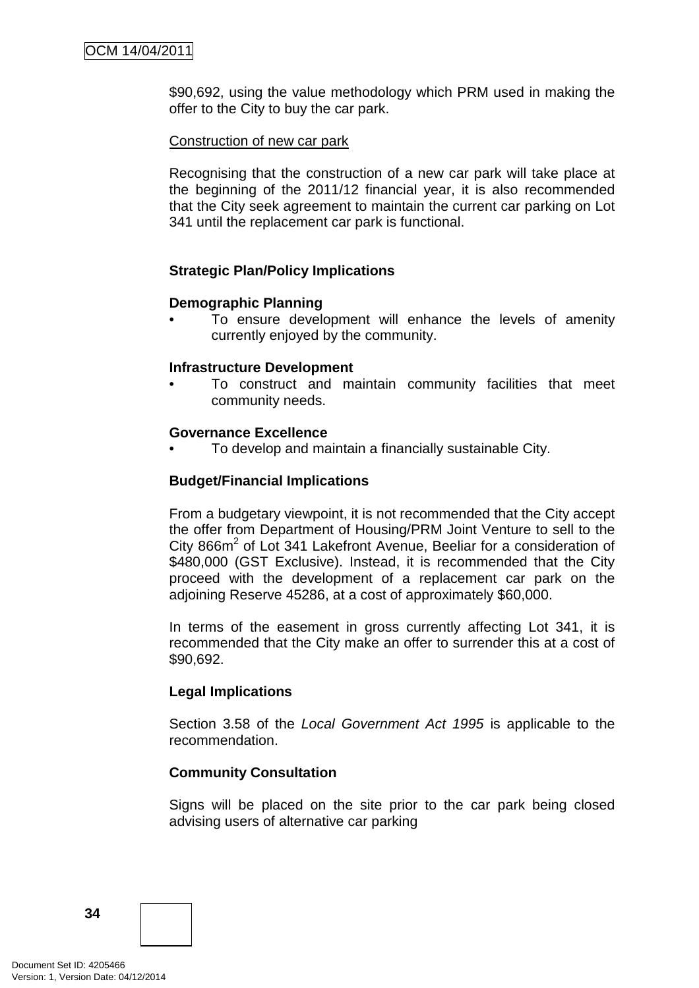\$90,692, using the value methodology which PRM used in making the offer to the City to buy the car park.

## Construction of new car park

Recognising that the construction of a new car park will take place at the beginning of the 2011/12 financial year, it is also recommended that the City seek agreement to maintain the current car parking on Lot 341 until the replacement car park is functional.

## **Strategic Plan/Policy Implications**

## **Demographic Planning**

To ensure development will enhance the levels of amenity currently enjoyed by the community.

## **Infrastructure Development**

• To construct and maintain community facilities that meet community needs.

#### **Governance Excellence**

• To develop and maintain a financially sustainable City.

## **Budget/Financial Implications**

From a budgetary viewpoint, it is not recommended that the City accept the offer from Department of Housing/PRM Joint Venture to sell to the City 866 $m<sup>2</sup>$  of Lot 341 Lakefront Avenue, Beeliar for a consideration of \$480,000 (GST Exclusive). Instead, it is recommended that the City proceed with the development of a replacement car park on the adjoining Reserve 45286, at a cost of approximately \$60,000.

In terms of the easement in gross currently affecting Lot 341, it is recommended that the City make an offer to surrender this at a cost of \$90,692.

## **Legal Implications**

Section 3.58 of the Local Government Act 1995 is applicable to the recommendation.

## **Community Consultation**

Signs will be placed on the site prior to the car park being closed advising users of alternative car parking

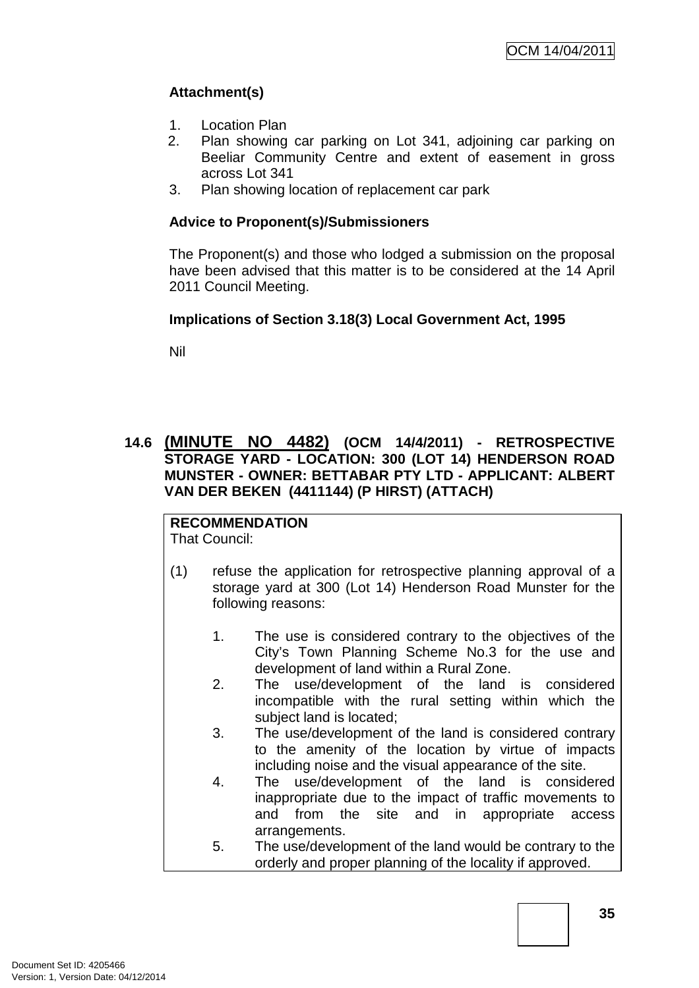## **Attachment(s)**

- 1. Location Plan
- 2. Plan showing car parking on Lot 341, adjoining car parking on Beeliar Community Centre and extent of easement in gross across Lot 341
- 3. Plan showing location of replacement car park

## **Advice to Proponent(s)/Submissioners**

The Proponent(s) and those who lodged a submission on the proposal have been advised that this matter is to be considered at the 14 April 2011 Council Meeting.

## **Implications of Section 3.18(3) Local Government Act, 1995**

Nil

## **14.6 (MINUTE NO 4482) (OCM 14/4/2011) - RETROSPECTIVE STORAGE YARD - LOCATION: 300 (LOT 14) HENDERSON ROAD MUNSTER - OWNER: BETTABAR PTY LTD - APPLICANT: ALBERT VAN DER BEKEN (4411144) (P HIRST) (ATTACH)**

#### **RECOMMENDATION** That Council:

- (1) refuse the application for retrospective planning approval of a storage yard at 300 (Lot 14) Henderson Road Munster for the following reasons:
	- 1. The use is considered contrary to the objectives of the City's Town Planning Scheme No.3 for the use and development of land within a Rural Zone.
	- 2. The use/development of the land is considered incompatible with the rural setting within which the subject land is located;
	- 3. The use/development of the land is considered contrary to the amenity of the location by virtue of impacts including noise and the visual appearance of the site.
	- 4. The use/development of the land is considered inappropriate due to the impact of traffic movements to and from the site and in appropriate access arrangements.
	- 5. The use/development of the land would be contrary to the orderly and proper planning of the locality if approved.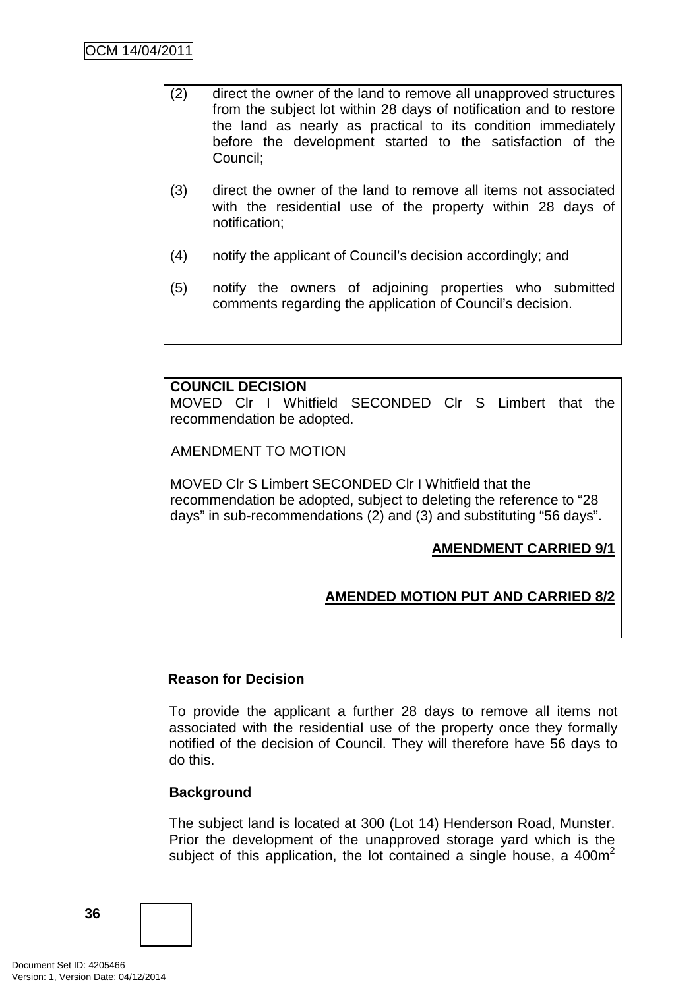- (2) direct the owner of the land to remove all unapproved structures from the subject lot within 28 days of notification and to restore the land as nearly as practical to its condition immediately before the development started to the satisfaction of the Council;
- (3) direct the owner of the land to remove all items not associated with the residential use of the property within 28 days of notification;
- (4) notify the applicant of Council's decision accordingly; and
- (5) notify the owners of adjoining properties who submitted comments regarding the application of Council's decision.

## **COUNCIL DECISION**

MOVED Clr I Whitfield SECONDED Clr S Limbert that the recommendation be adopted.

AMENDMENT TO MOTION

MOVED Clr S Limbert SECONDED Clr I Whitfield that the recommendation be adopted, subject to deleting the reference to "28 days" in sub-recommendations (2) and (3) and substituting "56 days".

## **AMENDMENT CARRIED 9/1**

## **AMENDED MOTION PUT AND CARRIED 8/2**

## **Reason for Decision**

To provide the applicant a further 28 days to remove all items not associated with the residential use of the property once they formally notified of the decision of Council. They will therefore have 56 days to do this.

## **Background**

The subject land is located at 300 (Lot 14) Henderson Road, Munster. Prior the development of the unapproved storage yard which is the subject of this application, the lot contained a single house, a  $400m^2$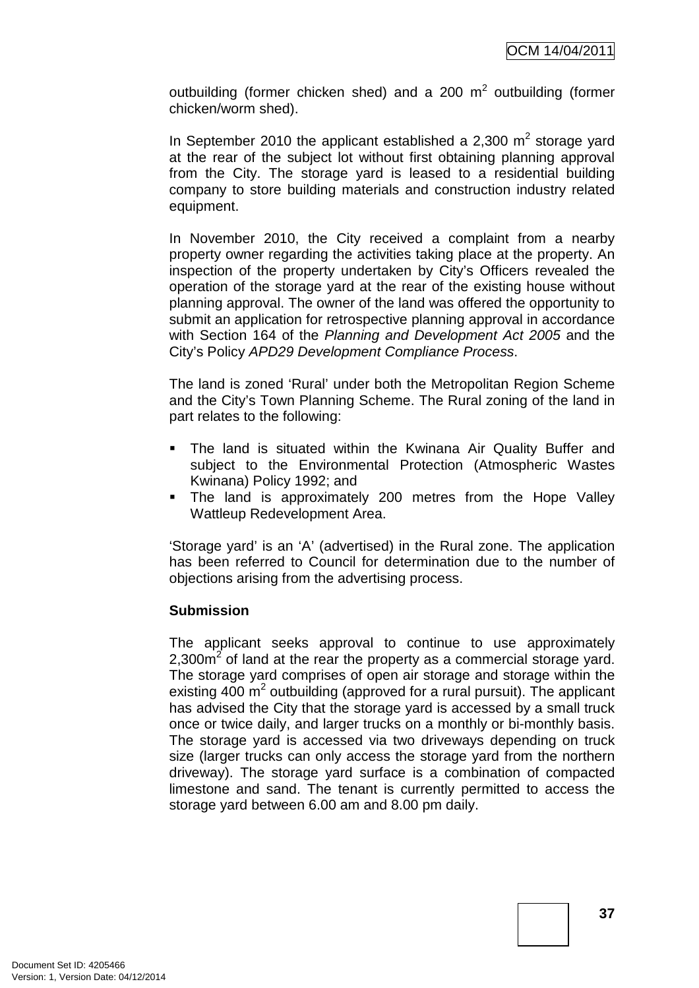outbuilding (former chicken shed) and a 200  $m^2$  outbuilding (former chicken/worm shed).

In September 2010 the applicant established a 2,300  $m^2$  storage yard at the rear of the subject lot without first obtaining planning approval from the City. The storage yard is leased to a residential building company to store building materials and construction industry related equipment.

In November 2010, the City received a complaint from a nearby property owner regarding the activities taking place at the property. An inspection of the property undertaken by City's Officers revealed the operation of the storage yard at the rear of the existing house without planning approval. The owner of the land was offered the opportunity to submit an application for retrospective planning approval in accordance with Section 164 of the Planning and Development Act 2005 and the City's Policy APD29 Development Compliance Process.

The land is zoned 'Rural' under both the Metropolitan Region Scheme and the City's Town Planning Scheme. The Rural zoning of the land in part relates to the following:

- The land is situated within the Kwinana Air Quality Buffer and subject to the Environmental Protection (Atmospheric Wastes Kwinana) Policy 1992; and
- The land is approximately 200 metres from the Hope Valley Wattleup Redevelopment Area.

'Storage yard' is an 'A' (advertised) in the Rural zone. The application has been referred to Council for determination due to the number of objections arising from the advertising process.

## **Submission**

The applicant seeks approval to continue to use approximately 2,300 $\text{m}^2$  of land at the rear the property as a commercial storage yard. The storage yard comprises of open air storage and storage within the existing 400  $\text{m}^2$  outbuilding (approved for a rural pursuit). The applicant has advised the City that the storage yard is accessed by a small truck once or twice daily, and larger trucks on a monthly or bi-monthly basis. The storage yard is accessed via two driveways depending on truck size (larger trucks can only access the storage yard from the northern driveway). The storage yard surface is a combination of compacted limestone and sand. The tenant is currently permitted to access the storage yard between 6.00 am and 8.00 pm daily.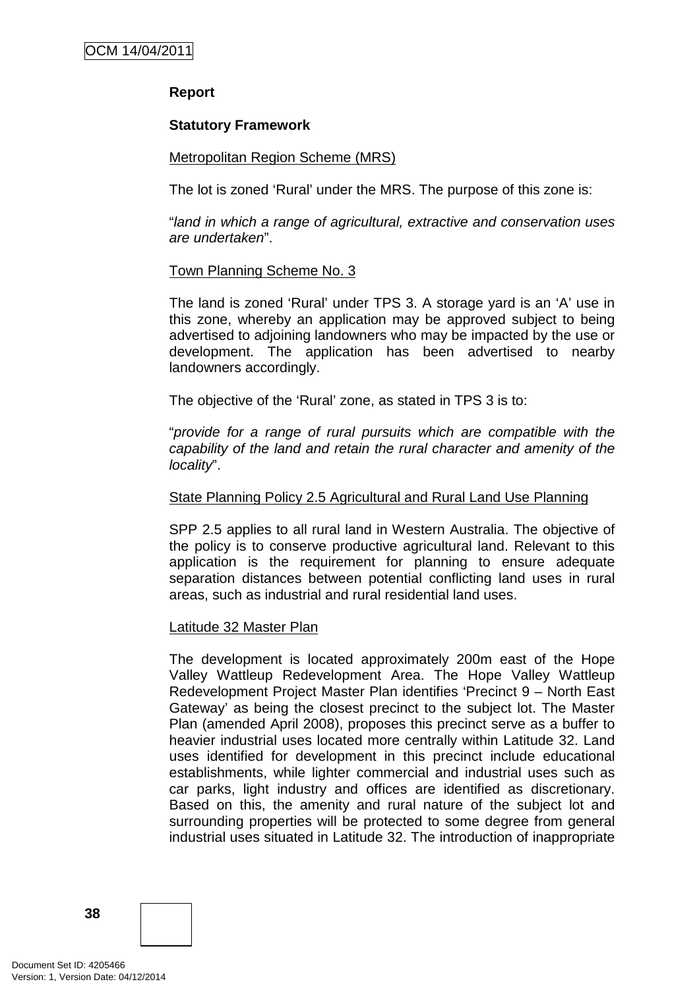## **Report**

#### **Statutory Framework**

#### Metropolitan Region Scheme (MRS)

The lot is zoned 'Rural' under the MRS. The purpose of this zone is:

"land in which a range of agricultural, extractive and conservation uses are undertaken".

## Town Planning Scheme No. 3

The land is zoned 'Rural' under TPS 3. A storage yard is an 'A' use in this zone, whereby an application may be approved subject to being advertised to adjoining landowners who may be impacted by the use or development. The application has been advertised to nearby landowners accordingly.

The objective of the 'Rural' zone, as stated in TPS 3 is to:

"provide for a range of rural pursuits which are compatible with the capability of the land and retain the rural character and amenity of the locality".

#### State Planning Policy 2.5 Agricultural and Rural Land Use Planning

SPP 2.5 applies to all rural land in Western Australia. The objective of the policy is to conserve productive agricultural land. Relevant to this application is the requirement for planning to ensure adequate separation distances between potential conflicting land uses in rural areas, such as industrial and rural residential land uses.

#### Latitude 32 Master Plan

The development is located approximately 200m east of the Hope Valley Wattleup Redevelopment Area. The Hope Valley Wattleup Redevelopment Project Master Plan identifies 'Precinct 9 – North East Gateway' as being the closest precinct to the subject lot. The Master Plan (amended April 2008), proposes this precinct serve as a buffer to heavier industrial uses located more centrally within Latitude 32. Land uses identified for development in this precinct include educational establishments, while lighter commercial and industrial uses such as car parks, light industry and offices are identified as discretionary. Based on this, the amenity and rural nature of the subject lot and surrounding properties will be protected to some degree from general industrial uses situated in Latitude 32. The introduction of inappropriate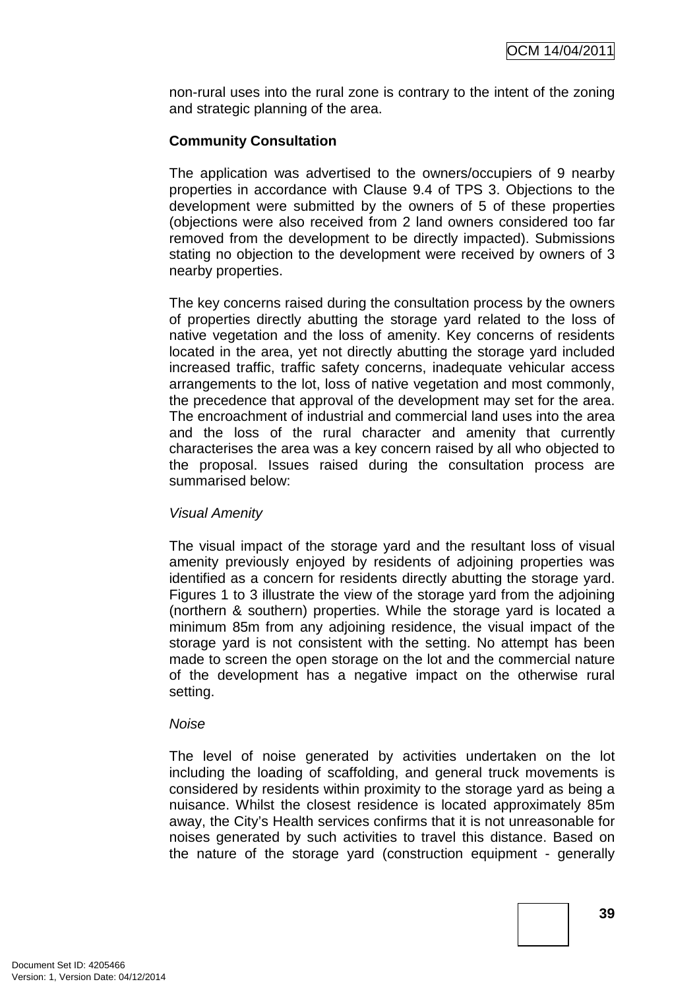non-rural uses into the rural zone is contrary to the intent of the zoning and strategic planning of the area.

## **Community Consultation**

The application was advertised to the owners/occupiers of 9 nearby properties in accordance with Clause 9.4 of TPS 3. Objections to the development were submitted by the owners of 5 of these properties (objections were also received from 2 land owners considered too far removed from the development to be directly impacted). Submissions stating no objection to the development were received by owners of 3 nearby properties.

The key concerns raised during the consultation process by the owners of properties directly abutting the storage yard related to the loss of native vegetation and the loss of amenity. Key concerns of residents located in the area, yet not directly abutting the storage yard included increased traffic, traffic safety concerns, inadequate vehicular access arrangements to the lot, loss of native vegetation and most commonly, the precedence that approval of the development may set for the area. The encroachment of industrial and commercial land uses into the area and the loss of the rural character and amenity that currently characterises the area was a key concern raised by all who objected to the proposal. Issues raised during the consultation process are summarised below:

## Visual Amenity

The visual impact of the storage yard and the resultant loss of visual amenity previously enjoyed by residents of adjoining properties was identified as a concern for residents directly abutting the storage yard. Figures 1 to 3 illustrate the view of the storage yard from the adjoining (northern & southern) properties. While the storage yard is located a minimum 85m from any adjoining residence, the visual impact of the storage yard is not consistent with the setting. No attempt has been made to screen the open storage on the lot and the commercial nature of the development has a negative impact on the otherwise rural setting.

## Noise

The level of noise generated by activities undertaken on the lot including the loading of scaffolding, and general truck movements is considered by residents within proximity to the storage yard as being a nuisance. Whilst the closest residence is located approximately 85m away, the City's Health services confirms that it is not unreasonable for noises generated by such activities to travel this distance. Based on the nature of the storage yard (construction equipment - generally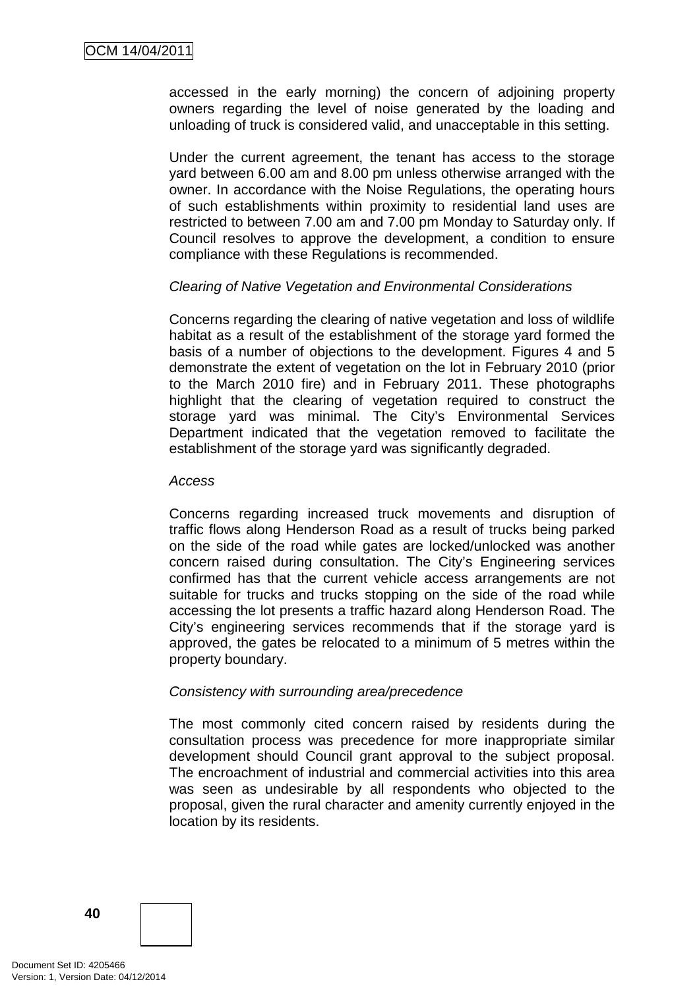accessed in the early morning) the concern of adjoining property owners regarding the level of noise generated by the loading and unloading of truck is considered valid, and unacceptable in this setting.

Under the current agreement, the tenant has access to the storage yard between 6.00 am and 8.00 pm unless otherwise arranged with the owner. In accordance with the Noise Regulations, the operating hours of such establishments within proximity to residential land uses are restricted to between 7.00 am and 7.00 pm Monday to Saturday only. If Council resolves to approve the development, a condition to ensure compliance with these Regulations is recommended.

## Clearing of Native Vegetation and Environmental Considerations

Concerns regarding the clearing of native vegetation and loss of wildlife habitat as a result of the establishment of the storage yard formed the basis of a number of objections to the development. Figures 4 and 5 demonstrate the extent of vegetation on the lot in February 2010 (prior to the March 2010 fire) and in February 2011. These photographs highlight that the clearing of vegetation required to construct the storage yard was minimal. The City's Environmental Services Department indicated that the vegetation removed to facilitate the establishment of the storage yard was significantly degraded.

## Access

Concerns regarding increased truck movements and disruption of traffic flows along Henderson Road as a result of trucks being parked on the side of the road while gates are locked/unlocked was another concern raised during consultation. The City's Engineering services confirmed has that the current vehicle access arrangements are not suitable for trucks and trucks stopping on the side of the road while accessing the lot presents a traffic hazard along Henderson Road. The City's engineering services recommends that if the storage yard is approved, the gates be relocated to a minimum of 5 metres within the property boundary.

## Consistency with surrounding area/precedence

The most commonly cited concern raised by residents during the consultation process was precedence for more inappropriate similar development should Council grant approval to the subject proposal. The encroachment of industrial and commercial activities into this area was seen as undesirable by all respondents who objected to the proposal, given the rural character and amenity currently enjoyed in the location by its residents.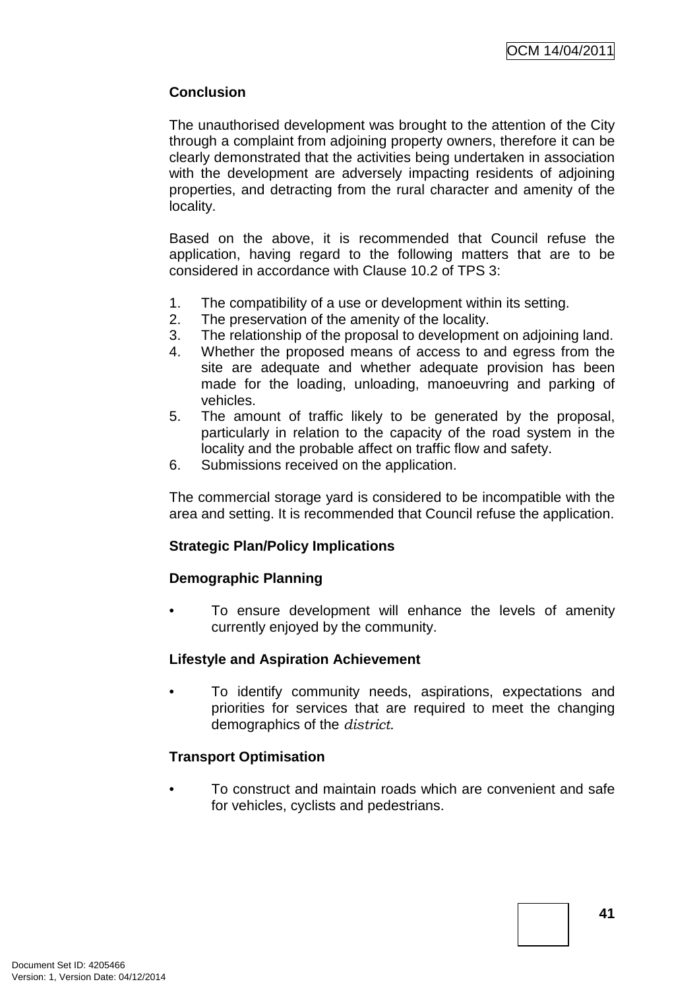## **Conclusion**

The unauthorised development was brought to the attention of the City through a complaint from adjoining property owners, therefore it can be clearly demonstrated that the activities being undertaken in association with the development are adversely impacting residents of adjoining properties, and detracting from the rural character and amenity of the locality.

Based on the above, it is recommended that Council refuse the application, having regard to the following matters that are to be considered in accordance with Clause 10.2 of TPS 3:

- 1. The compatibility of a use or development within its setting.
- 2. The preservation of the amenity of the locality.
- 3. The relationship of the proposal to development on adjoining land.
- 4. Whether the proposed means of access to and egress from the site are adequate and whether adequate provision has been made for the loading, unloading, manoeuvring and parking of vehicles.
- 5. The amount of traffic likely to be generated by the proposal, particularly in relation to the capacity of the road system in the locality and the probable affect on traffic flow and safety.
- 6. Submissions received on the application.

The commercial storage yard is considered to be incompatible with the area and setting. It is recommended that Council refuse the application.

## **Strategic Plan/Policy Implications**

## **Demographic Planning**

To ensure development will enhance the levels of amenity currently enjoyed by the community.

## **Lifestyle and Aspiration Achievement**

• To identify community needs, aspirations, expectations and priorities for services that are required to meet the changing demographics of the *district.* 

## **Transport Optimisation**

• To construct and maintain roads which are convenient and safe for vehicles, cyclists and pedestrians.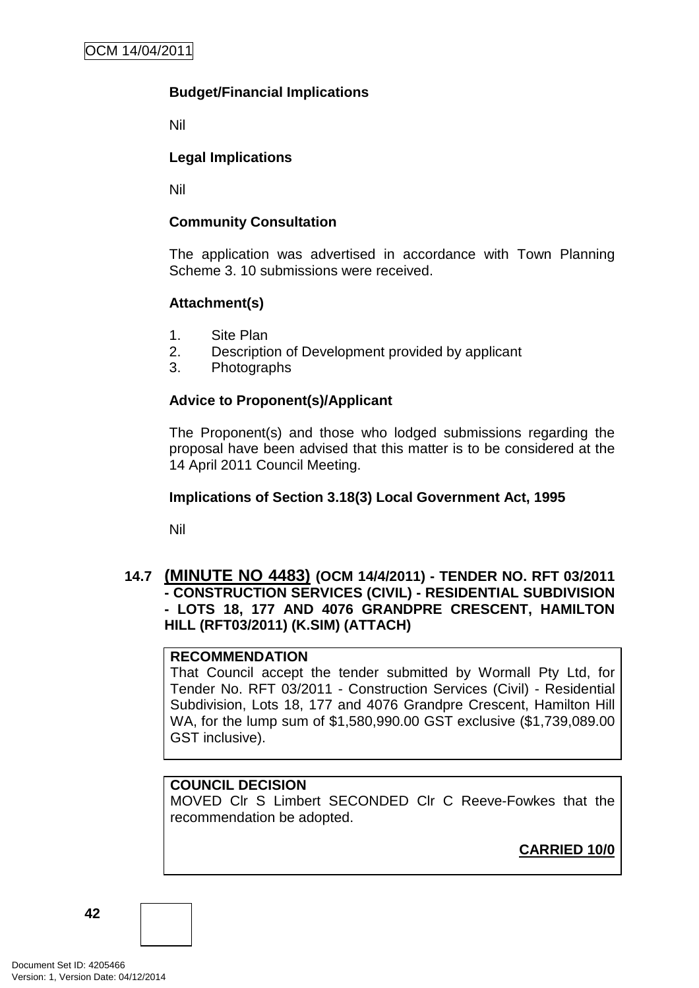## **Budget/Financial Implications**

Nil

## **Legal Implications**

Nil

## **Community Consultation**

The application was advertised in accordance with Town Planning Scheme 3. 10 submissions were received.

## **Attachment(s)**

- 1. Site Plan
- 2. Description of Development provided by applicant
- 3. Photographs

## **Advice to Proponent(s)/Applicant**

The Proponent(s) and those who lodged submissions regarding the proposal have been advised that this matter is to be considered at the 14 April 2011 Council Meeting.

## **Implications of Section 3.18(3) Local Government Act, 1995**

Nil

## **14.7 (MINUTE NO 4483) (OCM 14/4/2011) - TENDER NO. RFT 03/2011 - CONSTRUCTION SERVICES (CIVIL) - RESIDENTIAL SUBDIVISION - LOTS 18, 177 AND 4076 GRANDPRE CRESCENT, HAMILTON HILL (RFT03/2011) (K.SIM) (ATTACH)**

## **RECOMMENDATION**

That Council accept the tender submitted by Wormall Pty Ltd, for Tender No. RFT 03/2011 - Construction Services (Civil) - Residential Subdivision, Lots 18, 177 and 4076 Grandpre Crescent, Hamilton Hill WA, for the lump sum of \$1,580,990.00 GST exclusive (\$1,739,089.00 GST inclusive).

## **COUNCIL DECISION**

MOVED Clr S Limbert SECONDED Clr C Reeve-Fowkes that the recommendation be adopted.

**CARRIED 10/0**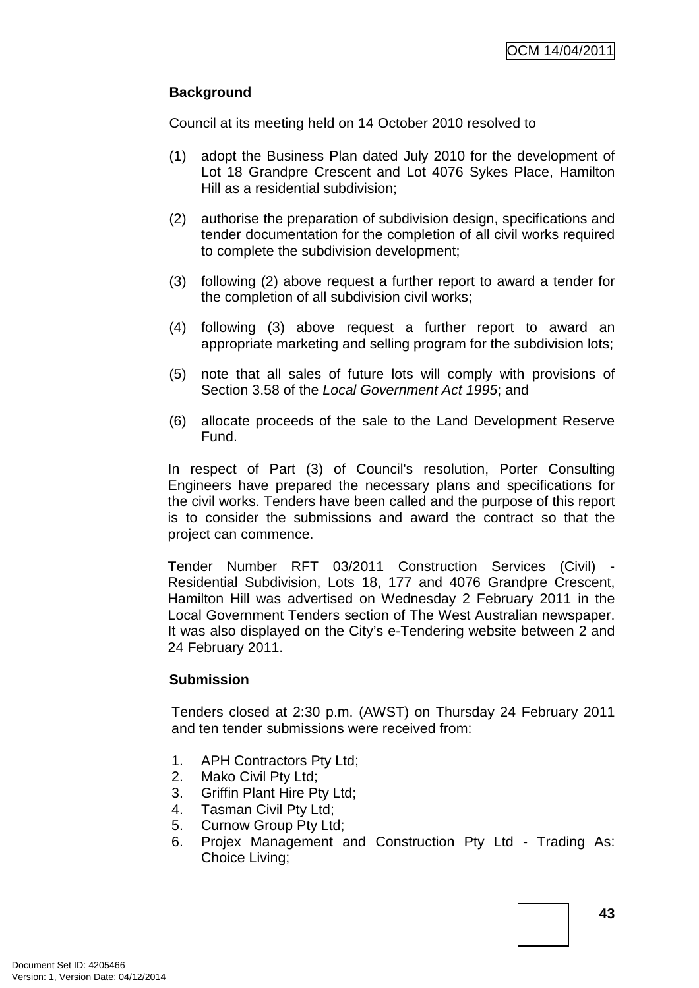## **Background**

Council at its meeting held on 14 October 2010 resolved to

- (1) adopt the Business Plan dated July 2010 for the development of Lot 18 Grandpre Crescent and Lot 4076 Sykes Place, Hamilton Hill as a residential subdivision;
- (2) authorise the preparation of subdivision design, specifications and tender documentation for the completion of all civil works required to complete the subdivision development;
- (3) following (2) above request a further report to award a tender for the completion of all subdivision civil works;
- (4) following (3) above request a further report to award an appropriate marketing and selling program for the subdivision lots;
- (5) note that all sales of future lots will comply with provisions of Section 3.58 of the Local Government Act 1995; and
- (6) allocate proceeds of the sale to the Land Development Reserve Fund.

In respect of Part (3) of Council's resolution, Porter Consulting Engineers have prepared the necessary plans and specifications for the civil works. Tenders have been called and the purpose of this report is to consider the submissions and award the contract so that the project can commence.

Tender Number RFT 03/2011 Construction Services (Civil) - Residential Subdivision, Lots 18, 177 and 4076 Grandpre Crescent, Hamilton Hill was advertised on Wednesday 2 February 2011 in the Local Government Tenders section of The West Australian newspaper. It was also displayed on the City's e-Tendering website between 2 and 24 February 2011.

## **Submission**

Tenders closed at 2:30 p.m. (AWST) on Thursday 24 February 2011 and ten tender submissions were received from:

- 1. APH Contractors Pty Ltd;
- 2. Mako Civil Pty Ltd;
- 3. Griffin Plant Hire Pty Ltd;
- 4. Tasman Civil Pty Ltd;
- 5. Curnow Group Pty Ltd;
- 6. Projex Management and Construction Pty Ltd Trading As: Choice Living;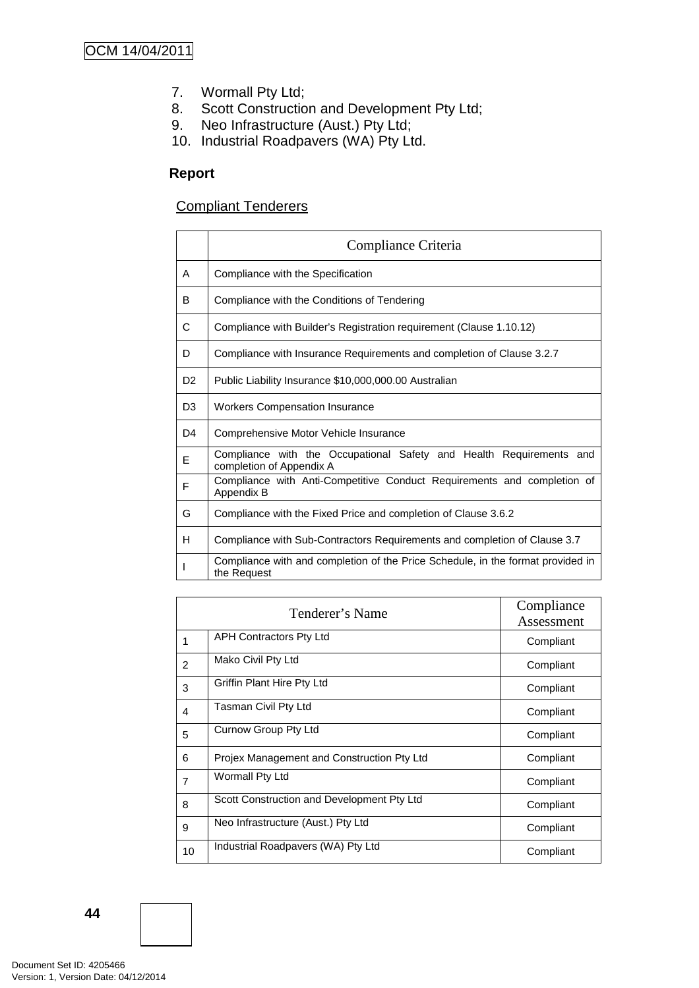- 7. Wormall Pty Ltd;
- 8. Scott Construction and Development Pty Ltd;
- 9. Neo Infrastructure (Aust.) Pty Ltd;
- 10. Industrial Roadpavers (WA) Pty Ltd.

## **Report**

## **Compliant Tenderers**

|                | Compliance Criteria                                                                             |
|----------------|-------------------------------------------------------------------------------------------------|
| A              | Compliance with the Specification                                                               |
| B              | Compliance with the Conditions of Tendering                                                     |
| C              | Compliance with Builder's Registration requirement (Clause 1.10.12)                             |
| D              | Compliance with Insurance Requirements and completion of Clause 3.2.7                           |
| D <sub>2</sub> | Public Liability Insurance \$10,000,000.00 Australian                                           |
| D3             | <b>Workers Compensation Insurance</b>                                                           |
| D4             | Comprehensive Motor Vehicle Insurance                                                           |
| E              | Compliance with the Occupational Safety and Health Requirements and<br>completion of Appendix A |
| F              | Compliance with Anti-Competitive Conduct Requirements and completion of<br>Appendix B           |
| G              | Compliance with the Fixed Price and completion of Clause 3.6.2                                  |
| н              | Compliance with Sub-Contractors Requirements and completion of Clause 3.7                       |
|                | Compliance with and completion of the Price Schedule, in the format provided in<br>the Request  |

| Tenderer's Name |                                            | Compliance<br>Assessment |  |
|-----------------|--------------------------------------------|--------------------------|--|
| 1               | <b>APH Contractors Pty Ltd</b>             | Compliant                |  |
| 2               | Mako Civil Pty Ltd                         | Compliant                |  |
| 3               | Griffin Plant Hire Pty Ltd                 | Compliant                |  |
| 4               | Tasman Civil Pty Ltd                       | Compliant                |  |
| 5               | Curnow Group Pty Ltd                       | Compliant                |  |
| 6               | Projex Management and Construction Pty Ltd | Compliant                |  |
| $\overline{7}$  | Wormall Pty Ltd                            | Compliant                |  |
| 8               | Scott Construction and Development Pty Ltd | Compliant                |  |
| 9               | Neo Infrastructure (Aust.) Pty Ltd         | Compliant                |  |
| 10              | Industrial Roadpavers (WA) Pty Ltd         | Compliant                |  |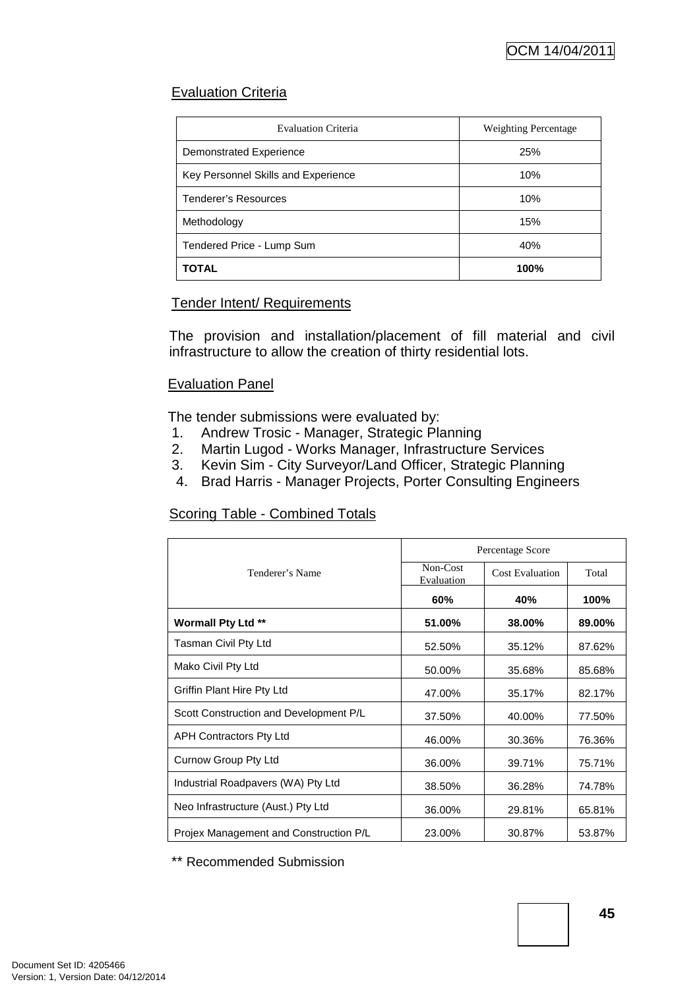## Evaluation Criteria

| <b>Evaluation Criteria</b>          | <b>Weighting Percentage</b> |
|-------------------------------------|-----------------------------|
| Demonstrated Experience             | 25%                         |
| Key Personnel Skills and Experience | 10%                         |
| Tenderer's Resources                | 10%                         |
| Methodology                         | 15%                         |
| Tendered Price - Lump Sum           | 40%                         |
| <b>TOTAL</b>                        | 100%                        |

## Tender Intent/ Requirements

The provision and installation/placement of fill material and civil infrastructure to allow the creation of thirty residential lots.

## Evaluation Panel

The tender submissions were evaluated by:

- 1. Andrew Trosic Manager, Strategic Planning
- 2. Martin Lugod Works Manager, Infrastructure Services
- 3. Kevin Sim City Surveyor/Land Officer, Strategic Planning
- 4. Brad Harris Manager Projects, Porter Consulting Engineers

## Scoring Table - Combined Totals

|                                        | Percentage Score       |                        |        |  |
|----------------------------------------|------------------------|------------------------|--------|--|
| Tenderer's Name                        | Non-Cost<br>Evaluation | <b>Cost Evaluation</b> | Total  |  |
|                                        | 60%                    | 40%                    | 100%   |  |
| <b>Wormall Pty Ltd **</b>              | 51.00%                 | 38.00%                 | 89.00% |  |
| Tasman Civil Pty Ltd                   | 52.50%                 | 35.12%                 | 87.62% |  |
| Mako Civil Pty Ltd                     | 50.00%                 | 35.68%                 | 85.68% |  |
| Griffin Plant Hire Pty Ltd             | 47.00%                 | 35.17%                 | 82.17% |  |
| Scott Construction and Development P/L | 37.50%                 | 40.00%                 | 77.50% |  |
| <b>APH Contractors Pty Ltd</b>         | 46.00%                 | 30.36%                 | 76.36% |  |
| Curnow Group Pty Ltd                   | 36.00%                 | 39.71%                 | 75.71% |  |
| Industrial Roadpavers (WA) Pty Ltd     | 38.50%                 | 36.28%                 | 74.78% |  |
| Neo Infrastructure (Aust.) Pty Ltd     | 36.00%                 | 29.81%                 | 65.81% |  |
| Projex Management and Construction P/L | 23.00%                 | 30.87%                 | 53.87% |  |

\*\* Recommended Submission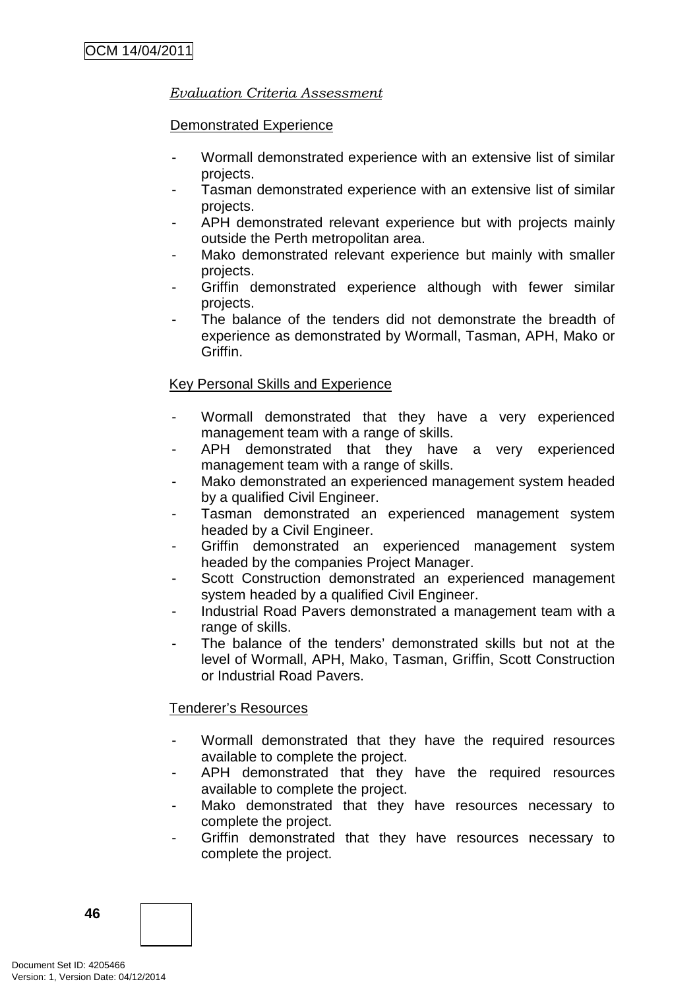## *Evaluation Criteria Assessment*

#### Demonstrated Experience

- Wormall demonstrated experience with an extensive list of similar projects.
- Tasman demonstrated experience with an extensive list of similar projects.
- APH demonstrated relevant experience but with projects mainly outside the Perth metropolitan area.
- Mako demonstrated relevant experience but mainly with smaller projects.
- Griffin demonstrated experience although with fewer similar projects.
- The balance of the tenders did not demonstrate the breadth of experience as demonstrated by Wormall, Tasman, APH, Mako or Griffin.

## Key Personal Skills and Experience

- Wormall demonstrated that they have a very experienced management team with a range of skills.
- APH demonstrated that they have a very experienced management team with a range of skills.
- Mako demonstrated an experienced management system headed by a qualified Civil Engineer.
- Tasman demonstrated an experienced management system headed by a Civil Engineer.
- Griffin demonstrated an experienced management system headed by the companies Project Manager.
- Scott Construction demonstrated an experienced management system headed by a qualified Civil Engineer.
- Industrial Road Pavers demonstrated a management team with a range of skills.
- The balance of the tenders' demonstrated skills but not at the level of Wormall, APH, Mako, Tasman, Griffin, Scott Construction or Industrial Road Pavers.

## Tenderer's Resources

- Wormall demonstrated that they have the required resources available to complete the project.
- APH demonstrated that they have the required resources available to complete the project.
- Mako demonstrated that they have resources necessary to complete the project.
- Griffin demonstrated that they have resources necessary to complete the project.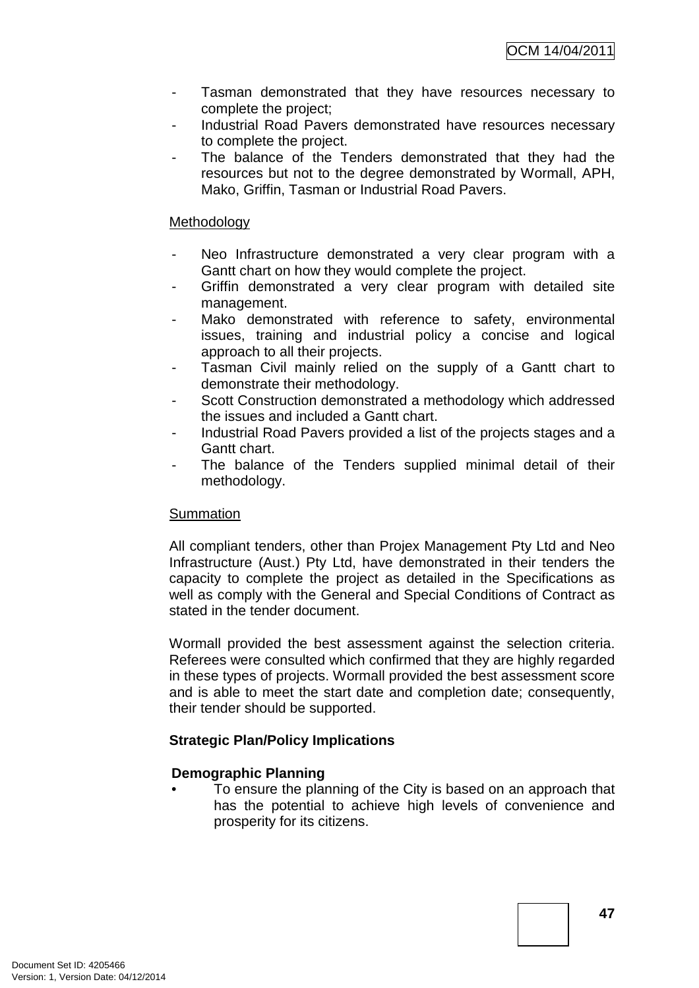- Tasman demonstrated that they have resources necessary to complete the project;
- Industrial Road Pavers demonstrated have resources necessary to complete the project.
- The balance of the Tenders demonstrated that they had the resources but not to the degree demonstrated by Wormall, APH, Mako, Griffin, Tasman or Industrial Road Pavers.

#### Methodology

- Neo Infrastructure demonstrated a very clear program with a Gantt chart on how they would complete the project.
- Griffin demonstrated a very clear program with detailed site management.
- Mako demonstrated with reference to safety, environmental issues, training and industrial policy a concise and logical approach to all their projects.
- Tasman Civil mainly relied on the supply of a Gantt chart to demonstrate their methodology.
- Scott Construction demonstrated a methodology which addressed the issues and included a Gantt chart.
- Industrial Road Pavers provided a list of the projects stages and a Gantt chart.
- The balance of the Tenders supplied minimal detail of their methodology.

## **Summation**

All compliant tenders, other than Projex Management Pty Ltd and Neo Infrastructure (Aust.) Pty Ltd, have demonstrated in their tenders the capacity to complete the project as detailed in the Specifications as well as comply with the General and Special Conditions of Contract as stated in the tender document.

Wormall provided the best assessment against the selection criteria. Referees were consulted which confirmed that they are highly regarded in these types of projects. Wormall provided the best assessment score and is able to meet the start date and completion date; consequently, their tender should be supported.

## **Strategic Plan/Policy Implications**

## **Demographic Planning**

• To ensure the planning of the City is based on an approach that has the potential to achieve high levels of convenience and prosperity for its citizens.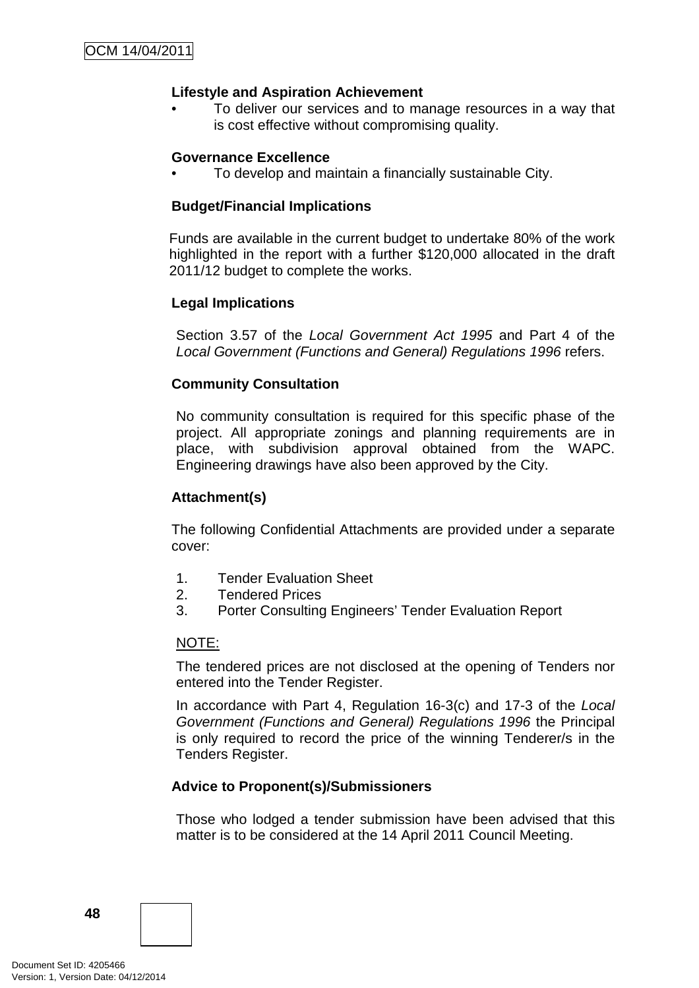## **Lifestyle and Aspiration Achievement**

To deliver our services and to manage resources in a way that is cost effective without compromising quality.

## **Governance Excellence**

• To develop and maintain a financially sustainable City.

## **Budget/Financial Implications**

Funds are available in the current budget to undertake 80% of the work highlighted in the report with a further \$120,000 allocated in the draft 2011/12 budget to complete the works.

## **Legal Implications**

Section 3.57 of the Local Government Act 1995 and Part 4 of the Local Government (Functions and General) Regulations 1996 refers.

## **Community Consultation**

No community consultation is required for this specific phase of the project. All appropriate zonings and planning requirements are in place, with subdivision approval obtained from the WAPC. Engineering drawings have also been approved by the City.

## **Attachment(s)**

The following Confidential Attachments are provided under a separate cover:

- 1. Tender Evaluation Sheet
- 2. Tendered Prices
- 3. Porter Consulting Engineers' Tender Evaluation Report

## NOTE:

The tendered prices are not disclosed at the opening of Tenders nor entered into the Tender Register.

In accordance with Part 4, Regulation 16-3(c) and 17-3 of the Local Government (Functions and General) Regulations 1996 the Principal is only required to record the price of the winning Tenderer/s in the Tenders Register.

## **Advice to Proponent(s)/Submissioners**

Those who lodged a tender submission have been advised that this matter is to be considered at the 14 April 2011 Council Meeting.

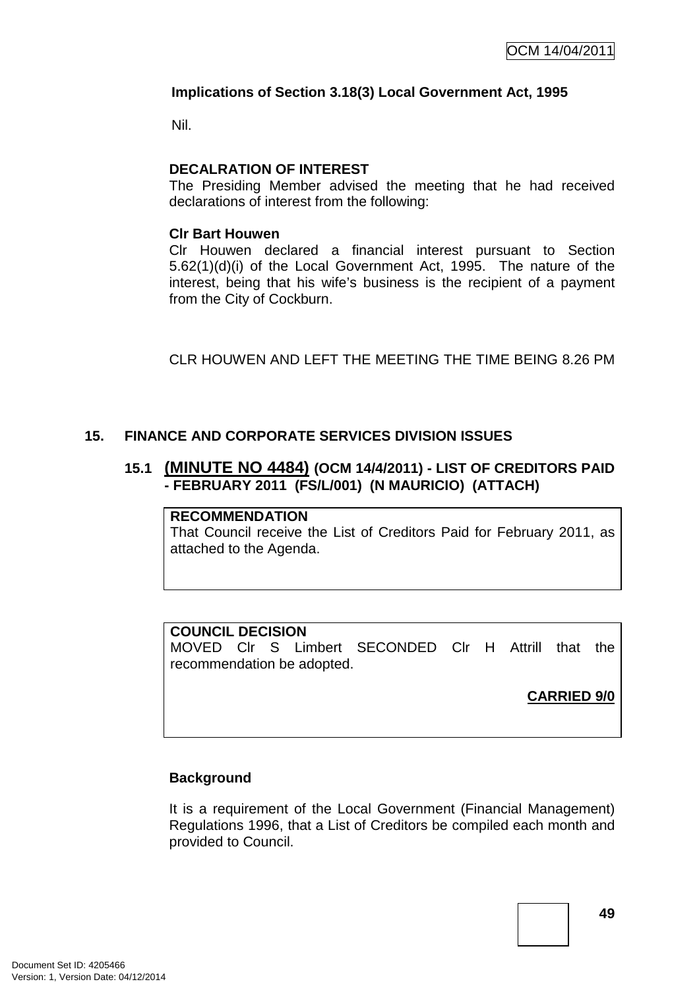## **Implications of Section 3.18(3) Local Government Act, 1995**

Nil.

## **DECALRATION OF INTEREST**

The Presiding Member advised the meeting that he had received declarations of interest from the following:

#### **Clr Bart Houwen**

Clr Houwen declared a financial interest pursuant to Section 5.62(1)(d)(i) of the Local Government Act, 1995. The nature of the interest, being that his wife's business is the recipient of a payment from the City of Cockburn.

CLR HOUWEN AND LEFT THE MEETING THE TIME BEING 8.26 PM

## **15. FINANCE AND CORPORATE SERVICES DIVISION ISSUES**

## **15.1 (MINUTE NO 4484) (OCM 14/4/2011) - LIST OF CREDITORS PAID - FEBRUARY 2011 (FS/L/001) (N MAURICIO) (ATTACH)**

#### **RECOMMENDATION**

That Council receive the List of Creditors Paid for February 2011, as attached to the Agenda.

## **COUNCIL DECISION**

MOVED Clr S Limbert SECONDED Clr H Attrill that the recommendation be adopted.

## **CARRIED 9/0**

## **Background**

It is a requirement of the Local Government (Financial Management) Regulations 1996, that a List of Creditors be compiled each month and provided to Council.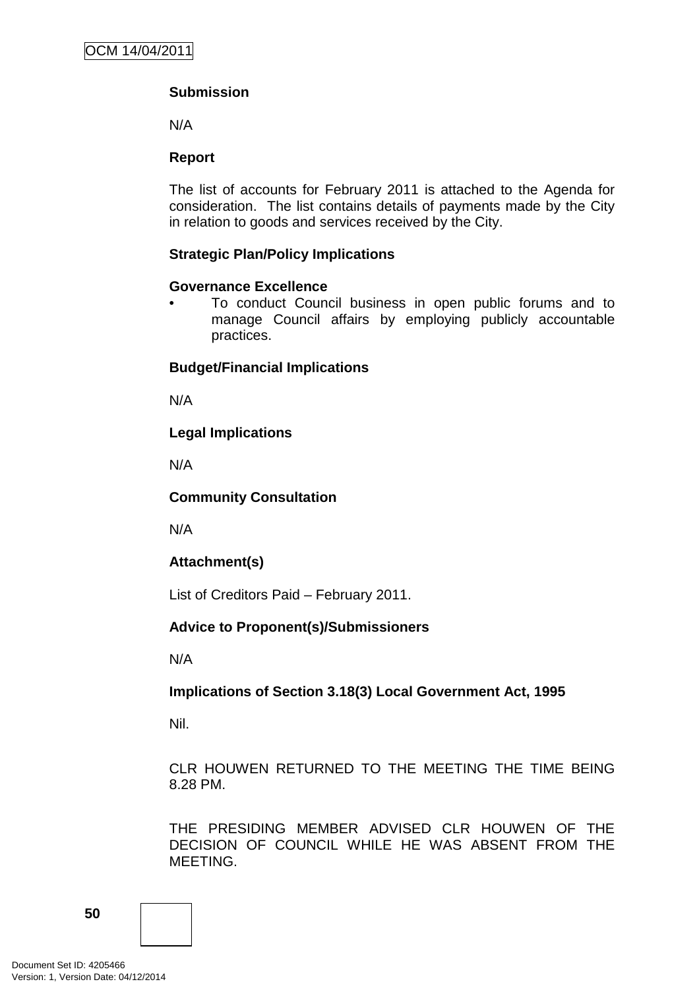## **Submission**

N/A

## **Report**

The list of accounts for February 2011 is attached to the Agenda for consideration. The list contains details of payments made by the City in relation to goods and services received by the City.

## **Strategic Plan/Policy Implications**

## **Governance Excellence**

• To conduct Council business in open public forums and to manage Council affairs by employing publicly accountable practices.

## **Budget/Financial Implications**

N/A

## **Legal Implications**

N/A

## **Community Consultation**

N/A

## **Attachment(s)**

List of Creditors Paid – February 2011.

## **Advice to Proponent(s)/Submissioners**

N/A

## **Implications of Section 3.18(3) Local Government Act, 1995**

Nil.

CLR HOUWEN RETURNED TO THE MEETING THE TIME BEING 8.28 PM.

THE PRESIDING MEMBER ADVISED CLR HOUWEN OF THE DECISION OF COUNCIL WHILE HE WAS ABSENT FROM THE MEETING.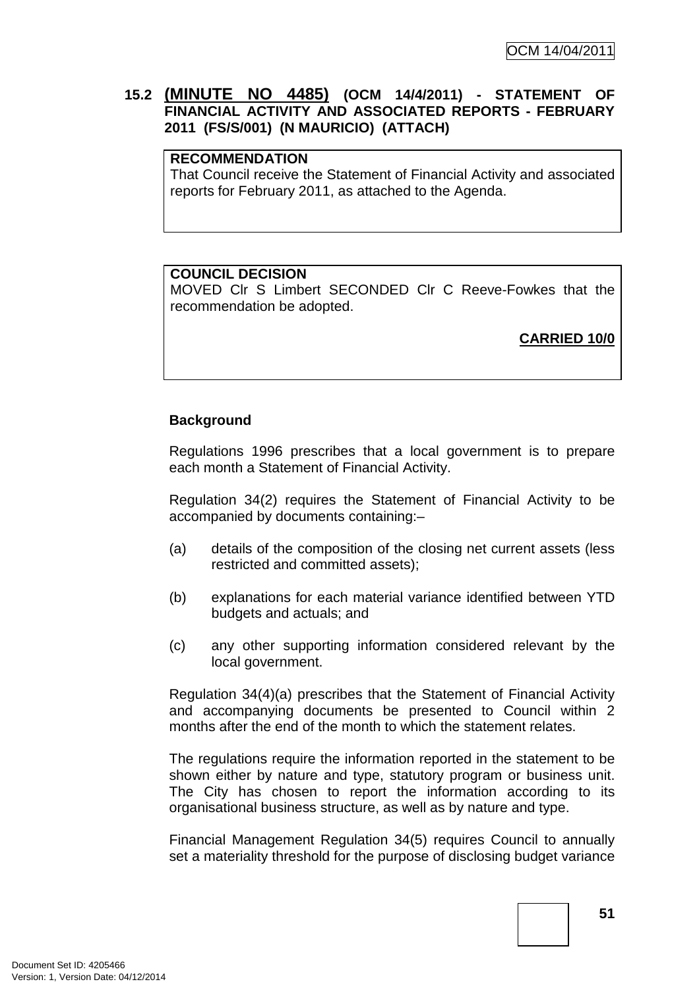## **15.2 (MINUTE NO 4485) (OCM 14/4/2011) - STATEMENT OF FINANCIAL ACTIVITY AND ASSOCIATED REPORTS - FEBRUARY 2011 (FS/S/001) (N MAURICIO) (ATTACH)**

## **RECOMMENDATION**

That Council receive the Statement of Financial Activity and associated reports for February 2011, as attached to the Agenda.

## **COUNCIL DECISION**

MOVED Clr S Limbert SECONDED Clr C Reeve-Fowkes that the recommendation be adopted.

**CARRIED 10/0**

## **Background**

Regulations 1996 prescribes that a local government is to prepare each month a Statement of Financial Activity.

Regulation 34(2) requires the Statement of Financial Activity to be accompanied by documents containing:–

- (a) details of the composition of the closing net current assets (less restricted and committed assets);
- (b) explanations for each material variance identified between YTD budgets and actuals; and
- (c) any other supporting information considered relevant by the local government.

Regulation 34(4)(a) prescribes that the Statement of Financial Activity and accompanying documents be presented to Council within 2 months after the end of the month to which the statement relates.

The regulations require the information reported in the statement to be shown either by nature and type, statutory program or business unit. The City has chosen to report the information according to its organisational business structure, as well as by nature and type.

Financial Management Regulation 34(5) requires Council to annually set a materiality threshold for the purpose of disclosing budget variance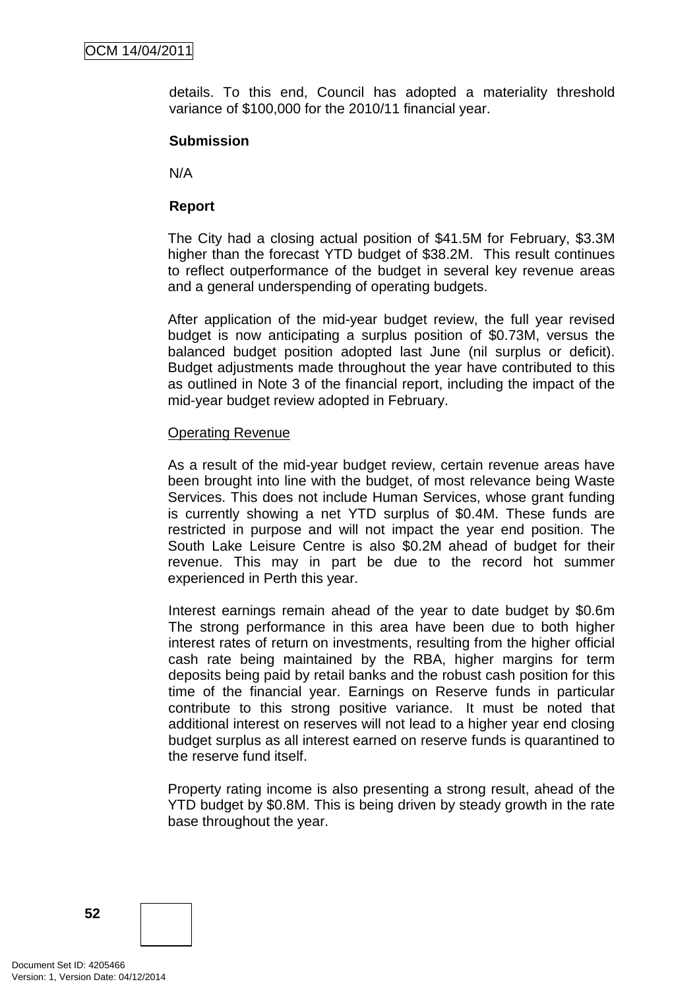details. To this end, Council has adopted a materiality threshold variance of \$100,000 for the 2010/11 financial year.

## **Submission**

N/A

## **Report**

The City had a closing actual position of \$41.5M for February, \$3.3M higher than the forecast YTD budget of \$38.2M. This result continues to reflect outperformance of the budget in several key revenue areas and a general underspending of operating budgets.

After application of the mid-year budget review, the full year revised budget is now anticipating a surplus position of \$0.73M, versus the balanced budget position adopted last June (nil surplus or deficit). Budget adjustments made throughout the year have contributed to this as outlined in Note 3 of the financial report, including the impact of the mid-year budget review adopted in February.

## Operating Revenue

As a result of the mid-year budget review, certain revenue areas have been brought into line with the budget, of most relevance being Waste Services. This does not include Human Services, whose grant funding is currently showing a net YTD surplus of \$0.4M. These funds are restricted in purpose and will not impact the year end position. The South Lake Leisure Centre is also \$0.2M ahead of budget for their revenue. This may in part be due to the record hot summer experienced in Perth this year.

Interest earnings remain ahead of the year to date budget by \$0.6m The strong performance in this area have been due to both higher interest rates of return on investments, resulting from the higher official cash rate being maintained by the RBA, higher margins for term deposits being paid by retail banks and the robust cash position for this time of the financial year. Earnings on Reserve funds in particular contribute to this strong positive variance. It must be noted that additional interest on reserves will not lead to a higher year end closing budget surplus as all interest earned on reserve funds is quarantined to the reserve fund itself.

Property rating income is also presenting a strong result, ahead of the YTD budget by \$0.8M. This is being driven by steady growth in the rate base throughout the year.

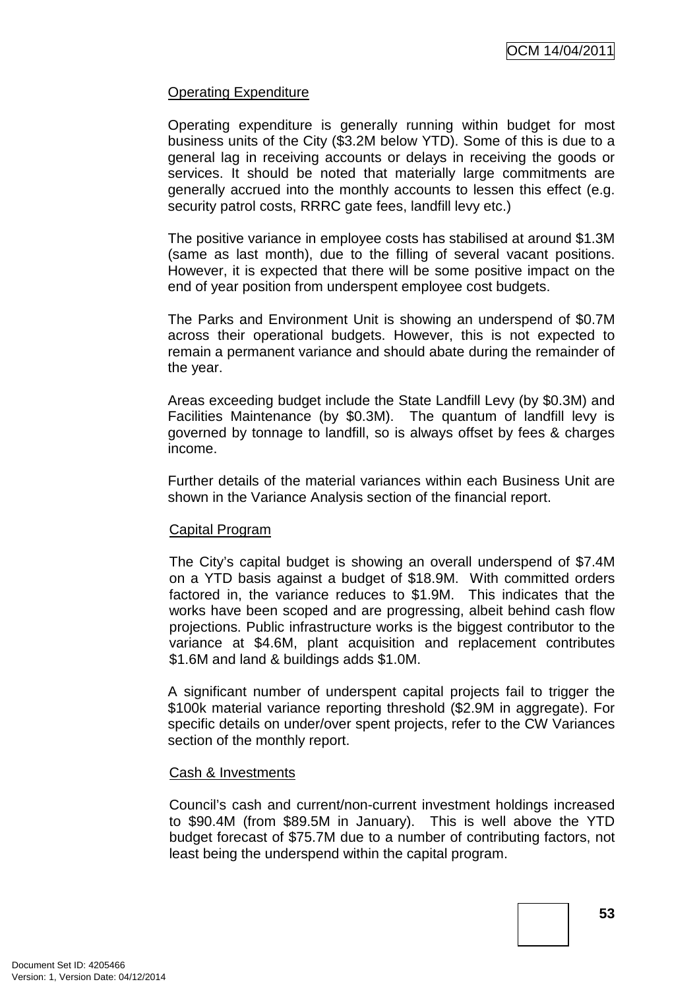## Operating Expenditure

Operating expenditure is generally running within budget for most business units of the City (\$3.2M below YTD). Some of this is due to a general lag in receiving accounts or delays in receiving the goods or services. It should be noted that materially large commitments are generally accrued into the monthly accounts to lessen this effect (e.g. security patrol costs, RRRC gate fees, landfill levy etc.)

The positive variance in employee costs has stabilised at around \$1.3M (same as last month), due to the filling of several vacant positions. However, it is expected that there will be some positive impact on the end of year position from underspent employee cost budgets.

The Parks and Environment Unit is showing an underspend of \$0.7M across their operational budgets. However, this is not expected to remain a permanent variance and should abate during the remainder of the year.

Areas exceeding budget include the State Landfill Levy (by \$0.3M) and Facilities Maintenance (by \$0.3M). The quantum of landfill levy is governed by tonnage to landfill, so is always offset by fees & charges income.

Further details of the material variances within each Business Unit are shown in the Variance Analysis section of the financial report.

## Capital Program

The City's capital budget is showing an overall underspend of \$7.4M on a YTD basis against a budget of \$18.9M. With committed orders factored in, the variance reduces to \$1.9M. This indicates that the works have been scoped and are progressing, albeit behind cash flow projections. Public infrastructure works is the biggest contributor to the variance at \$4.6M, plant acquisition and replacement contributes \$1.6M and land & buildings adds \$1.0M.

A significant number of underspent capital projects fail to trigger the \$100k material variance reporting threshold (\$2.9M in aggregate). For specific details on under/over spent projects, refer to the CW Variances section of the monthly report.

#### Cash & Investments

Council's cash and current/non-current investment holdings increased to \$90.4M (from \$89.5M in January). This is well above the YTD budget forecast of \$75.7M due to a number of contributing factors, not least being the underspend within the capital program.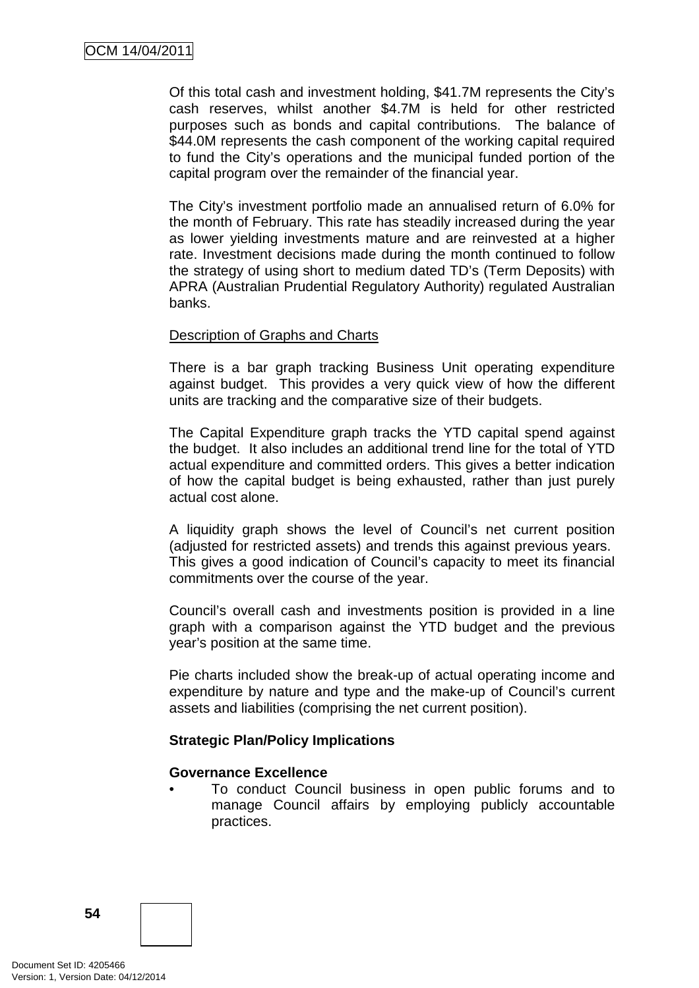Of this total cash and investment holding, \$41.7M represents the City's cash reserves, whilst another \$4.7M is held for other restricted purposes such as bonds and capital contributions. The balance of \$44.0M represents the cash component of the working capital required to fund the City's operations and the municipal funded portion of the capital program over the remainder of the financial year.

The City's investment portfolio made an annualised return of 6.0% for the month of February. This rate has steadily increased during the year as lower yielding investments mature and are reinvested at a higher rate. Investment decisions made during the month continued to follow the strategy of using short to medium dated TD's (Term Deposits) with APRA (Australian Prudential Regulatory Authority) regulated Australian banks.

#### Description of Graphs and Charts

There is a bar graph tracking Business Unit operating expenditure against budget. This provides a very quick view of how the different units are tracking and the comparative size of their budgets.

The Capital Expenditure graph tracks the YTD capital spend against the budget. It also includes an additional trend line for the total of YTD actual expenditure and committed orders. This gives a better indication of how the capital budget is being exhausted, rather than just purely actual cost alone.

A liquidity graph shows the level of Council's net current position (adjusted for restricted assets) and trends this against previous years. This gives a good indication of Council's capacity to meet its financial commitments over the course of the year.

Council's overall cash and investments position is provided in a line graph with a comparison against the YTD budget and the previous year's position at the same time.

Pie charts included show the break-up of actual operating income and expenditure by nature and type and the make-up of Council's current assets and liabilities (comprising the net current position).

#### **Strategic Plan/Policy Implications**

#### **Governance Excellence**

• To conduct Council business in open public forums and to manage Council affairs by employing publicly accountable practices.

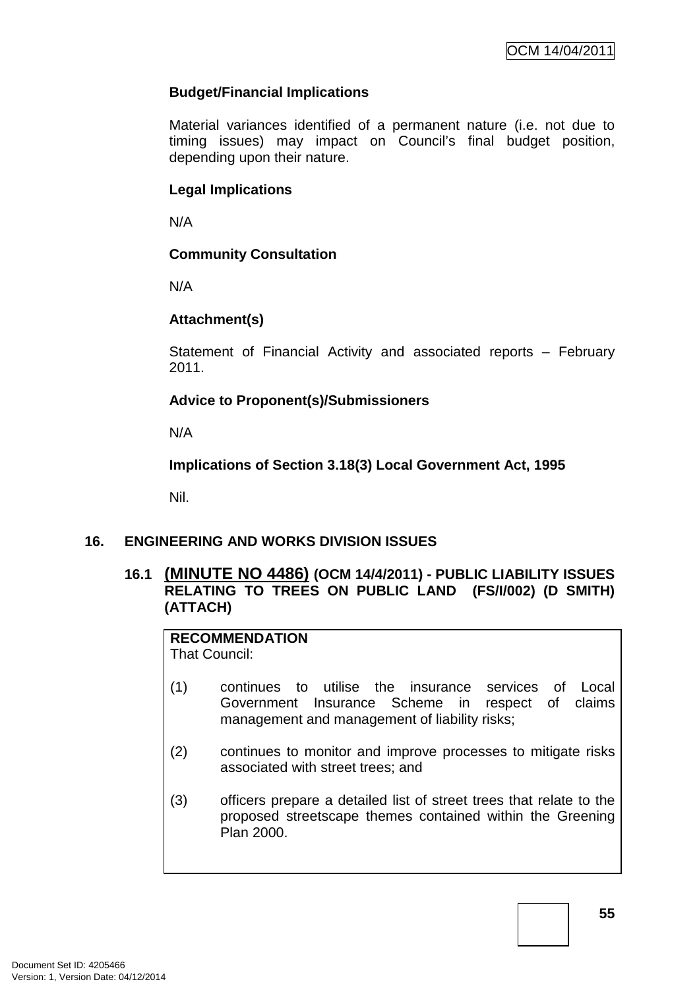## **Budget/Financial Implications**

Material variances identified of a permanent nature (i.e. not due to timing issues) may impact on Council's final budget position, depending upon their nature.

## **Legal Implications**

N/A

## **Community Consultation**

N/A

## **Attachment(s)**

Statement of Financial Activity and associated reports – February 2011.

## **Advice to Proponent(s)/Submissioners**

N/A

**Implications of Section 3.18(3) Local Government Act, 1995**

Nil.

## **16. ENGINEERING AND WORKS DIVISION ISSUES**

## **16.1 (MINUTE NO 4486) (OCM 14/4/2011) - PUBLIC LIABILITY ISSUES RELATING TO TREES ON PUBLIC LAND (FS/I/002) (D SMITH) (ATTACH)**

# **RECOMMENDATION**

That Council:

- (1) continues to utilise the insurance services of Local Government Insurance Scheme in respect of claims management and management of liability risks;
- (2) continues to monitor and improve processes to mitigate risks associated with street trees; and
- (3) officers prepare a detailed list of street trees that relate to the proposed streetscape themes contained within the Greening Plan 2000.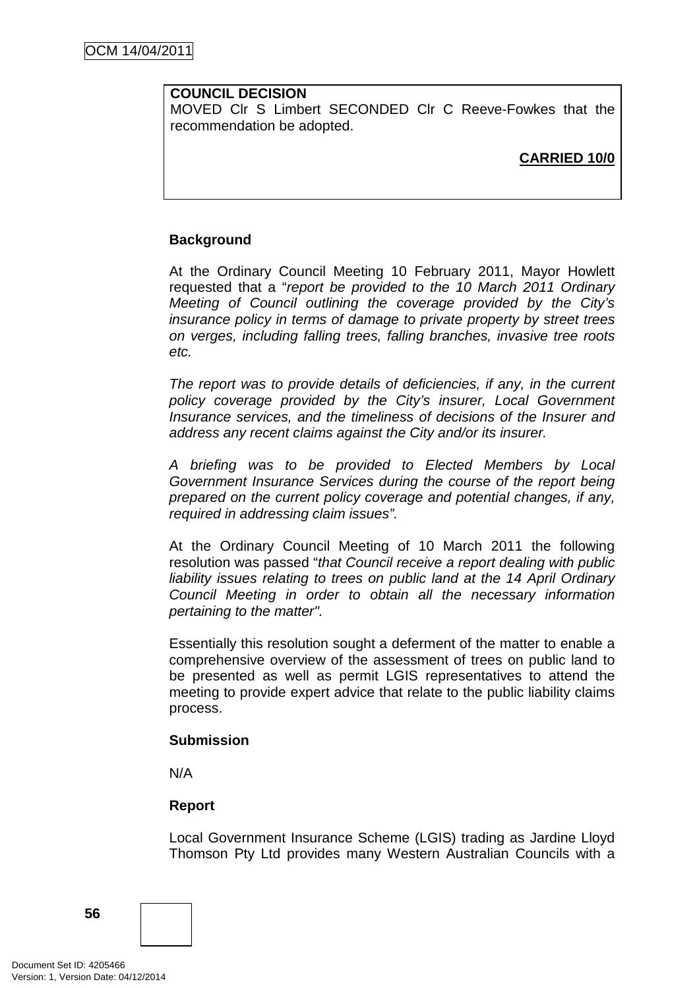## **COUNCIL DECISION**

MOVED Clr S Limbert SECONDED Clr C Reeve-Fowkes that the recommendation be adopted.

**CARRIED 10/0**

## **Background**

At the Ordinary Council Meeting 10 February 2011, Mayor Howlett requested that a "report be provided to the 10 March 2011 Ordinary Meeting of Council outlining the coverage provided by the City's insurance policy in terms of damage to private property by street trees on verges, including falling trees, falling branches, invasive tree roots etc.

The report was to provide details of deficiencies, if any, in the current policy coverage provided by the City's insurer, Local Government Insurance services, and the timeliness of decisions of the Insurer and address any recent claims against the City and/or its insurer.

A briefing was to be provided to Elected Members by Local Government Insurance Services during the course of the report being prepared on the current policy coverage and potential changes, if any, required in addressing claim issues".

At the Ordinary Council Meeting of 10 March 2011 the following resolution was passed "that Council receive a report dealing with public liability issues relating to trees on public land at the 14 April Ordinary Council Meeting in order to obtain all the necessary information pertaining to the matter".

Essentially this resolution sought a deferment of the matter to enable a comprehensive overview of the assessment of trees on public land to be presented as well as permit LGIS representatives to attend the meeting to provide expert advice that relate to the public liability claims process.

## **Submission**

N/A

## **Report**

Local Government Insurance Scheme (LGIS) trading as Jardine Lloyd Thomson Pty Ltd provides many Western Australian Councils with a

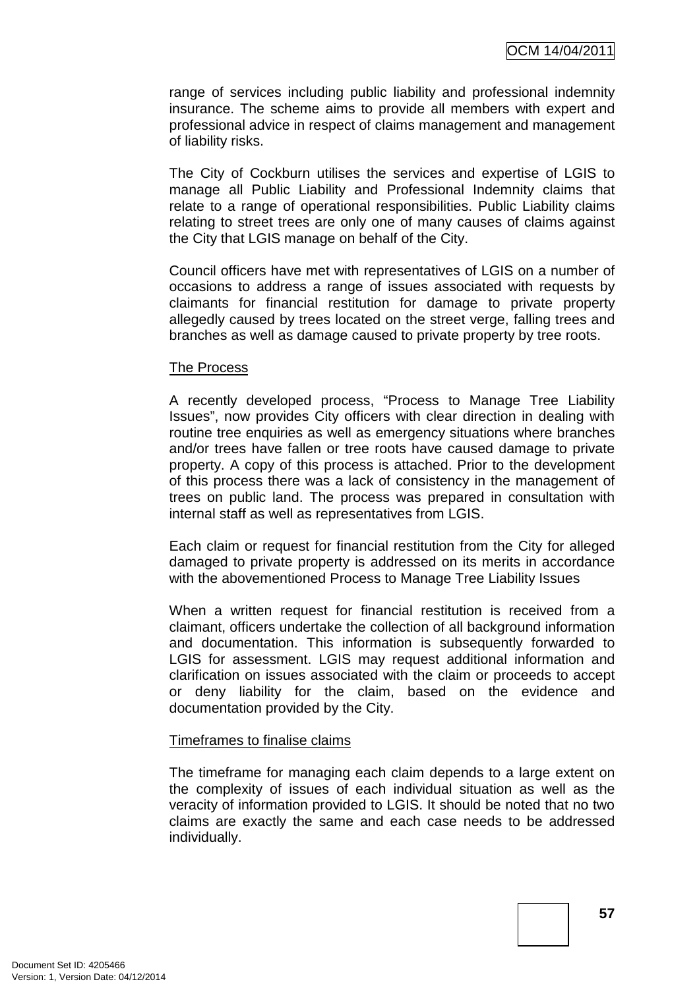range of services including public liability and professional indemnity insurance. The scheme aims to provide all members with expert and professional advice in respect of claims management and management of liability risks.

The City of Cockburn utilises the services and expertise of LGIS to manage all Public Liability and Professional Indemnity claims that relate to a range of operational responsibilities. Public Liability claims relating to street trees are only one of many causes of claims against the City that LGIS manage on behalf of the City.

Council officers have met with representatives of LGIS on a number of occasions to address a range of issues associated with requests by claimants for financial restitution for damage to private property allegedly caused by trees located on the street verge, falling trees and branches as well as damage caused to private property by tree roots.

#### The Process

A recently developed process, "Process to Manage Tree Liability Issues", now provides City officers with clear direction in dealing with routine tree enquiries as well as emergency situations where branches and/or trees have fallen or tree roots have caused damage to private property. A copy of this process is attached. Prior to the development of this process there was a lack of consistency in the management of trees on public land. The process was prepared in consultation with internal staff as well as representatives from LGIS.

Each claim or request for financial restitution from the City for alleged damaged to private property is addressed on its merits in accordance with the abovementioned Process to Manage Tree Liability Issues

When a written request for financial restitution is received from a claimant, officers undertake the collection of all background information and documentation. This information is subsequently forwarded to LGIS for assessment. LGIS may request additional information and clarification on issues associated with the claim or proceeds to accept or deny liability for the claim, based on the evidence and documentation provided by the City.

#### Timeframes to finalise claims

The timeframe for managing each claim depends to a large extent on the complexity of issues of each individual situation as well as the veracity of information provided to LGIS. It should be noted that no two claims are exactly the same and each case needs to be addressed individually.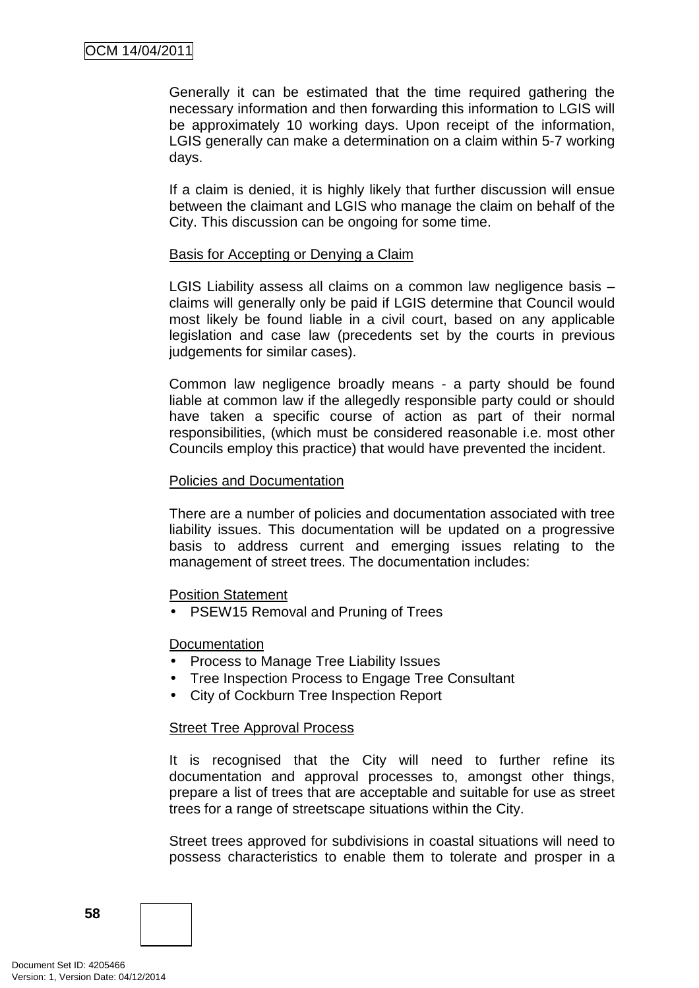Generally it can be estimated that the time required gathering the necessary information and then forwarding this information to LGIS will be approximately 10 working days. Upon receipt of the information, LGIS generally can make a determination on a claim within 5-7 working days.

If a claim is denied, it is highly likely that further discussion will ensue between the claimant and LGIS who manage the claim on behalf of the City. This discussion can be ongoing for some time.

#### Basis for Accepting or Denying a Claim

LGIS Liability assess all claims on a common law negligence basis – claims will generally only be paid if LGIS determine that Council would most likely be found liable in a civil court, based on any applicable legislation and case law (precedents set by the courts in previous judgements for similar cases).

Common law negligence broadly means - a party should be found liable at common law if the allegedly responsible party could or should have taken a specific course of action as part of their normal responsibilities, (which must be considered reasonable i.e. most other Councils employ this practice) that would have prevented the incident.

#### Policies and Documentation

There are a number of policies and documentation associated with tree liability issues. This documentation will be updated on a progressive basis to address current and emerging issues relating to the management of street trees. The documentation includes:

## Position Statement

• PSEW15 Removal and Pruning of Trees

#### **Documentation**

- Process to Manage Tree Liability Issues
- Tree Inspection Process to Engage Tree Consultant
- City of Cockburn Tree Inspection Report

#### Street Tree Approval Process

It is recognised that the City will need to further refine its documentation and approval processes to, amongst other things, prepare a list of trees that are acceptable and suitable for use as street trees for a range of streetscape situations within the City.

Street trees approved for subdivisions in coastal situations will need to possess characteristics to enable them to tolerate and prosper in a

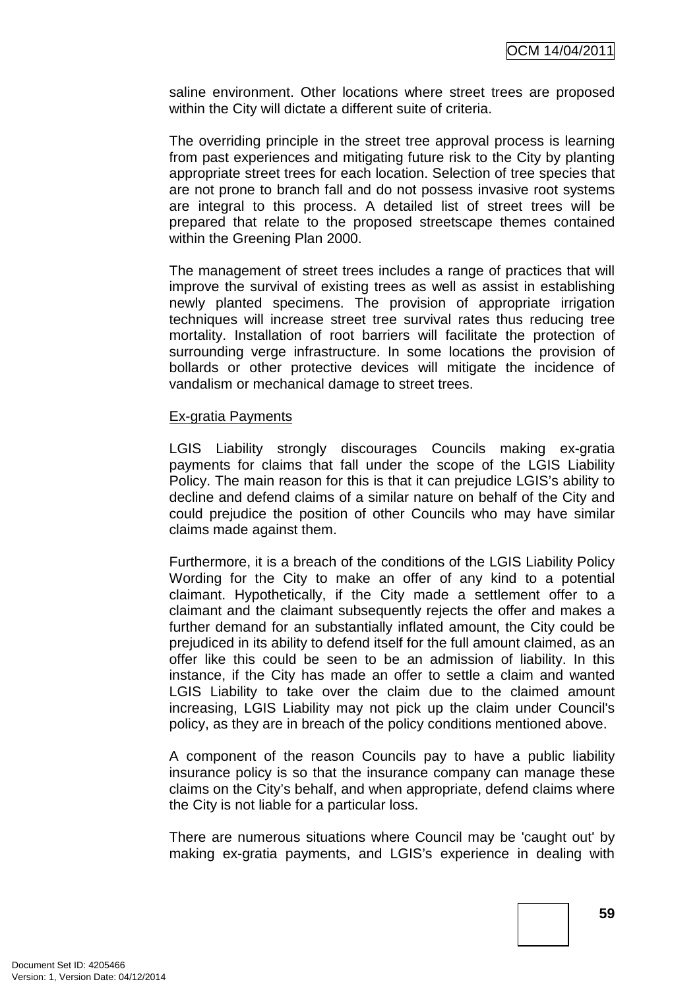saline environment. Other locations where street trees are proposed within the City will dictate a different suite of criteria.

The overriding principle in the street tree approval process is learning from past experiences and mitigating future risk to the City by planting appropriate street trees for each location. Selection of tree species that are not prone to branch fall and do not possess invasive root systems are integral to this process. A detailed list of street trees will be prepared that relate to the proposed streetscape themes contained within the Greening Plan 2000.

The management of street trees includes a range of practices that will improve the survival of existing trees as well as assist in establishing newly planted specimens. The provision of appropriate irrigation techniques will increase street tree survival rates thus reducing tree mortality. Installation of root barriers will facilitate the protection of surrounding verge infrastructure. In some locations the provision of bollards or other protective devices will mitigate the incidence of vandalism or mechanical damage to street trees.

#### Ex-gratia Payments

LGIS Liability strongly discourages Councils making ex-gratia payments for claims that fall under the scope of the LGIS Liability Policy. The main reason for this is that it can prejudice LGIS's ability to decline and defend claims of a similar nature on behalf of the City and could prejudice the position of other Councils who may have similar claims made against them.

Furthermore, it is a breach of the conditions of the LGIS Liability Policy Wording for the City to make an offer of any kind to a potential claimant. Hypothetically, if the City made a settlement offer to a claimant and the claimant subsequently rejects the offer and makes a further demand for an substantially inflated amount, the City could be prejudiced in its ability to defend itself for the full amount claimed, as an offer like this could be seen to be an admission of liability. In this instance, if the City has made an offer to settle a claim and wanted LGIS Liability to take over the claim due to the claimed amount increasing, LGIS Liability may not pick up the claim under Council's policy, as they are in breach of the policy conditions mentioned above.

A component of the reason Councils pay to have a public liability insurance policy is so that the insurance company can manage these claims on the City's behalf, and when appropriate, defend claims where the City is not liable for a particular loss.

There are numerous situations where Council may be 'caught out' by making ex-gratia payments, and LGIS's experience in dealing with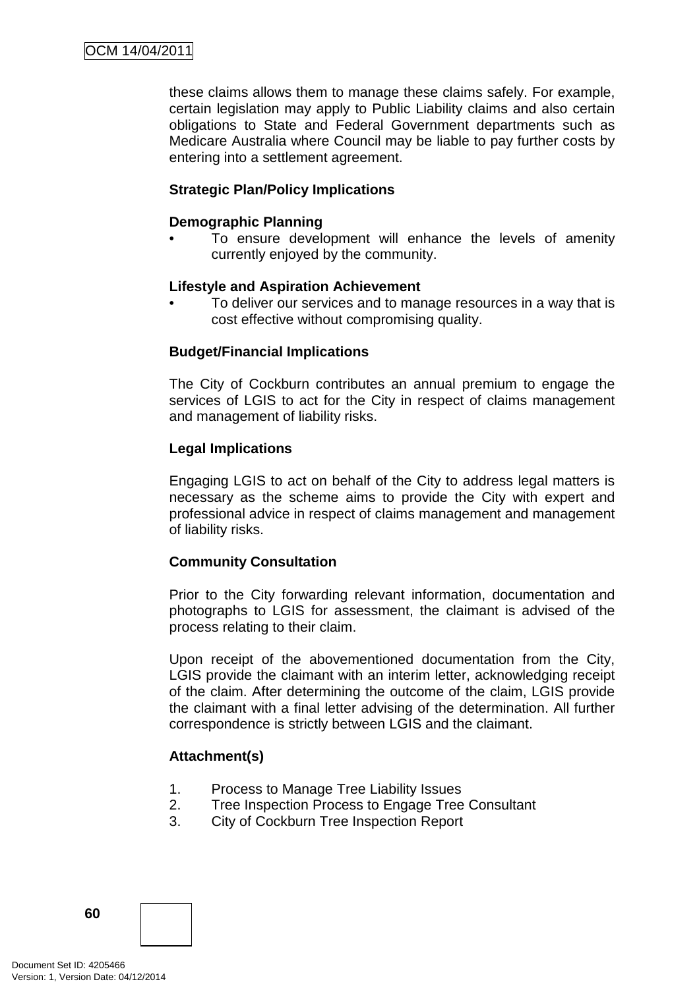these claims allows them to manage these claims safely. For example, certain legislation may apply to Public Liability claims and also certain obligations to State and Federal Government departments such as Medicare Australia where Council may be liable to pay further costs by entering into a settlement agreement.

## **Strategic Plan/Policy Implications**

## **Demographic Planning**

• To ensure development will enhance the levels of amenity currently enjoyed by the community.

## **Lifestyle and Aspiration Achievement**

• To deliver our services and to manage resources in a way that is cost effective without compromising quality.

## **Budget/Financial Implications**

The City of Cockburn contributes an annual premium to engage the services of LGIS to act for the City in respect of claims management and management of liability risks.

## **Legal Implications**

Engaging LGIS to act on behalf of the City to address legal matters is necessary as the scheme aims to provide the City with expert and professional advice in respect of claims management and management of liability risks.

## **Community Consultation**

Prior to the City forwarding relevant information, documentation and photographs to LGIS for assessment, the claimant is advised of the process relating to their claim.

Upon receipt of the abovementioned documentation from the City, LGIS provide the claimant with an interim letter, acknowledging receipt of the claim. After determining the outcome of the claim, LGIS provide the claimant with a final letter advising of the determination. All further correspondence is strictly between LGIS and the claimant.

## **Attachment(s)**

- 1. Process to Manage Tree Liability Issues
- 2. Tree Inspection Process to Engage Tree Consultant
- 3. City of Cockburn Tree Inspection Report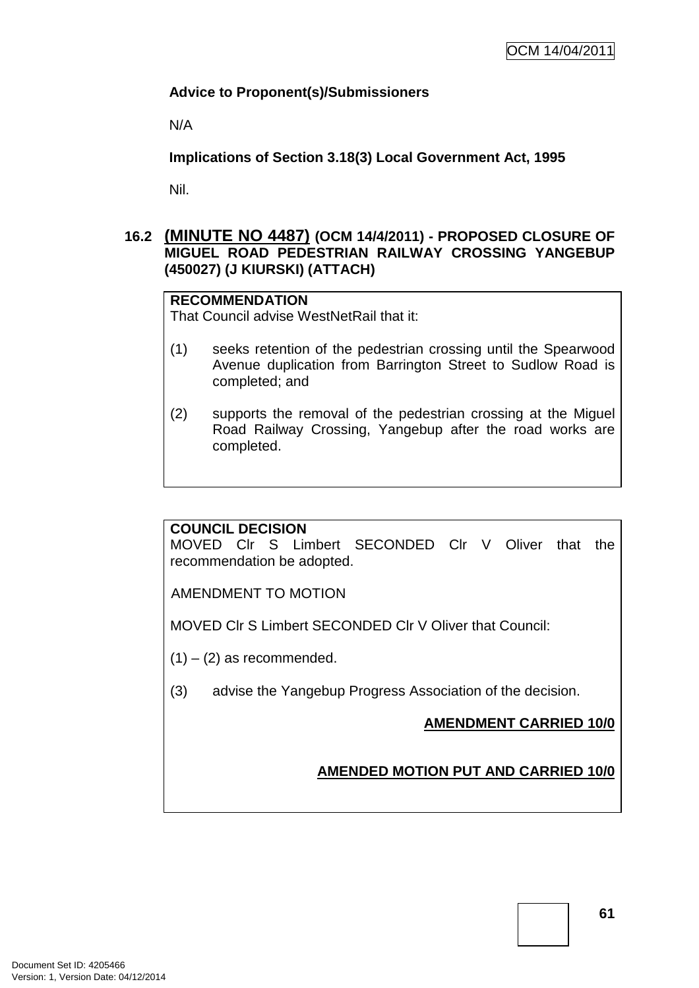## **Advice to Proponent(s)/Submissioners**

N/A

**Implications of Section 3.18(3) Local Government Act, 1995**

Nil.

## **16.2 (MINUTE NO 4487) (OCM 14/4/2011) - PROPOSED CLOSURE OF MIGUEL ROAD PEDESTRIAN RAILWAY CROSSING YANGEBUP (450027) (J KIURSKI) (ATTACH)**

## **RECOMMENDATION**

That Council advise WestNetRail that it:

- (1) seeks retention of the pedestrian crossing until the Spearwood Avenue duplication from Barrington Street to Sudlow Road is completed; and
- (2) supports the removal of the pedestrian crossing at the Miguel Road Railway Crossing, Yangebup after the road works are completed.

## **COUNCIL DECISION**

MOVED Clr S Limbert SECONDED Clr V Oliver that the recommendation be adopted.

AMENDMENT TO MOTION

MOVED Clr S Limbert SECONDED Clr V Oliver that Council:

 $(1) - (2)$  as recommended.

(3) advise the Yangebup Progress Association of the decision.

## **AMENDMENT CARRIED 10/0**

## **AMENDED MOTION PUT AND CARRIED 10/0**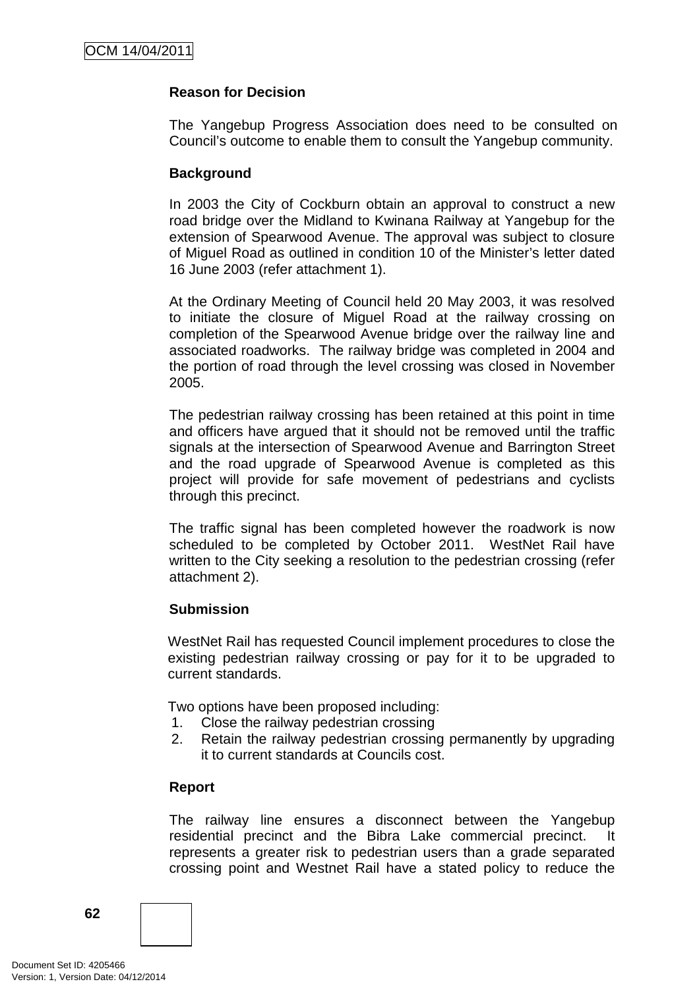## **Reason for Decision**

The Yangebup Progress Association does need to be consulted on Council's outcome to enable them to consult the Yangebup community.

## **Background**

In 2003 the City of Cockburn obtain an approval to construct a new road bridge over the Midland to Kwinana Railway at Yangebup for the extension of Spearwood Avenue. The approval was subject to closure of Miguel Road as outlined in condition 10 of the Minister's letter dated 16 June 2003 (refer attachment 1).

At the Ordinary Meeting of Council held 20 May 2003, it was resolved to initiate the closure of Miguel Road at the railway crossing on completion of the Spearwood Avenue bridge over the railway line and associated roadworks. The railway bridge was completed in 2004 and the portion of road through the level crossing was closed in November 2005.

The pedestrian railway crossing has been retained at this point in time and officers have argued that it should not be removed until the traffic signals at the intersection of Spearwood Avenue and Barrington Street and the road upgrade of Spearwood Avenue is completed as this project will provide for safe movement of pedestrians and cyclists through this precinct.

The traffic signal has been completed however the roadwork is now scheduled to be completed by October 2011. WestNet Rail have written to the City seeking a resolution to the pedestrian crossing (refer attachment 2).

## **Submission**

WestNet Rail has requested Council implement procedures to close the existing pedestrian railway crossing or pay for it to be upgraded to current standards.

Two options have been proposed including:

- 1. Close the railway pedestrian crossing
- 2. Retain the railway pedestrian crossing permanently by upgrading it to current standards at Councils cost.

## **Report**

The railway line ensures a disconnect between the Yangebup residential precinct and the Bibra Lake commercial precinct. It represents a greater risk to pedestrian users than a grade separated crossing point and Westnet Rail have a stated policy to reduce the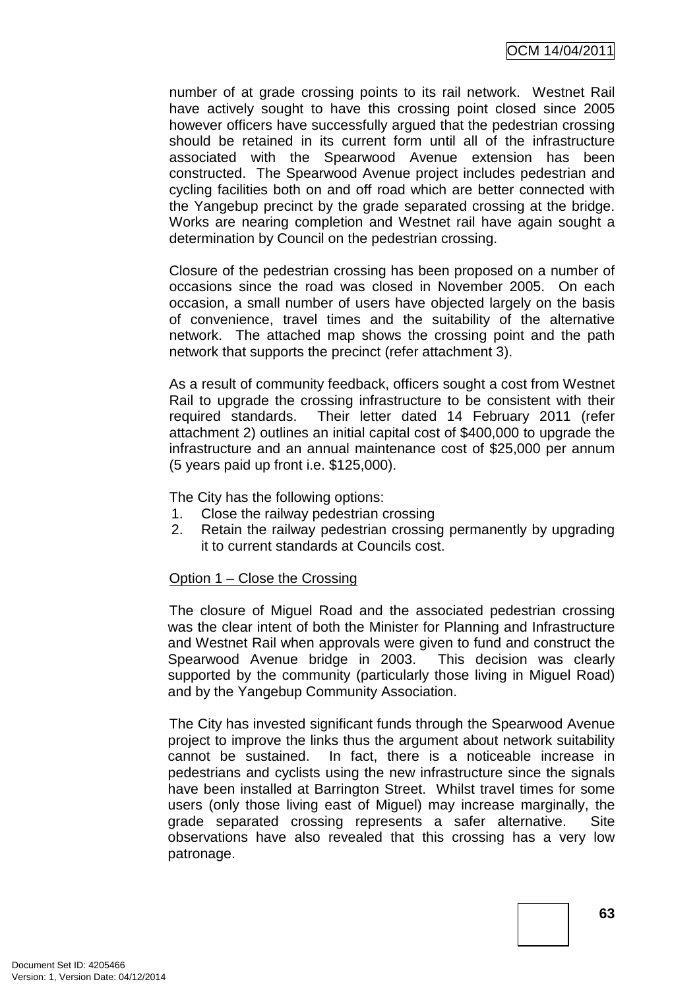number of at grade crossing points to its rail network. Westnet Rail have actively sought to have this crossing point closed since 2005 however officers have successfully argued that the pedestrian crossing should be retained in its current form until all of the infrastructure associated with the Spearwood Avenue extension has been constructed. The Spearwood Avenue project includes pedestrian and cycling facilities both on and off road which are better connected with the Yangebup precinct by the grade separated crossing at the bridge. Works are nearing completion and Westnet rail have again sought a determination by Council on the pedestrian crossing.

Closure of the pedestrian crossing has been proposed on a number of occasions since the road was closed in November 2005. On each occasion, a small number of users have objected largely on the basis of convenience, travel times and the suitability of the alternative network. The attached map shows the crossing point and the path network that supports the precinct (refer attachment 3).

As a result of community feedback, officers sought a cost from Westnet Rail to upgrade the crossing infrastructure to be consistent with their required standards. Their letter dated 14 February 2011 (refer attachment 2) outlines an initial capital cost of \$400,000 to upgrade the infrastructure and an annual maintenance cost of \$25,000 per annum (5 years paid up front i.e. \$125,000).

The City has the following options:

- 1. Close the railway pedestrian crossing
- 2. Retain the railway pedestrian crossing permanently by upgrading it to current standards at Councils cost.

## Option 1 – Close the Crossing

The closure of Miguel Road and the associated pedestrian crossing was the clear intent of both the Minister for Planning and Infrastructure and Westnet Rail when approvals were given to fund and construct the Spearwood Avenue bridge in 2003. This decision was clearly supported by the community (particularly those living in Miguel Road) and by the Yangebup Community Association.

The City has invested significant funds through the Spearwood Avenue project to improve the links thus the argument about network suitability cannot be sustained. In fact, there is a noticeable increase in pedestrians and cyclists using the new infrastructure since the signals have been installed at Barrington Street. Whilst travel times for some users (only those living east of Miguel) may increase marginally, the grade separated crossing represents a safer alternative. Site observations have also revealed that this crossing has a very low patronage.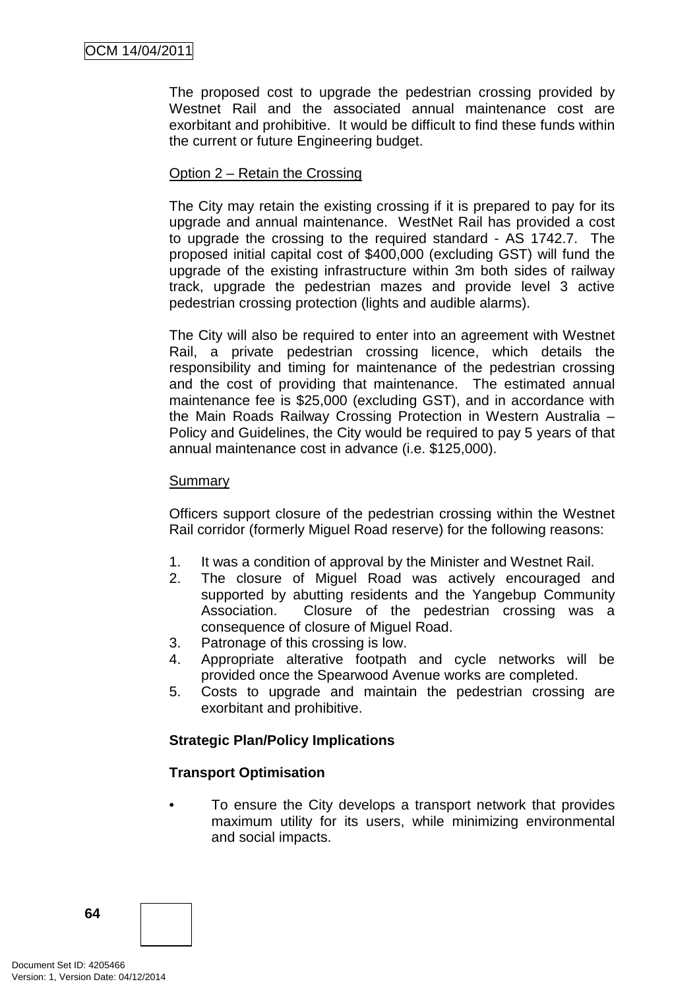The proposed cost to upgrade the pedestrian crossing provided by Westnet Rail and the associated annual maintenance cost are exorbitant and prohibitive. It would be difficult to find these funds within the current or future Engineering budget.

## Option 2 – Retain the Crossing

The City may retain the existing crossing if it is prepared to pay for its upgrade and annual maintenance. WestNet Rail has provided a cost to upgrade the crossing to the required standard - AS 1742.7. The proposed initial capital cost of \$400,000 (excluding GST) will fund the upgrade of the existing infrastructure within 3m both sides of railway track, upgrade the pedestrian mazes and provide level 3 active pedestrian crossing protection (lights and audible alarms).

The City will also be required to enter into an agreement with Westnet Rail, a private pedestrian crossing licence, which details the responsibility and timing for maintenance of the pedestrian crossing and the cost of providing that maintenance. The estimated annual maintenance fee is \$25,000 (excluding GST), and in accordance with the Main Roads Railway Crossing Protection in Western Australia – Policy and Guidelines, the City would be required to pay 5 years of that annual maintenance cost in advance (i.e. \$125,000).

#### **Summary**

Officers support closure of the pedestrian crossing within the Westnet Rail corridor (formerly Miguel Road reserve) for the following reasons:

- 1. It was a condition of approval by the Minister and Westnet Rail.
- 2. The closure of Miguel Road was actively encouraged and supported by abutting residents and the Yangebup Community Association. Closure of the pedestrian crossing was a consequence of closure of Miguel Road.
- 3. Patronage of this crossing is low.
- 4. Appropriate alterative footpath and cycle networks will be provided once the Spearwood Avenue works are completed.
- 5. Costs to upgrade and maintain the pedestrian crossing are exorbitant and prohibitive.

## **Strategic Plan/Policy Implications**

## **Transport Optimisation**

To ensure the City develops a transport network that provides maximum utility for its users, while minimizing environmental and social impacts.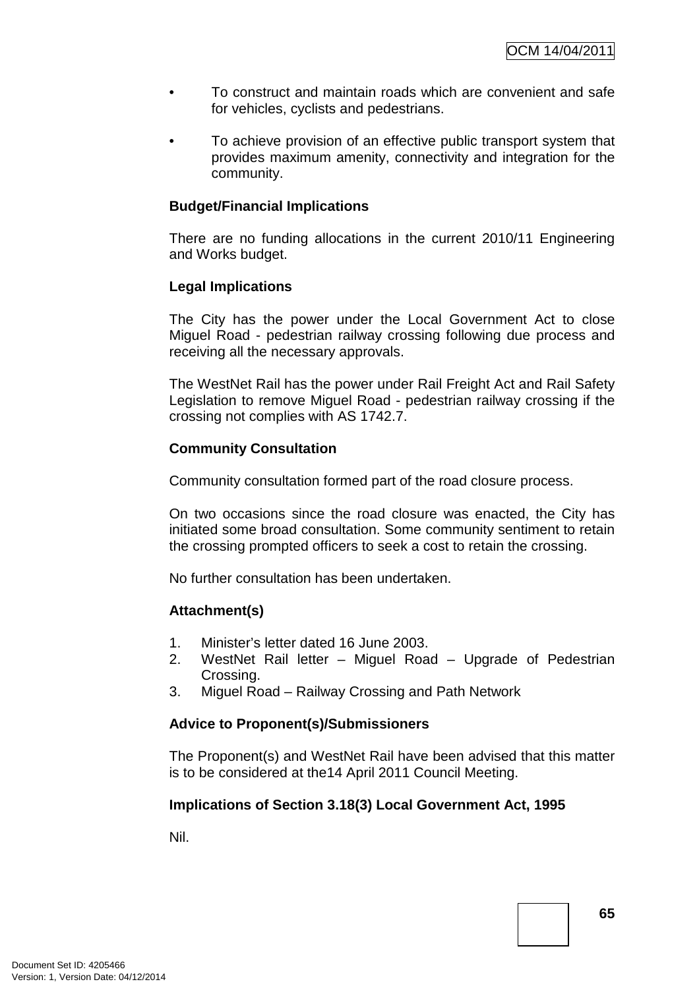- To construct and maintain roads which are convenient and safe for vehicles, cyclists and pedestrians.
- To achieve provision of an effective public transport system that provides maximum amenity, connectivity and integration for the community.

## **Budget/Financial Implications**

There are no funding allocations in the current 2010/11 Engineering and Works budget.

## **Legal Implications**

The City has the power under the Local Government Act to close Miguel Road - pedestrian railway crossing following due process and receiving all the necessary approvals.

The WestNet Rail has the power under Rail Freight Act and Rail Safety Legislation to remove Miguel Road - pedestrian railway crossing if the crossing not complies with AS 1742.7.

## **Community Consultation**

Community consultation formed part of the road closure process.

On two occasions since the road closure was enacted, the City has initiated some broad consultation. Some community sentiment to retain the crossing prompted officers to seek a cost to retain the crossing.

No further consultation has been undertaken.

## **Attachment(s)**

- 1. Minister's letter dated 16 June 2003.
- 2. WestNet Rail letter Miguel Road Upgrade of Pedestrian Crossing.
- 3. Miguel Road Railway Crossing and Path Network

## **Advice to Proponent(s)/Submissioners**

The Proponent(s) and WestNet Rail have been advised that this matter is to be considered at the14 April 2011 Council Meeting.

## **Implications of Section 3.18(3) Local Government Act, 1995**

Nil.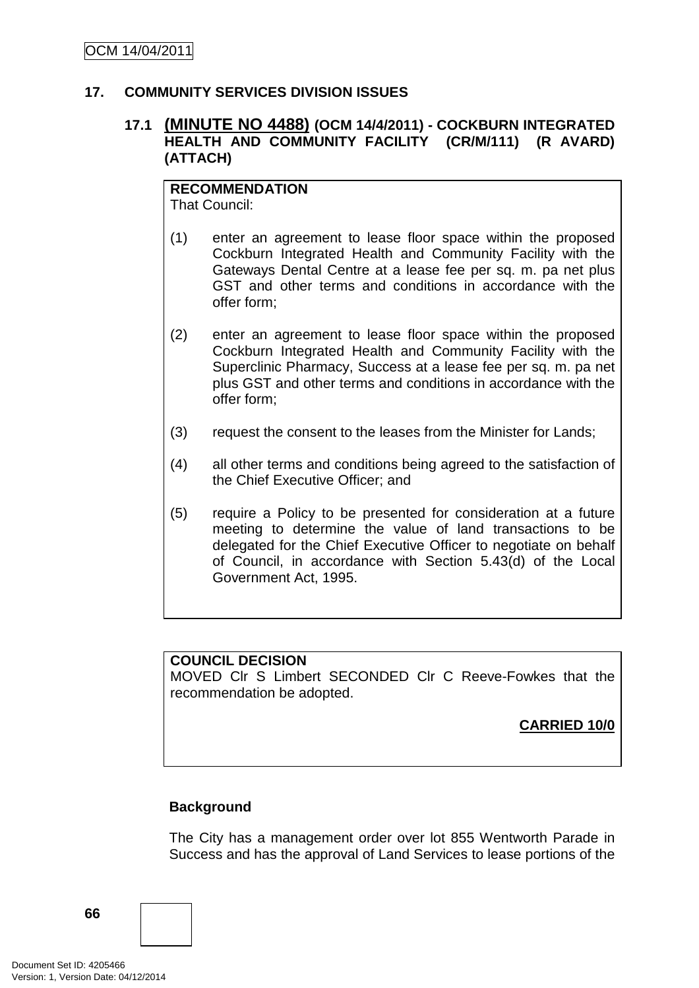## **17. COMMUNITY SERVICES DIVISION ISSUES**

## **17.1 (MINUTE NO 4488) (OCM 14/4/2011) - COCKBURN INTEGRATED HEALTH AND COMMUNITY FACILITY (CR/M/111) (R AVARD) (ATTACH)**

**RECOMMENDATION** That Council:

- (1) enter an agreement to lease floor space within the proposed Cockburn Integrated Health and Community Facility with the Gateways Dental Centre at a lease fee per sq. m. pa net plus GST and other terms and conditions in accordance with the offer form;
- (2) enter an agreement to lease floor space within the proposed Cockburn Integrated Health and Community Facility with the Superclinic Pharmacy, Success at a lease fee per sq. m. pa net plus GST and other terms and conditions in accordance with the offer form;
- (3) request the consent to the leases from the Minister for Lands;
- (4) all other terms and conditions being agreed to the satisfaction of the Chief Executive Officer; and
- (5) require a Policy to be presented for consideration at a future meeting to determine the value of land transactions to be delegated for the Chief Executive Officer to negotiate on behalf of Council, in accordance with Section 5.43(d) of the Local Government Act, 1995.

## **COUNCIL DECISION**

MOVED Clr S Limbert SECONDED Clr C Reeve-Fowkes that the recommendation be adopted.

**CARRIED 10/0**

## **Background**

The City has a management order over lot 855 Wentworth Parade in Success and has the approval of Land Services to lease portions of the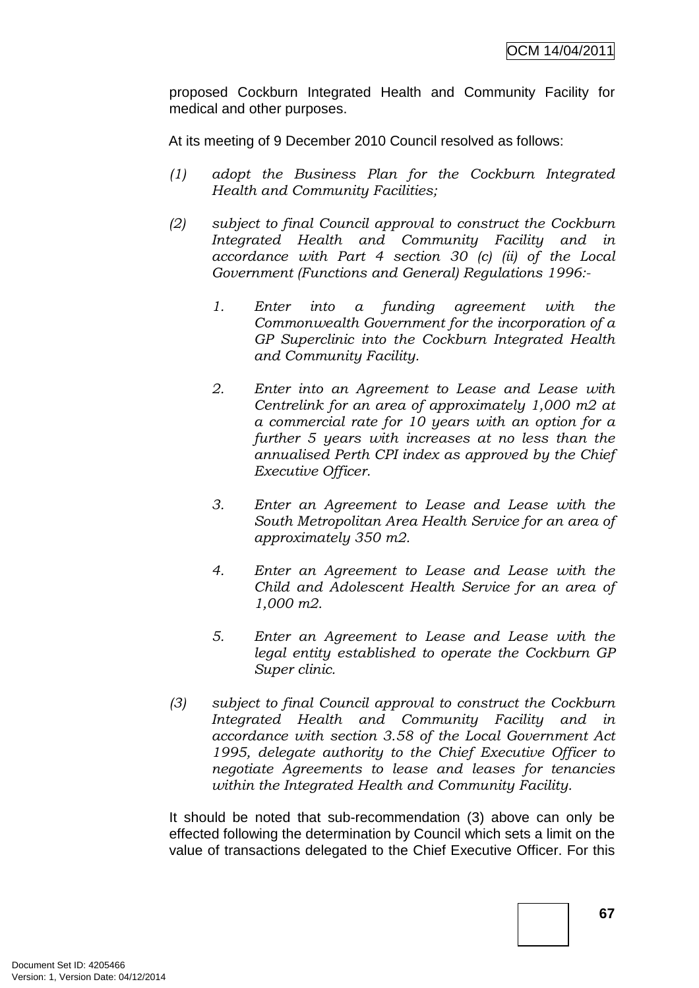proposed Cockburn Integrated Health and Community Facility for medical and other purposes.

At its meeting of 9 December 2010 Council resolved as follows:

- *(1) adopt the Business Plan for the Cockburn Integrated Health and Community Facilities;*
- *(2) subject to final Council approval to construct the Cockburn Integrated Health and Community Facility and in accordance with Part 4 section 30 (c) (ii) of the Local Government (Functions and General) Regulations 1996:-* 
	- *1. Enter into a funding agreement with the Commonwealth Government for the incorporation of a GP Superclinic into the Cockburn Integrated Health and Community Facility.*
	- *2. Enter into an Agreement to Lease and Lease with Centrelink for an area of approximately 1,000 m2 at a commercial rate for 10 years with an option for a further 5 years with increases at no less than the annualised Perth CPI index as approved by the Chief Executive Officer.*
	- *3. Enter an Agreement to Lease and Lease with the South Metropolitan Area Health Service for an area of approximately 350 m2.*
	- *4. Enter an Agreement to Lease and Lease with the Child and Adolescent Health Service for an area of 1,000 m2.*
	- *5. Enter an Agreement to Lease and Lease with the legal entity established to operate the Cockburn GP Super clinic.*
- *(3) subject to final Council approval to construct the Cockburn Integrated Health and Community Facility and in accordance with section 3.58 of the Local Government Act 1995, delegate authority to the Chief Executive Officer to negotiate Agreements to lease and leases for tenancies within the Integrated Health and Community Facility.*

It should be noted that sub-recommendation (3) above can only be effected following the determination by Council which sets a limit on the value of transactions delegated to the Chief Executive Officer. For this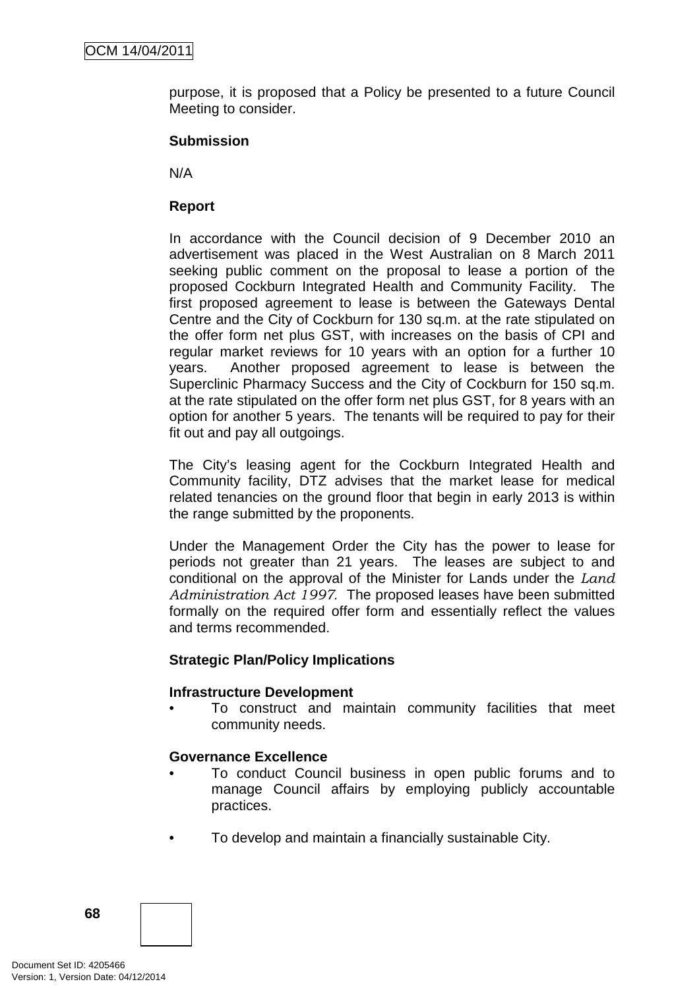purpose, it is proposed that a Policy be presented to a future Council Meeting to consider.

## **Submission**

N/A

## **Report**

In accordance with the Council decision of 9 December 2010 an advertisement was placed in the West Australian on 8 March 2011 seeking public comment on the proposal to lease a portion of the proposed Cockburn Integrated Health and Community Facility. The first proposed agreement to lease is between the Gateways Dental Centre and the City of Cockburn for 130 sq.m. at the rate stipulated on the offer form net plus GST, with increases on the basis of CPI and regular market reviews for 10 years with an option for a further 10 years. Another proposed agreement to lease is between the Superclinic Pharmacy Success and the City of Cockburn for 150 sq.m. at the rate stipulated on the offer form net plus GST, for 8 years with an option for another 5 years. The tenants will be required to pay for their fit out and pay all outgoings.

The City's leasing agent for the Cockburn Integrated Health and Community facility, DTZ advises that the market lease for medical related tenancies on the ground floor that begin in early 2013 is within the range submitted by the proponents.

Under the Management Order the City has the power to lease for periods not greater than 21 years. The leases are subject to and conditional on the approval of the Minister for Lands under the *Land Administration Act 1997*. The proposed leases have been submitted formally on the required offer form and essentially reflect the values and terms recommended.

## **Strategic Plan/Policy Implications**

#### **Infrastructure Development**

• To construct and maintain community facilities that meet community needs.

## **Governance Excellence**

- To conduct Council business in open public forums and to manage Council affairs by employing publicly accountable practices.
- To develop and maintain a financially sustainable City.

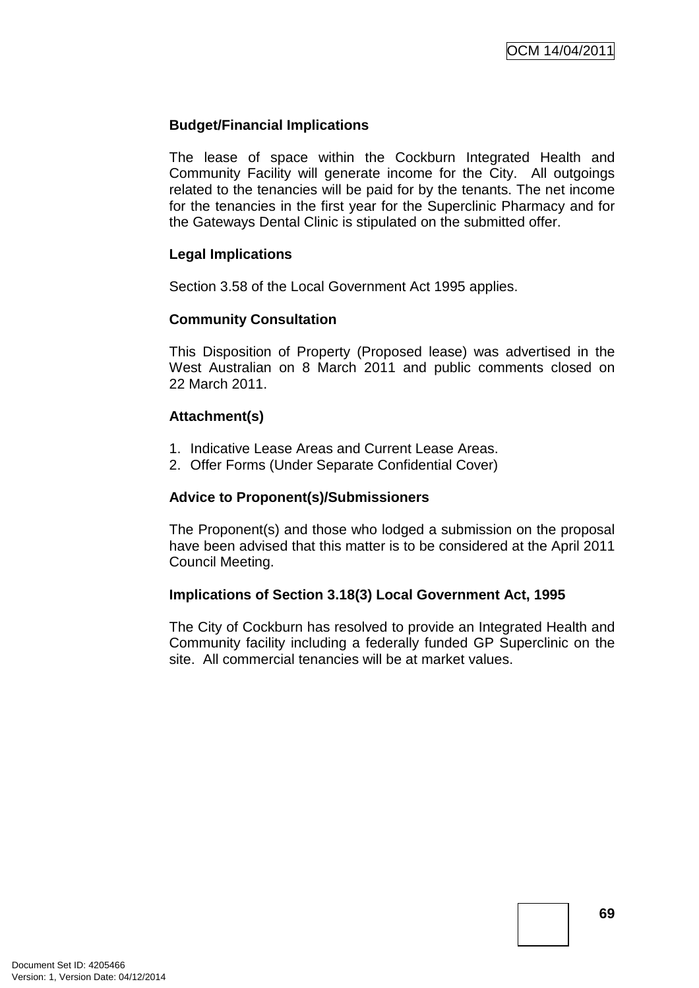### **Budget/Financial Implications**

The lease of space within the Cockburn Integrated Health and Community Facility will generate income for the City. All outgoings related to the tenancies will be paid for by the tenants. The net income for the tenancies in the first year for the Superclinic Pharmacy and for the Gateways Dental Clinic is stipulated on the submitted offer.

### **Legal Implications**

Section 3.58 of the Local Government Act 1995 applies.

### **Community Consultation**

This Disposition of Property (Proposed lease) was advertised in the West Australian on 8 March 2011 and public comments closed on 22 March 2011.

### **Attachment(s)**

- 1. Indicative Lease Areas and Current Lease Areas.
- 2. Offer Forms (Under Separate Confidential Cover)

### **Advice to Proponent(s)/Submissioners**

The Proponent(s) and those who lodged a submission on the proposal have been advised that this matter is to be considered at the April 2011 Council Meeting.

### **Implications of Section 3.18(3) Local Government Act, 1995**

The City of Cockburn has resolved to provide an Integrated Health and Community facility including a federally funded GP Superclinic on the site. All commercial tenancies will be at market values.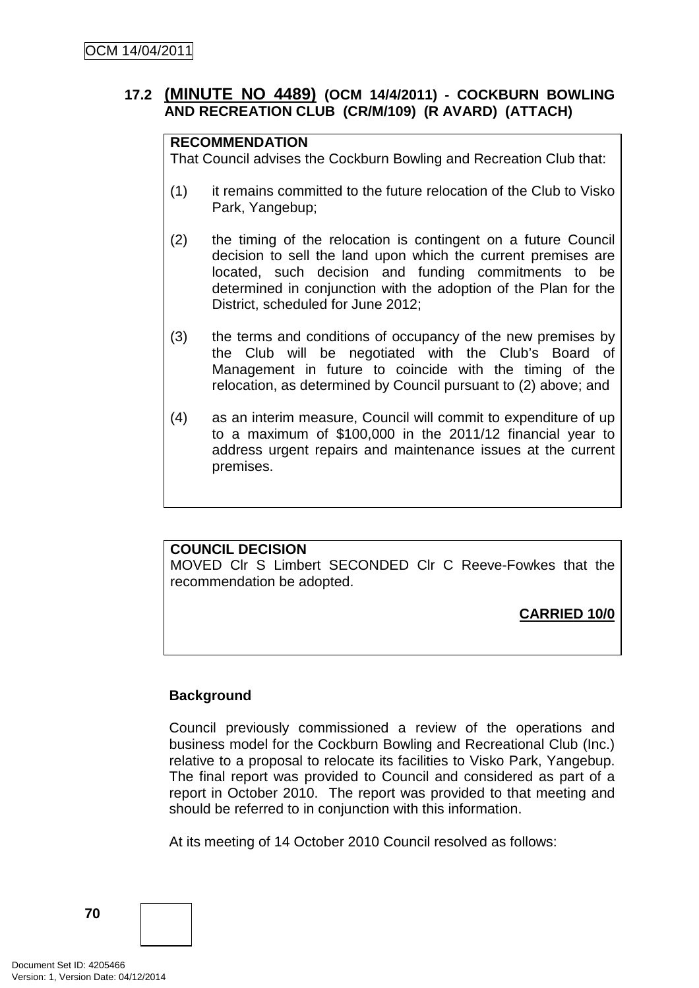# **17.2 (MINUTE NO 4489) (OCM 14/4/2011) - COCKBURN BOWLING AND RECREATION CLUB (CR/M/109) (R AVARD) (ATTACH)**

### **RECOMMENDATION**

That Council advises the Cockburn Bowling and Recreation Club that:

- (1) it remains committed to the future relocation of the Club to Visko Park, Yangebup;
- (2) the timing of the relocation is contingent on a future Council decision to sell the land upon which the current premises are located, such decision and funding commitments to be determined in conjunction with the adoption of the Plan for the District, scheduled for June 2012;
- (3) the terms and conditions of occupancy of the new premises by the Club will be negotiated with the Club's Board of Management in future to coincide with the timing of the relocation, as determined by Council pursuant to (2) above; and
- (4) as an interim measure, Council will commit to expenditure of up to a maximum of \$100,000 in the 2011/12 financial year to address urgent repairs and maintenance issues at the current premises.

### **COUNCIL DECISION**

MOVED Clr S Limbert SECONDED Clr C Reeve-Fowkes that the recommendation be adopted.

**CARRIED 10/0**

# **Background**

Council previously commissioned a review of the operations and business model for the Cockburn Bowling and Recreational Club (Inc.) relative to a proposal to relocate its facilities to Visko Park, Yangebup. The final report was provided to Council and considered as part of a report in October 2010. The report was provided to that meeting and should be referred to in conjunction with this information.

At its meeting of 14 October 2010 Council resolved as follows: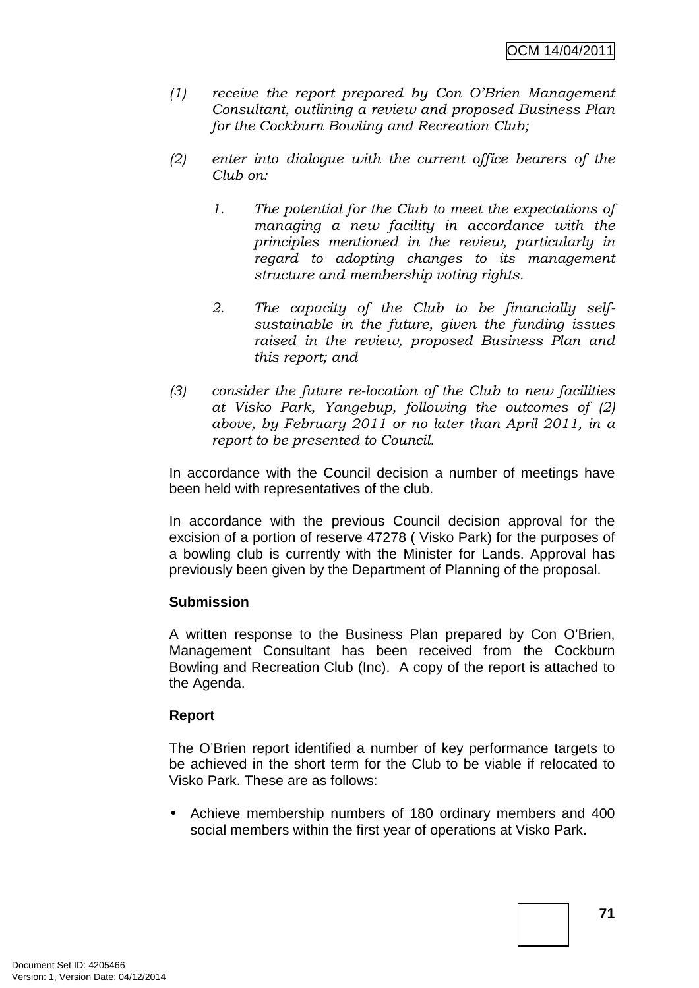- *(1) receive the report prepared by Con O'Brien Management Consultant, outlining a review and proposed Business Plan for the Cockburn Bowling and Recreation Club;*
- *(2) enter into dialogue with the current office bearers of the Club on:* 
	- *1. The potential for the Club to meet the expectations of managing a new facility in accordance with the principles mentioned in the review, particularly in regard to adopting changes to its management structure and membership voting rights.*
	- *2. The capacity of the Club to be financially selfsustainable in the future, given the funding issues raised in the review, proposed Business Plan and this report; and*
- *(3) consider the future re-location of the Club to new facilities at Visko Park, Yangebup, following the outcomes of (2) above, by February 2011 or no later than April 2011, in a report to be presented to Council.*

In accordance with the Council decision a number of meetings have been held with representatives of the club.

In accordance with the previous Council decision approval for the excision of a portion of reserve 47278 ( Visko Park) for the purposes of a bowling club is currently with the Minister for Lands. Approval has previously been given by the Department of Planning of the proposal.

### **Submission**

A written response to the Business Plan prepared by Con O'Brien, Management Consultant has been received from the Cockburn Bowling and Recreation Club (Inc). A copy of the report is attached to the Agenda.

# **Report**

The O'Brien report identified a number of key performance targets to be achieved in the short term for the Club to be viable if relocated to Visko Park. These are as follows:

• Achieve membership numbers of 180 ordinary members and 400 social members within the first year of operations at Visko Park.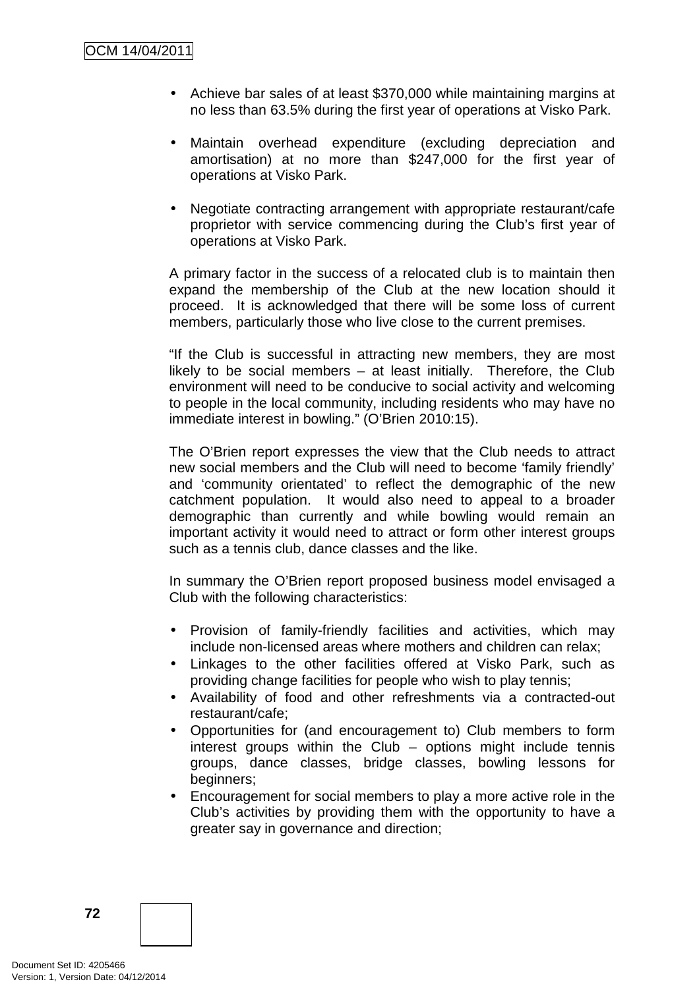- Achieve bar sales of at least \$370,000 while maintaining margins at no less than 63.5% during the first year of operations at Visko Park.
- Maintain overhead expenditure (excluding depreciation and amortisation) at no more than \$247,000 for the first year of operations at Visko Park.
- Negotiate contracting arrangement with appropriate restaurant/cafe proprietor with service commencing during the Club's first year of operations at Visko Park.

A primary factor in the success of a relocated club is to maintain then expand the membership of the Club at the new location should it proceed. It is acknowledged that there will be some loss of current members, particularly those who live close to the current premises.

"If the Club is successful in attracting new members, they are most likely to be social members – at least initially. Therefore, the Club environment will need to be conducive to social activity and welcoming to people in the local community, including residents who may have no immediate interest in bowling." (O'Brien 2010:15).

The O'Brien report expresses the view that the Club needs to attract new social members and the Club will need to become 'family friendly' and 'community orientated' to reflect the demographic of the new catchment population. It would also need to appeal to a broader demographic than currently and while bowling would remain an important activity it would need to attract or form other interest groups such as a tennis club, dance classes and the like.

In summary the O'Brien report proposed business model envisaged a Club with the following characteristics:

- Provision of family-friendly facilities and activities, which may include non-licensed areas where mothers and children can relax;
- Linkages to the other facilities offered at Visko Park, such as providing change facilities for people who wish to play tennis;
- Availability of food and other refreshments via a contracted-out restaurant/cafe;
- Opportunities for (and encouragement to) Club members to form interest groups within the Club – options might include tennis groups, dance classes, bridge classes, bowling lessons for beginners;
- Encouragement for social members to play a more active role in the Club's activities by providing them with the opportunity to have a greater say in governance and direction;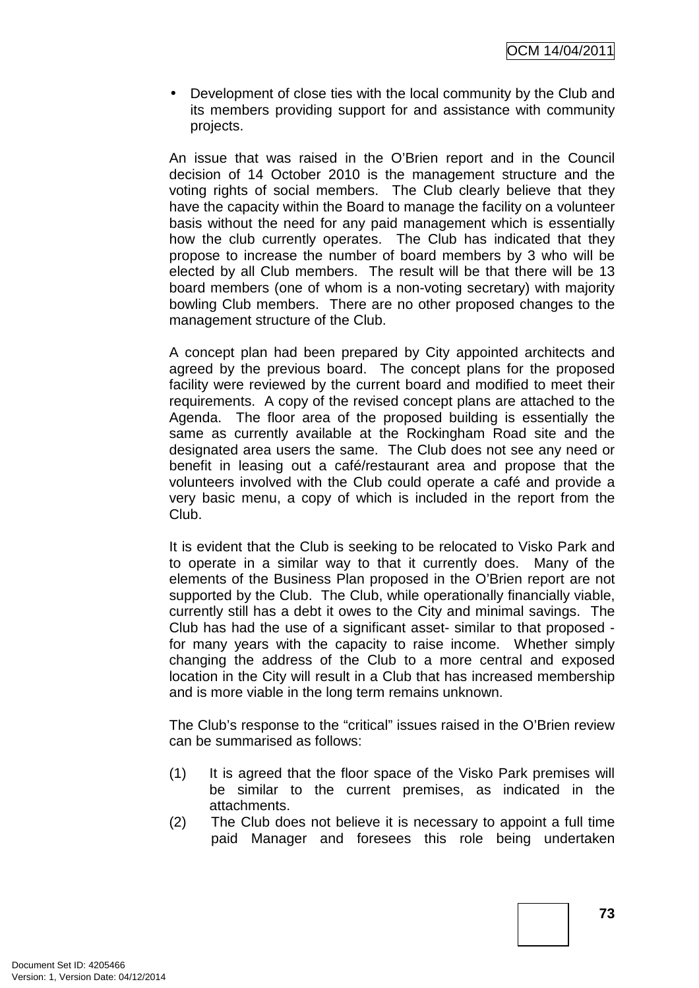• Development of close ties with the local community by the Club and its members providing support for and assistance with community projects.

An issue that was raised in the O'Brien report and in the Council decision of 14 October 2010 is the management structure and the voting rights of social members. The Club clearly believe that they have the capacity within the Board to manage the facility on a volunteer basis without the need for any paid management which is essentially how the club currently operates. The Club has indicated that they propose to increase the number of board members by 3 who will be elected by all Club members. The result will be that there will be 13 board members (one of whom is a non-voting secretary) with majority bowling Club members. There are no other proposed changes to the management structure of the Club.

A concept plan had been prepared by City appointed architects and agreed by the previous board. The concept plans for the proposed facility were reviewed by the current board and modified to meet their requirements. A copy of the revised concept plans are attached to the Agenda. The floor area of the proposed building is essentially the same as currently available at the Rockingham Road site and the designated area users the same. The Club does not see any need or benefit in leasing out a café/restaurant area and propose that the volunteers involved with the Club could operate a café and provide a very basic menu, a copy of which is included in the report from the Club.

It is evident that the Club is seeking to be relocated to Visko Park and to operate in a similar way to that it currently does. Many of the elements of the Business Plan proposed in the O'Brien report are not supported by the Club. The Club, while operationally financially viable, currently still has a debt it owes to the City and minimal savings. The Club has had the use of a significant asset- similar to that proposed for many years with the capacity to raise income. Whether simply changing the address of the Club to a more central and exposed location in the City will result in a Club that has increased membership and is more viable in the long term remains unknown.

The Club's response to the "critical" issues raised in the O'Brien review can be summarised as follows:

- (1) It is agreed that the floor space of the Visko Park premises will be similar to the current premises, as indicated in the attachments.
- (2) The Club does not believe it is necessary to appoint a full time paid Manager and foresees this role being undertaken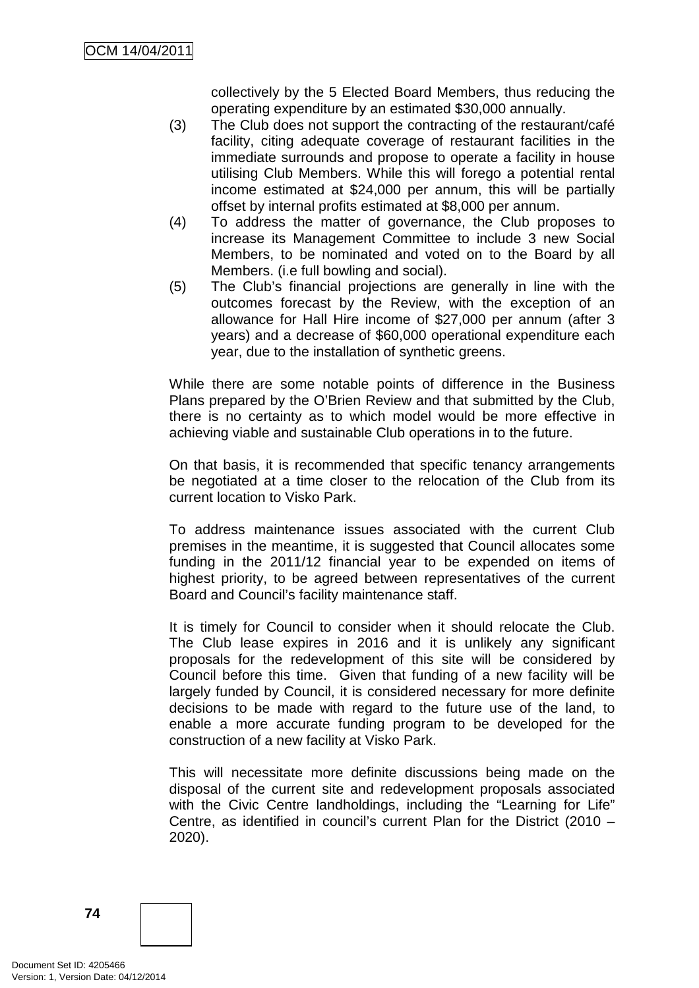collectively by the 5 Elected Board Members, thus reducing the operating expenditure by an estimated \$30,000 annually.

- (3) The Club does not support the contracting of the restaurant/café facility, citing adequate coverage of restaurant facilities in the immediate surrounds and propose to operate a facility in house utilising Club Members. While this will forego a potential rental income estimated at \$24,000 per annum, this will be partially offset by internal profits estimated at \$8,000 per annum.
- (4) To address the matter of governance, the Club proposes to increase its Management Committee to include 3 new Social Members, to be nominated and voted on to the Board by all Members. (i.e full bowling and social).
- (5) The Club's financial projections are generally in line with the outcomes forecast by the Review, with the exception of an allowance for Hall Hire income of \$27,000 per annum (after 3 years) and a decrease of \$60,000 operational expenditure each year, due to the installation of synthetic greens.

While there are some notable points of difference in the Business Plans prepared by the O'Brien Review and that submitted by the Club, there is no certainty as to which model would be more effective in achieving viable and sustainable Club operations in to the future.

On that basis, it is recommended that specific tenancy arrangements be negotiated at a time closer to the relocation of the Club from its current location to Visko Park.

To address maintenance issues associated with the current Club premises in the meantime, it is suggested that Council allocates some funding in the 2011/12 financial year to be expended on items of highest priority, to be agreed between representatives of the current Board and Council's facility maintenance staff.

It is timely for Council to consider when it should relocate the Club. The Club lease expires in 2016 and it is unlikely any significant proposals for the redevelopment of this site will be considered by Council before this time. Given that funding of a new facility will be largely funded by Council, it is considered necessary for more definite decisions to be made with regard to the future use of the land, to enable a more accurate funding program to be developed for the construction of a new facility at Visko Park.

This will necessitate more definite discussions being made on the disposal of the current site and redevelopment proposals associated with the Civic Centre landholdings, including the "Learning for Life" Centre, as identified in council's current Plan for the District (2010 – 2020).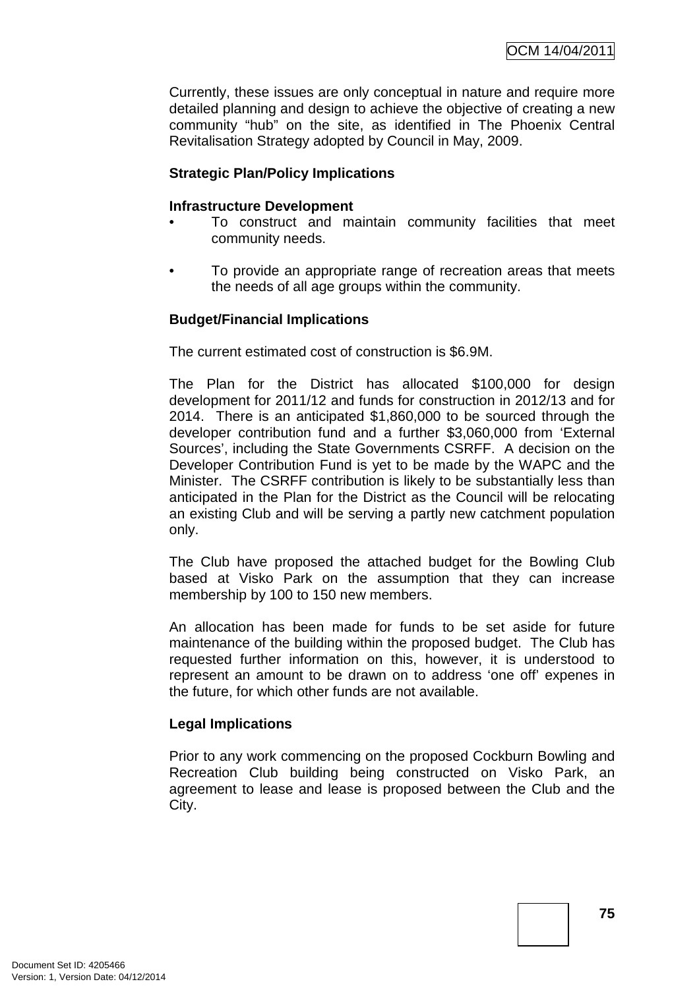Currently, these issues are only conceptual in nature and require more detailed planning and design to achieve the objective of creating a new community "hub" on the site, as identified in The Phoenix Central Revitalisation Strategy adopted by Council in May, 2009.

### **Strategic Plan/Policy Implications**

### **Infrastructure Development**

- To construct and maintain community facilities that meet community needs.
- To provide an appropriate range of recreation areas that meets the needs of all age groups within the community.

### **Budget/Financial Implications**

The current estimated cost of construction is \$6.9M.

The Plan for the District has allocated \$100,000 for design development for 2011/12 and funds for construction in 2012/13 and for 2014. There is an anticipated \$1,860,000 to be sourced through the developer contribution fund and a further \$3,060,000 from 'External Sources', including the State Governments CSRFF. A decision on the Developer Contribution Fund is yet to be made by the WAPC and the Minister. The CSRFF contribution is likely to be substantially less than anticipated in the Plan for the District as the Council will be relocating an existing Club and will be serving a partly new catchment population only.

The Club have proposed the attached budget for the Bowling Club based at Visko Park on the assumption that they can increase membership by 100 to 150 new members.

An allocation has been made for funds to be set aside for future maintenance of the building within the proposed budget. The Club has requested further information on this, however, it is understood to represent an amount to be drawn on to address 'one off' expenes in the future, for which other funds are not available.

### **Legal Implications**

Prior to any work commencing on the proposed Cockburn Bowling and Recreation Club building being constructed on Visko Park, an agreement to lease and lease is proposed between the Club and the City.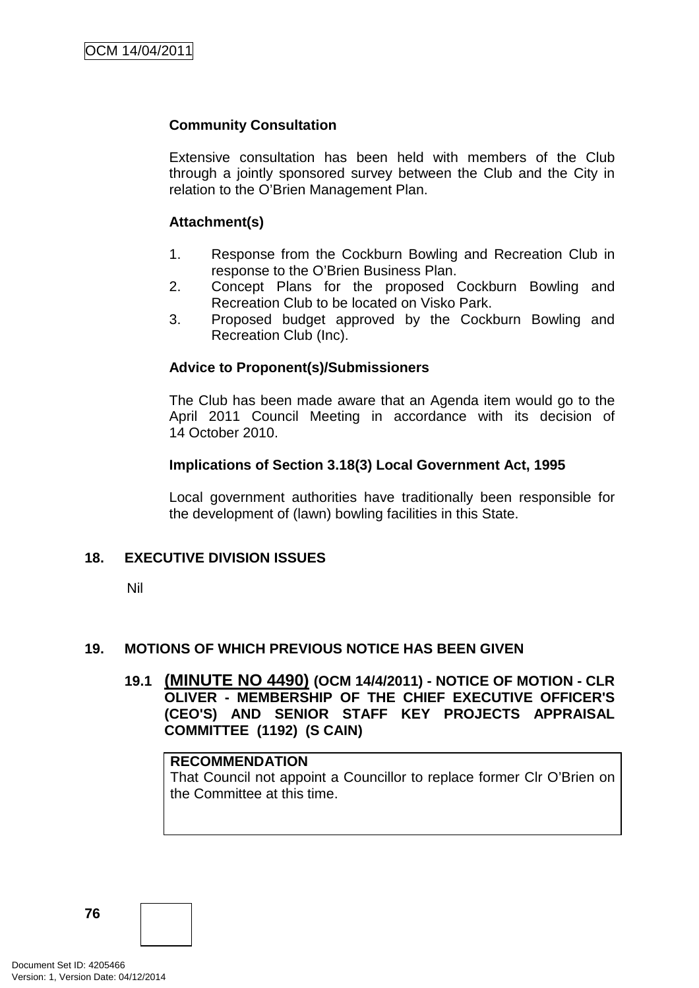### **Community Consultation**

Extensive consultation has been held with members of the Club through a jointly sponsored survey between the Club and the City in relation to the O'Brien Management Plan.

## **Attachment(s)**

- 1. Response from the Cockburn Bowling and Recreation Club in response to the O'Brien Business Plan.
- 2. Concept Plans for the proposed Cockburn Bowling and Recreation Club to be located on Visko Park.
- 3. Proposed budget approved by the Cockburn Bowling and Recreation Club (Inc).

## **Advice to Proponent(s)/Submissioners**

The Club has been made aware that an Agenda item would go to the April 2011 Council Meeting in accordance with its decision of 14 October 2010.

### **Implications of Section 3.18(3) Local Government Act, 1995**

Local government authorities have traditionally been responsible for the development of (lawn) bowling facilities in this State.

### **18. EXECUTIVE DIVISION ISSUES**

Nil

### **19. MOTIONS OF WHICH PREVIOUS NOTICE HAS BEEN GIVEN**

**19.1 (MINUTE NO 4490) (OCM 14/4/2011) - NOTICE OF MOTION - CLR OLIVER - MEMBERSHIP OF THE CHIEF EXECUTIVE OFFICER'S (CEO'S) AND SENIOR STAFF KEY PROJECTS APPRAISAL COMMITTEE (1192) (S CAIN)** 

#### **RECOMMENDATION**

That Council not appoint a Councillor to replace former Clr O'Brien on the Committee at this time.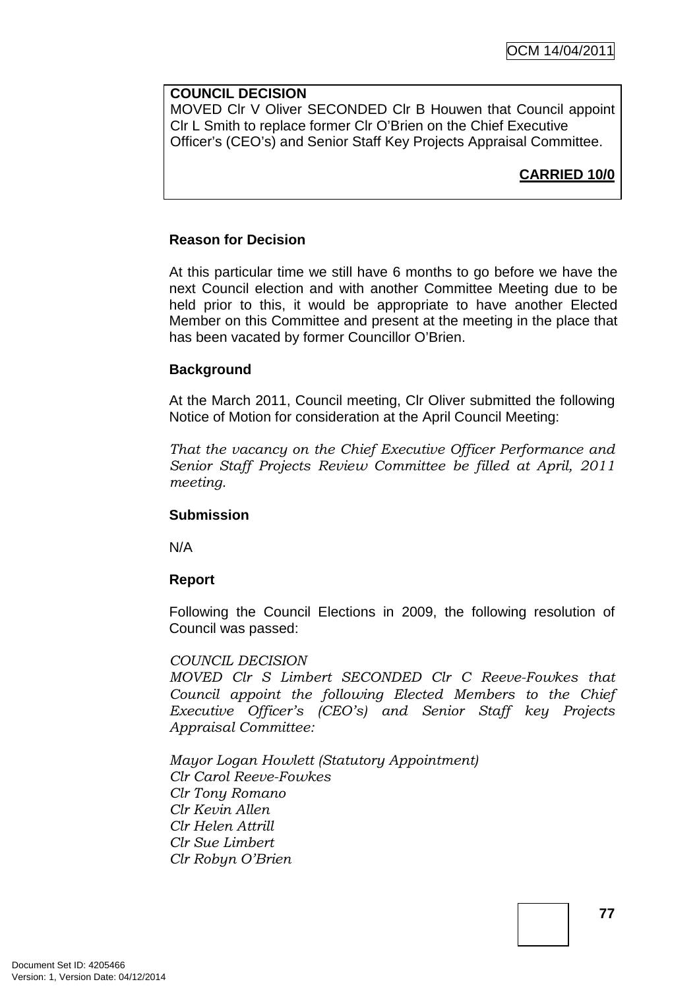### **COUNCIL DECISION**

MOVED Clr V Oliver SECONDED Clr B Houwen that Council appoint Clr L Smith to replace former Clr O'Brien on the Chief Executive Officer's (CEO's) and Senior Staff Key Projects Appraisal Committee.

**CARRIED 10/0**

## **Reason for Decision**

At this particular time we still have 6 months to go before we have the next Council election and with another Committee Meeting due to be held prior to this, it would be appropriate to have another Elected Member on this Committee and present at the meeting in the place that has been vacated by former Councillor O'Brien.

### **Background**

At the March 2011, Council meeting, Clr Oliver submitted the following Notice of Motion for consideration at the April Council Meeting:

*That the vacancy on the Chief Executive Officer Performance and Senior Staff Projects Review Committee be filled at April, 2011 meeting.* 

### **Submission**

N/A

### **Report**

Following the Council Elections in 2009, the following resolution of Council was passed:

### *COUNCIL DECISION*

*MOVED Clr S Limbert SECONDED Clr C Reeve-Fowkes that Council appoint the following Elected Members to the Chief Executive Officer's (CEO's) and Senior Staff key Projects Appraisal Committee:* 

*Mayor Logan Howlett (Statutory Appointment) Clr Carol Reeve-Fowkes Clr Tony Romano Clr Kevin Allen Clr Helen Attrill Clr Sue Limbert Clr Robyn O'Brien*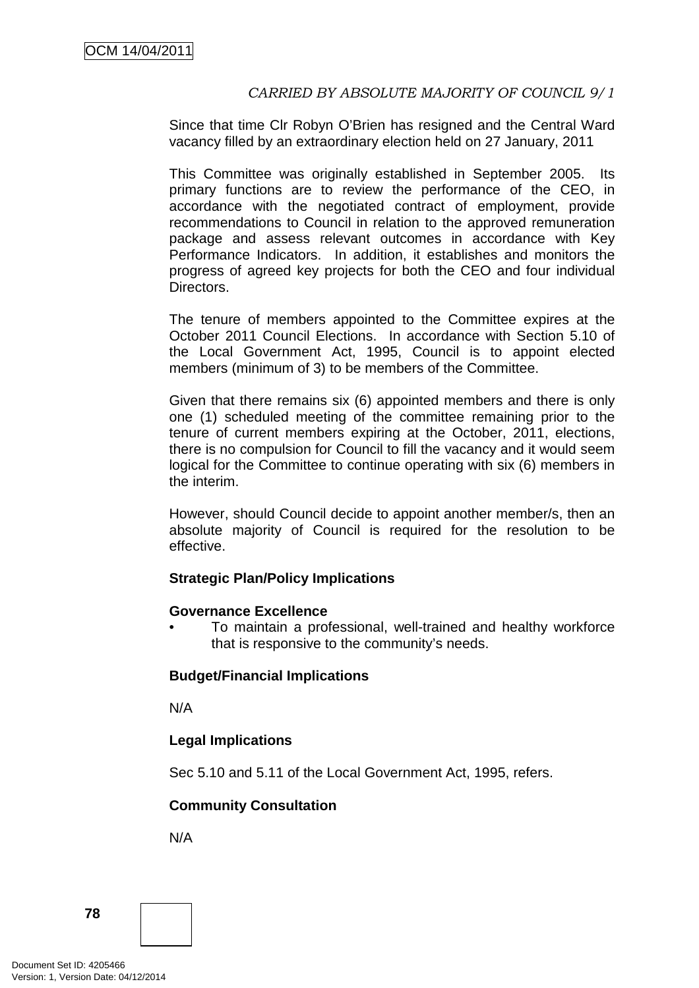### *CARRIED BY ABSOLUTE MAJORITY OF COUNCIL 9/1*

Since that time Clr Robyn O'Brien has resigned and the Central Ward vacancy filled by an extraordinary election held on 27 January, 2011

This Committee was originally established in September 2005. Its primary functions are to review the performance of the CEO, in accordance with the negotiated contract of employment, provide recommendations to Council in relation to the approved remuneration package and assess relevant outcomes in accordance with Key Performance Indicators. In addition, it establishes and monitors the progress of agreed key projects for both the CEO and four individual Directors.

The tenure of members appointed to the Committee expires at the October 2011 Council Elections. In accordance with Section 5.10 of the Local Government Act, 1995, Council is to appoint elected members (minimum of 3) to be members of the Committee.

Given that there remains six (6) appointed members and there is only one (1) scheduled meeting of the committee remaining prior to the tenure of current members expiring at the October, 2011, elections, there is no compulsion for Council to fill the vacancy and it would seem logical for the Committee to continue operating with six (6) members in the interim.

However, should Council decide to appoint another member/s, then an absolute majority of Council is required for the resolution to be effective.

### **Strategic Plan/Policy Implications**

#### **Governance Excellence**

• To maintain a professional, well-trained and healthy workforce that is responsive to the community's needs.

### **Budget/Financial Implications**

N/A

### **Legal Implications**

Sec 5.10 and 5.11 of the Local Government Act, 1995, refers.

### **Community Consultation**

N/A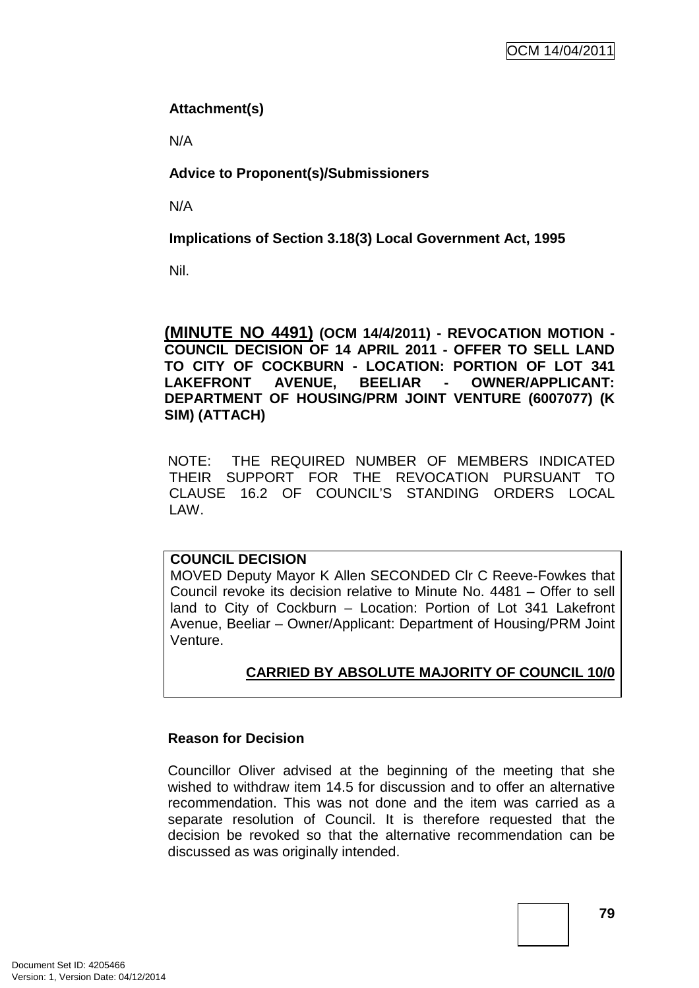# **Attachment(s)**

N/A

# **Advice to Proponent(s)/Submissioners**

N/A

# **Implications of Section 3.18(3) Local Government Act, 1995**

Nil.

**(MINUTE NO 4491) (OCM 14/4/2011) - REVOCATION MOTION - COUNCIL DECISION OF 14 APRIL 2011 - OFFER TO SELL LAND TO CITY OF COCKBURN - LOCATION: PORTION OF LOT 341 LAKEFRONT AVENUE, BEELIAR - OWNER/APPLICANT: DEPARTMENT OF HOUSING/PRM JOINT VENTURE (6007077) (K SIM) (ATTACH)** 

NOTE: THE REQUIRED NUMBER OF MEMBERS INDICATED THEIR SUPPORT FOR THE REVOCATION PURSUANT TO CLAUSE 16.2 OF COUNCIL'S STANDING ORDERS LOCAL LAW.

# **COUNCIL DECISION**

MOVED Deputy Mayor K Allen SECONDED Clr C Reeve-Fowkes that Council revoke its decision relative to Minute No. 4481 – Offer to sell land to City of Cockburn – Location: Portion of Lot 341 Lakefront Avenue, Beeliar – Owner/Applicant: Department of Housing/PRM Joint Venture.

# **CARRIED BY ABSOLUTE MAJORITY OF COUNCIL 10/0**

# **Reason for Decision**

Councillor Oliver advised at the beginning of the meeting that she wished to withdraw item 14.5 for discussion and to offer an alternative recommendation. This was not done and the item was carried as a separate resolution of Council. It is therefore requested that the decision be revoked so that the alternative recommendation can be discussed as was originally intended.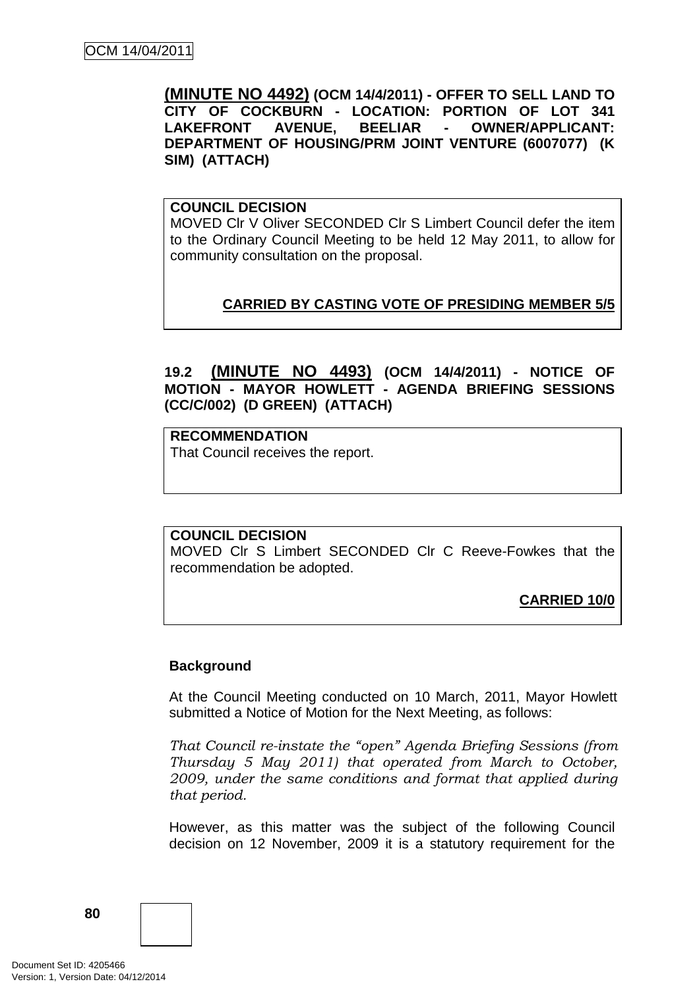**(MINUTE NO 4492) (OCM 14/4/2011) - OFFER TO SELL LAND TO CITY OF COCKBURN - LOCATION: PORTION OF LOT 341 LAKEFRONT AVENUE, BEELIAR - OWNER/APPLICANT: DEPARTMENT OF HOUSING/PRM JOINT VENTURE (6007077) (K SIM) (ATTACH)** 

### **COUNCIL DECISION**

MOVED Clr V Oliver SECONDED Clr S Limbert Council defer the item to the Ordinary Council Meeting to be held 12 May 2011, to allow for community consultation on the proposal.

# **CARRIED BY CASTING VOTE OF PRESIDING MEMBER 5/5**

## **19.2 (MINUTE NO 4493) (OCM 14/4/2011) - NOTICE OF MOTION - MAYOR HOWLETT - AGENDA BRIEFING SESSIONS (CC/C/002) (D GREEN) (ATTACH)**

### **RECOMMENDATION**

That Council receives the report.

### **COUNCIL DECISION**

MOVED Clr S Limbert SECONDED Clr C Reeve-Fowkes that the recommendation be adopted.

**CARRIED 10/0**

### **Background**

At the Council Meeting conducted on 10 March, 2011, Mayor Howlett submitted a Notice of Motion for the Next Meeting, as follows:

*That Council re-instate the "open" Agenda Briefing Sessions (from Thursday 5 May 2011) that operated from March to October, 2009, under the same conditions and format that applied during that period.* 

However, as this matter was the subject of the following Council decision on 12 November, 2009 it is a statutory requirement for the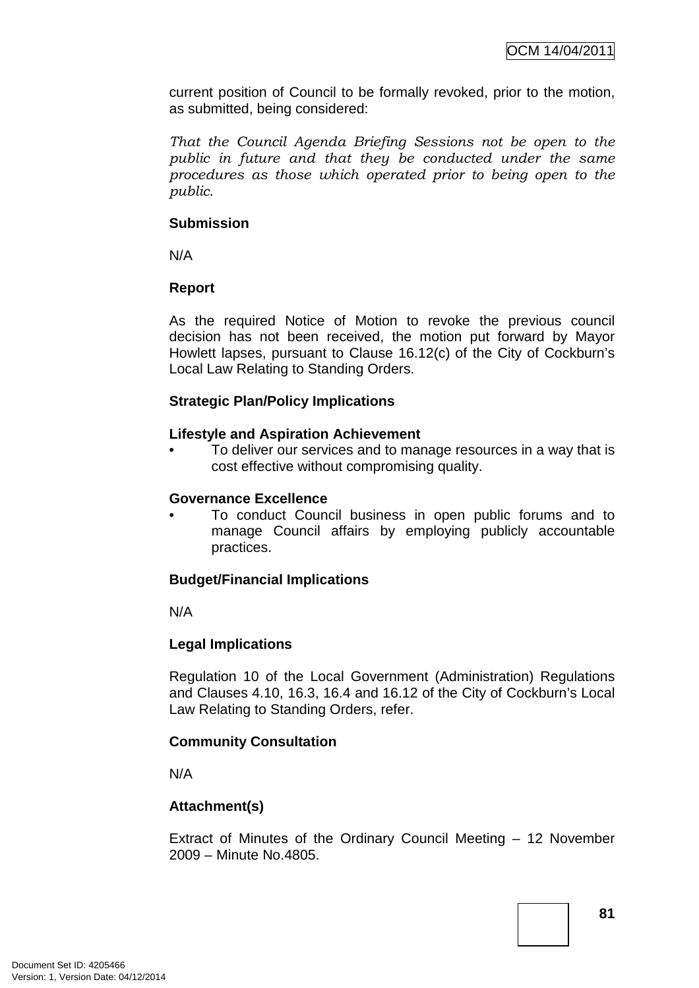current position of Council to be formally revoked, prior to the motion, as submitted, being considered:

*That the Council Agenda Briefing Sessions not be open to the public in future and that they be conducted under the same procedures as those which operated prior to being open to the public.* 

### **Submission**

N/A

# **Report**

As the required Notice of Motion to revoke the previous council decision has not been received, the motion put forward by Mayor Howlett lapses, pursuant to Clause 16.12(c) of the City of Cockburn's Local Law Relating to Standing Orders.

# **Strategic Plan/Policy Implications**

# **Lifestyle and Aspiration Achievement**

• To deliver our services and to manage resources in a way that is cost effective without compromising quality.

## **Governance Excellence**

• To conduct Council business in open public forums and to manage Council affairs by employing publicly accountable practices.

# **Budget/Financial Implications**

N/A

# **Legal Implications**

Regulation 10 of the Local Government (Administration) Regulations and Clauses 4.10, 16.3, 16.4 and 16.12 of the City of Cockburn's Local Law Relating to Standing Orders, refer.

# **Community Consultation**

N/A

# **Attachment(s)**

Extract of Minutes of the Ordinary Council Meeting – 12 November 2009 – Minute No.4805.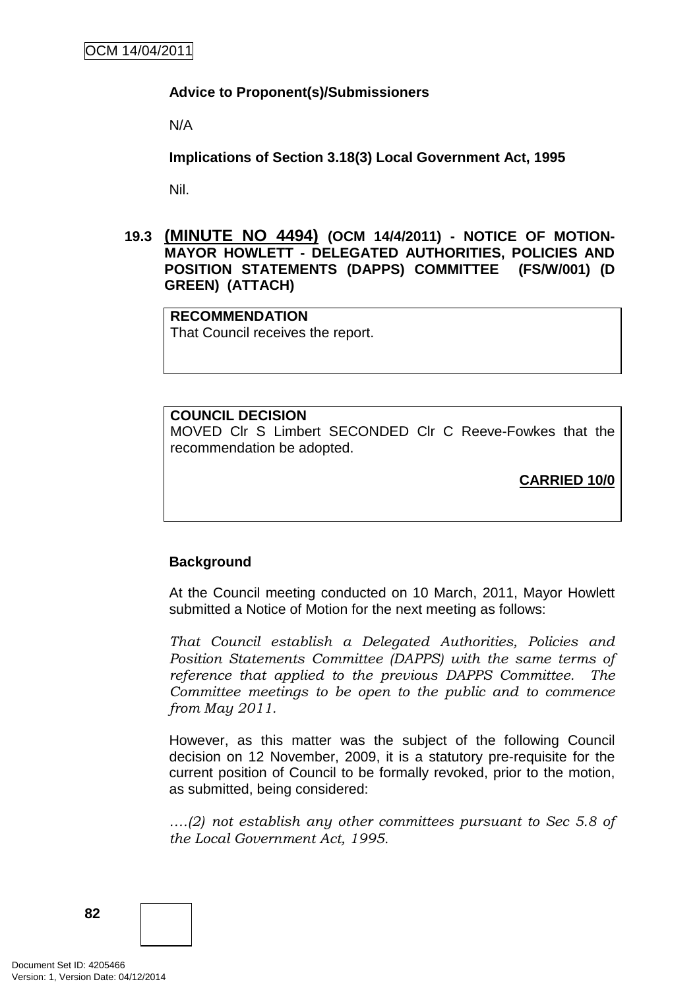## **Advice to Proponent(s)/Submissioners**

N/A

**Implications of Section 3.18(3) Local Government Act, 1995**

Nil.

**19.3 (MINUTE NO 4494) (OCM 14/4/2011) - NOTICE OF MOTION-MAYOR HOWLETT - DELEGATED AUTHORITIES, POLICIES AND POSITION STATEMENTS (DAPPS) COMMITTEE (FS/W/001) (D GREEN) (ATTACH)** 

**RECOMMENDATION** That Council receives the report.

## **COUNCIL DECISION**

MOVED Clr S Limbert SECONDED Clr C Reeve-Fowkes that the recommendation be adopted.

**CARRIED 10/0**

### **Background**

At the Council meeting conducted on 10 March, 2011, Mayor Howlett submitted a Notice of Motion for the next meeting as follows:

*That Council establish a Delegated Authorities, Policies and Position Statements Committee (DAPPS) with the same terms of reference that applied to the previous DAPPS Committee. The Committee meetings to be open to the public and to commence from May 2011.* 

However, as this matter was the subject of the following Council decision on 12 November, 2009, it is a statutory pre-requisite for the current position of Council to be formally revoked, prior to the motion, as submitted, being considered:

*….(2) not establish any other committees pursuant to Sec 5.8 of the Local Government Act, 1995.* 

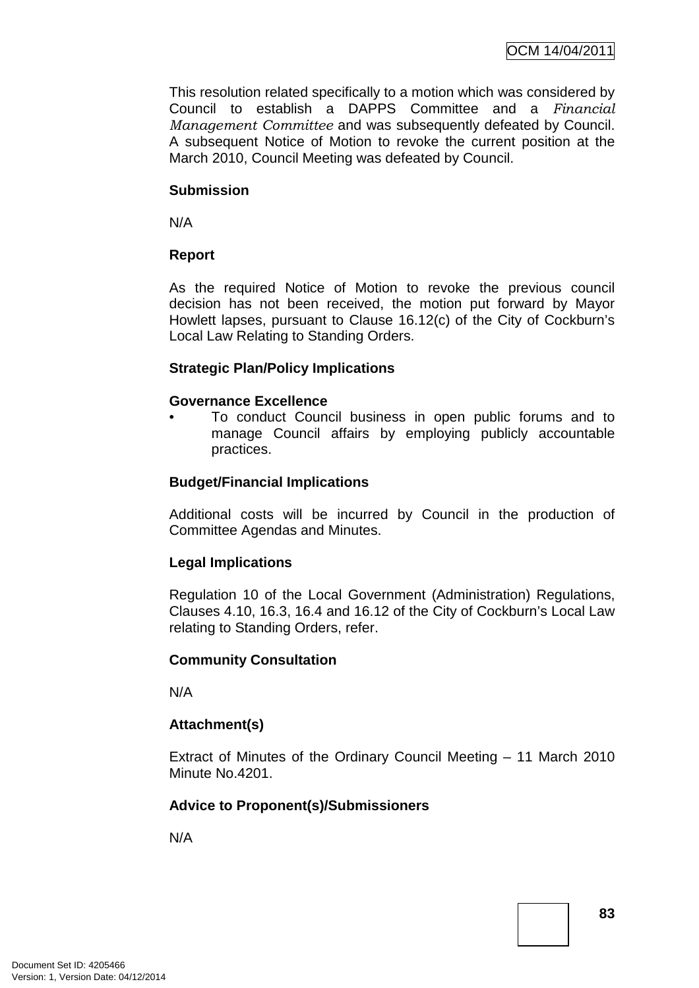This resolution related specifically to a motion which was considered by Council to establish a DAPPS Committee and a *Financial Management Committee* and was subsequently defeated by Council. A subsequent Notice of Motion to revoke the current position at the March 2010, Council Meeting was defeated by Council.

## **Submission**

N/A

## **Report**

As the required Notice of Motion to revoke the previous council decision has not been received, the motion put forward by Mayor Howlett lapses, pursuant to Clause 16.12(c) of the City of Cockburn's Local Law Relating to Standing Orders.

## **Strategic Plan/Policy Implications**

### **Governance Excellence**

• To conduct Council business in open public forums and to manage Council affairs by employing publicly accountable practices.

## **Budget/Financial Implications**

Additional costs will be incurred by Council in the production of Committee Agendas and Minutes.

# **Legal Implications**

Regulation 10 of the Local Government (Administration) Regulations, Clauses 4.10, 16.3, 16.4 and 16.12 of the City of Cockburn's Local Law relating to Standing Orders, refer.

### **Community Consultation**

N/A

# **Attachment(s)**

Extract of Minutes of the Ordinary Council Meeting – 11 March 2010 Minute No.4201.

# **Advice to Proponent(s)/Submissioners**

N/A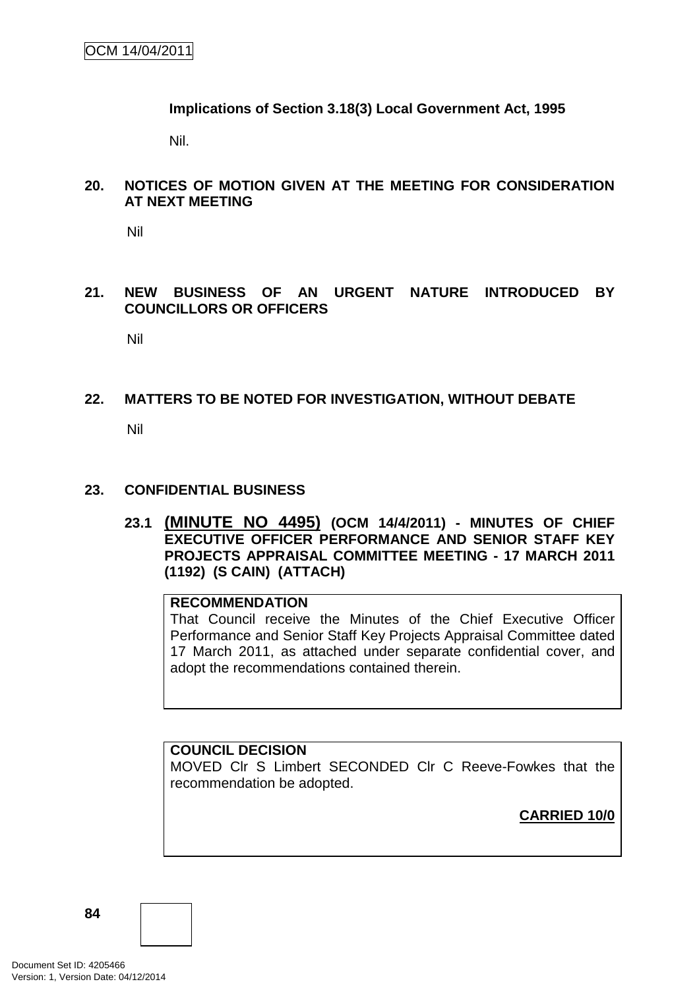**Implications of Section 3.18(3) Local Government Act, 1995**

Nil.

# **20. NOTICES OF MOTION GIVEN AT THE MEETING FOR CONSIDERATION AT NEXT MEETING**

Nil

**21. NEW BUSINESS OF AN URGENT NATURE INTRODUCED BY COUNCILLORS OR OFFICERS** 

Nil

### **22. MATTERS TO BE NOTED FOR INVESTIGATION, WITHOUT DEBATE**

Nil

### **23. CONFIDENTIAL BUSINESS**

**23.1 (MINUTE NO 4495) (OCM 14/4/2011) - MINUTES OF CHIEF EXECUTIVE OFFICER PERFORMANCE AND SENIOR STAFF KEY PROJECTS APPRAISAL COMMITTEE MEETING - 17 MARCH 2011 (1192) (S CAIN) (ATTACH)** 

#### **RECOMMENDATION**

That Council receive the Minutes of the Chief Executive Officer Performance and Senior Staff Key Projects Appraisal Committee dated 17 March 2011, as attached under separate confidential cover, and adopt the recommendations contained therein.

### **COUNCIL DECISION**

MOVED Clr S Limbert SECONDED Clr C Reeve-Fowkes that the recommendation be adopted.

**CARRIED 10/0**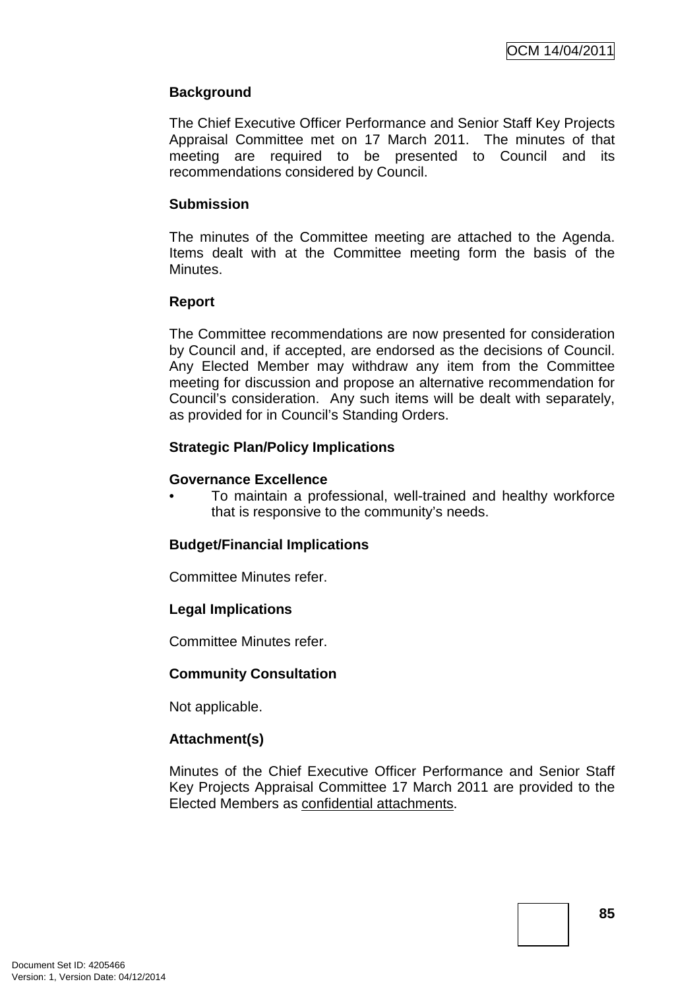# **Background**

The Chief Executive Officer Performance and Senior Staff Key Projects Appraisal Committee met on 17 March 2011. The minutes of that meeting are required to be presented to Council and its recommendations considered by Council.

### **Submission**

The minutes of the Committee meeting are attached to the Agenda. Items dealt with at the Committee meeting form the basis of the Minutes.

### **Report**

The Committee recommendations are now presented for consideration by Council and, if accepted, are endorsed as the decisions of Council. Any Elected Member may withdraw any item from the Committee meeting for discussion and propose an alternative recommendation for Council's consideration. Any such items will be dealt with separately, as provided for in Council's Standing Orders.

### **Strategic Plan/Policy Implications**

### **Governance Excellence**

• To maintain a professional, well-trained and healthy workforce that is responsive to the community's needs.

### **Budget/Financial Implications**

Committee Minutes refer.

### **Legal Implications**

Committee Minutes refer.

### **Community Consultation**

Not applicable.

### **Attachment(s)**

Minutes of the Chief Executive Officer Performance and Senior Staff Key Projects Appraisal Committee 17 March 2011 are provided to the Elected Members as confidential attachments.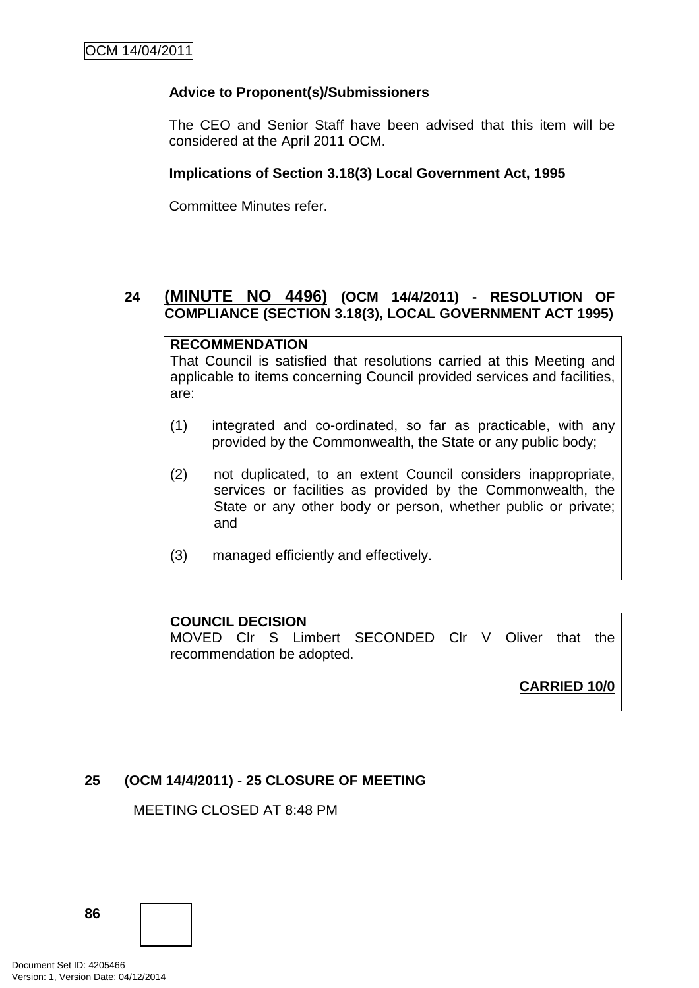## **Advice to Proponent(s)/Submissioners**

The CEO and Senior Staff have been advised that this item will be considered at the April 2011 OCM.

### **Implications of Section 3.18(3) Local Government Act, 1995**

Committee Minutes refer.

## **24 (MINUTE NO 4496) (OCM 14/4/2011) - RESOLUTION OF COMPLIANCE (SECTION 3.18(3), LOCAL GOVERNMENT ACT 1995)**

## **RECOMMENDATION**

That Council is satisfied that resolutions carried at this Meeting and applicable to items concerning Council provided services and facilities, are:

- (1) integrated and co-ordinated, so far as practicable, with any provided by the Commonwealth, the State or any public body;
- (2) not duplicated, to an extent Council considers inappropriate, services or facilities as provided by the Commonwealth, the State or any other body or person, whether public or private; and
- (3) managed efficiently and effectively.

#### **COUNCIL DECISION**

MOVED Clr S Limbert SECONDED Clr V Oliver that the recommendation be adopted.

# **CARRIED 10/0**

# **25 (OCM 14/4/2011) - 25 CLOSURE OF MEETING**

MEETING CLOSED AT 8:48 PM